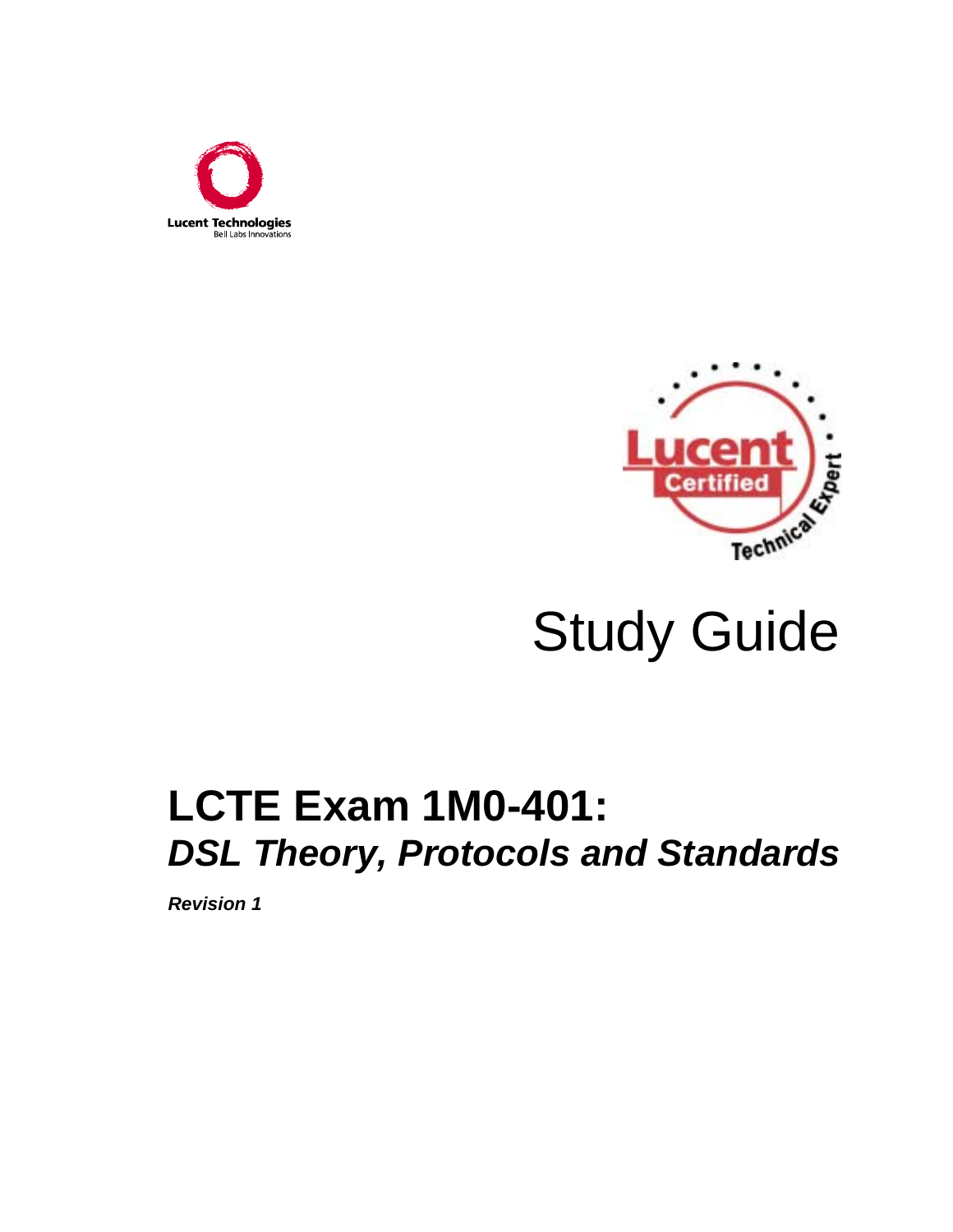



# Study Guide

# **LCTE Exam 1M0-401:**  *DSL Theory, Protocols and Standards*

*Revision 1*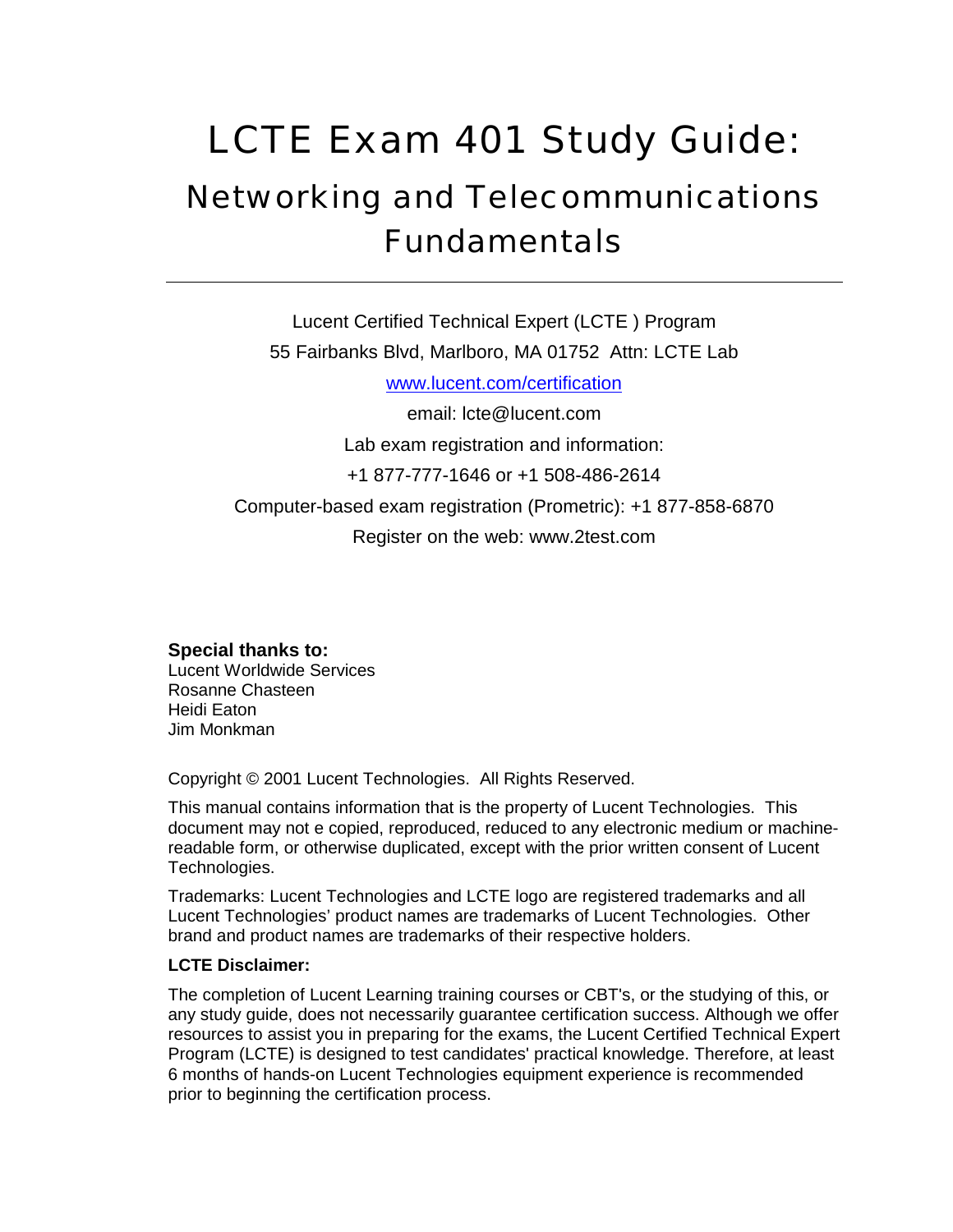# LCTE Exam 401 Study Guide: Networking and Telecommunications Fundamentals

Lucent Certified Technical Expert (LCTE ) Program 55 Fairbanks Blvd, Marlboro, MA 01752 Attn: LCTE Lab www.lucent.com/certification email: lcte@lucent.com Lab exam registration and information: +1 877-777-1646 or +1 508-486-2614 Computer-based exam registration (Prometric): +1 877-858-6870 Register on the web: www.2test.com

**Special thanks to:**  Lucent Worldwide Services Rosanne Chasteen Heidi Eaton Jim Monkman

Copyright © 2001 Lucent Technologies. All Rights Reserved.

This manual contains information that is the property of Lucent Technologies. This document may not e copied, reproduced, reduced to any electronic medium or machinereadable form, or otherwise duplicated, except with the prior written consent of Lucent Technologies.

Trademarks: Lucent Technologies and LCTE logo are registered trademarks and all Lucent Technologies' product names are trademarks of Lucent Technologies. Other brand and product names are trademarks of their respective holders.

#### **LCTE Disclaimer:**

The completion of Lucent Learning training courses or CBT's, or the studying of this, or any study guide, does not necessarily guarantee certification success. Although we offer resources to assist you in preparing for the exams, the Lucent Certified Technical Expert Program (LCTE) is designed to test candidates' practical knowledge. Therefore, at least 6 months of hands-on Lucent Technologies equipment experience is recommended prior to beginning the certification process.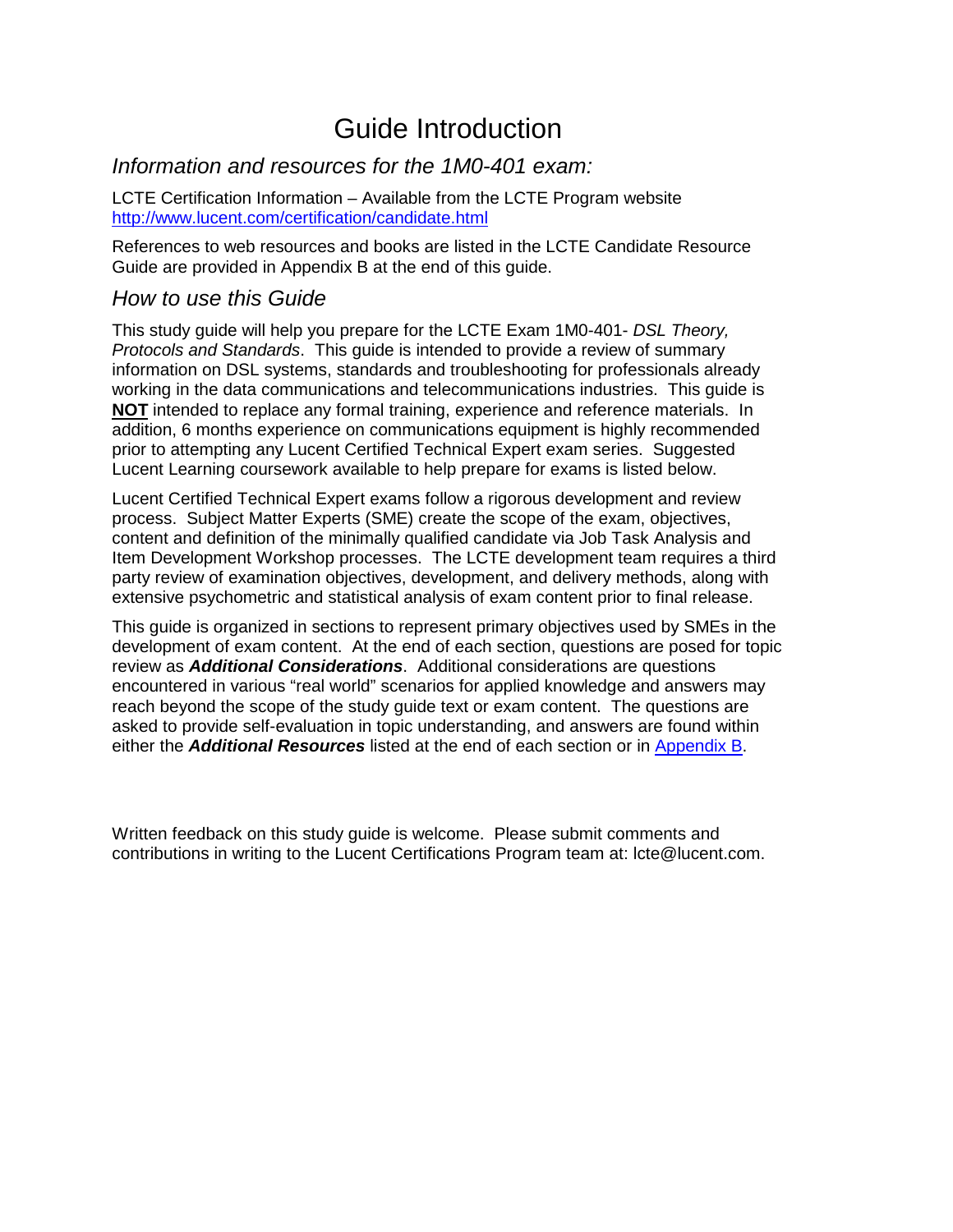# Guide Introduction

#### *Information and resources for the 1M0-401 exam:*

LCTE Certification Information – Available from the LCTE Program website http://www.lucent.com/certification/candidate.html

References to web resources and books are listed in the LCTE Candidate Resource Guide are provided in Appendix B at the end of this guide.

#### *How to use this Guide*

This study guide will help you prepare for the LCTE Exam 1M0-401- *DSL Theory, Protocols and Standards*. This guide is intended to provide a review of summary information on DSL systems, standards and troubleshooting for professionals already working in the data communications and telecommunications industries. This guide is **NOT** intended to replace any formal training, experience and reference materials. In addition, 6 months experience on communications equipment is highly recommended prior to attempting any Lucent Certified Technical Expert exam series. Suggested Lucent Learning coursework available to help prepare for exams is listed below.

Lucent Certified Technical Expert exams follow a rigorous development and review process. Subject Matter Experts (SME) create the scope of the exam, objectives, content and definition of the minimally qualified candidate via Job Task Analysis and Item Development Workshop processes. The LCTE development team requires a third party review of examination objectives, development, and delivery methods, along with extensive psychometric and statistical analysis of exam content prior to final release.

This guide is organized in sections to represent primary objectives used by SMEs in the development of exam content. At the end of each section, questions are posed for topic review as *Additional Considerations*. Additional considerations are questions encountered in various "real world" scenarios for applied knowledge and answers may reach beyond the scope of the study guide text or exam content. The questions are asked to provide self-evaluation in topic understanding, and answers are found within either the *Additional Resources* listed at the end of each section or in Appendix B.

Written feedback on this study guide is welcome. Please submit comments and contributions in writing to the Lucent Certifications Program team at: lcte@lucent.com.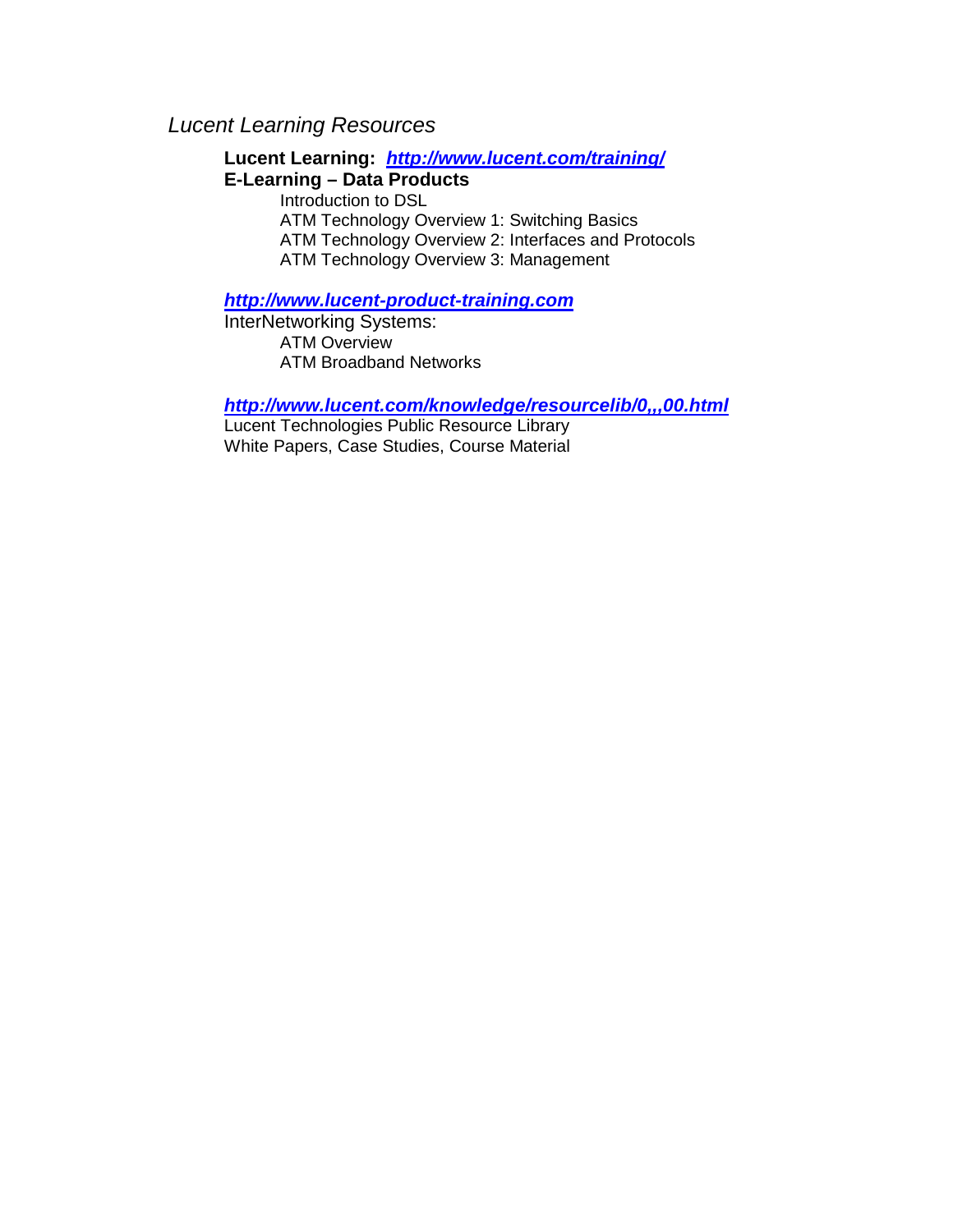#### *Lucent Learning Resources*

**Lucent Learning:** *http://www.lucent.com/training/* **E-Learning – Data Products**  Introduction to DSL ATM Technology Overview 1: Switching Basics ATM Technology Overview 2: Interfaces and Protocols ATM Technology Overview 3: Management

#### *http://www.lucent-product-training.com*

InterNetworking Systems: ATM Overview ATM Broadband Networks

*http://www.lucent.com/knowledge/resourcelib/0,,,00.html*

Lucent Technologies Public Resource Library White Papers, Case Studies, Course Material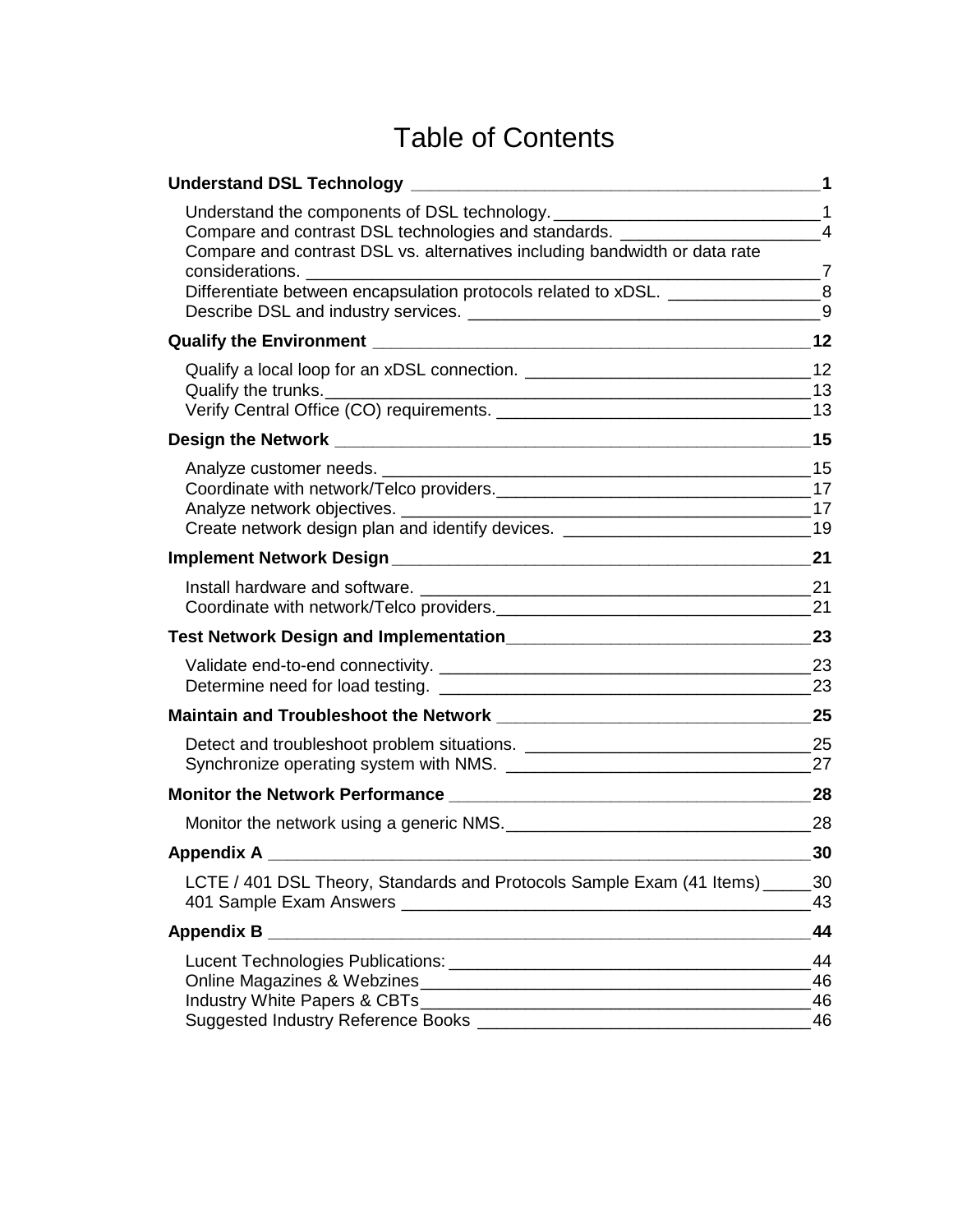# Table of Contents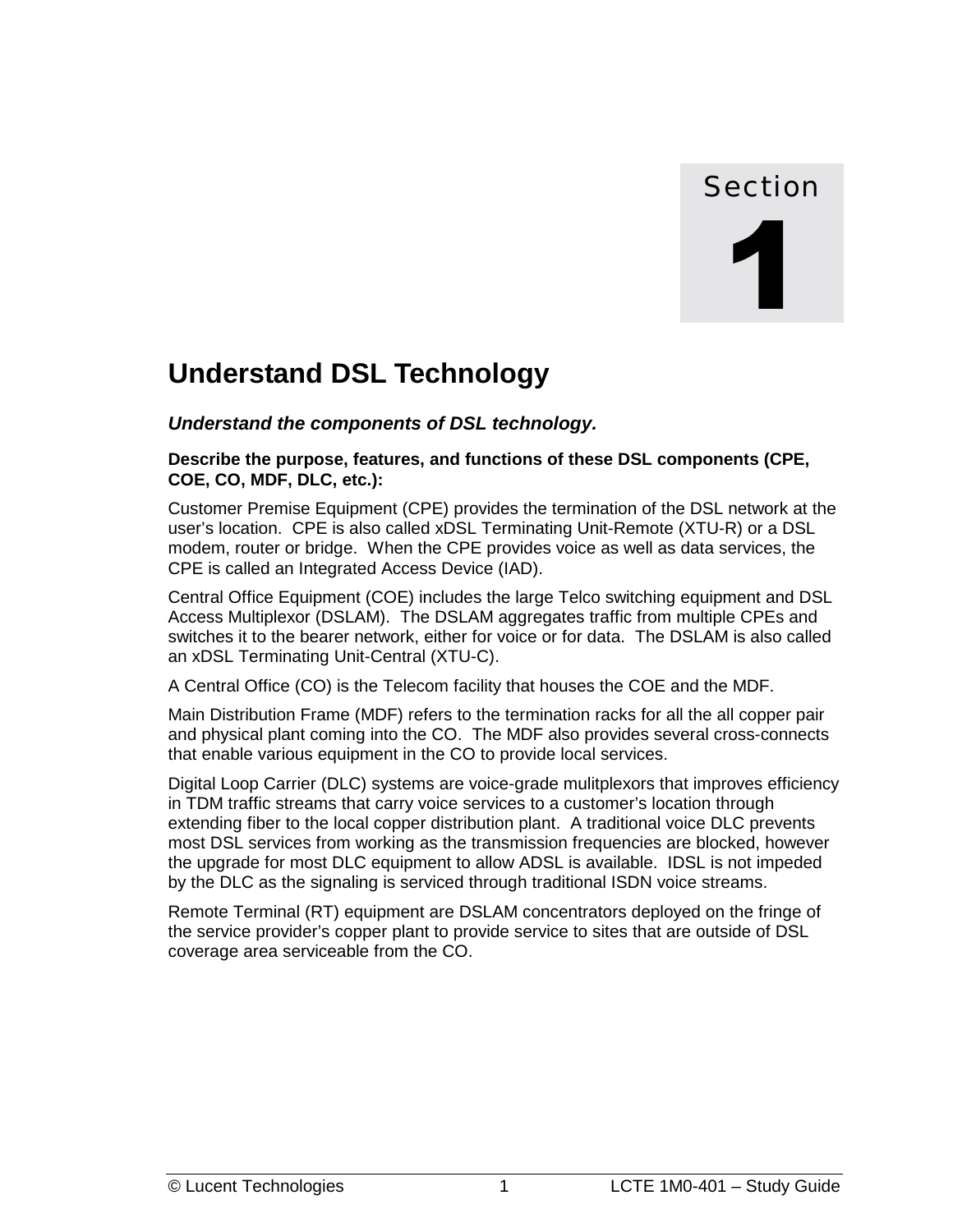# Section

# <span id="page-8-0"></span>**Understand DSL Technology**

*Understand the components of DSL technology.* 

#### **Describe the purpose, features, and functions of these DSL components (CPE, COE, CO, MDF, DLC, etc.):**

Customer Premise Equipment (CPE) provides the termination of the DSL network at the user's location. CPE is also called xDSL Terminating Unit-Remote (XTU-R) or a DSL modem, router or bridge. When the CPE provides voice as well as data services, the CPE is called an Integrated Access Device (IAD).

Central Office Equipment (COE) includes the large Telco switching equipment and DSL Access Multiplexor (DSLAM). The DSLAM aggregates traffic from multiple CPEs and switches it to the bearer network, either for voice or for data. The DSLAM is also called an xDSL Terminating Unit-Central (XTU-C).

A Central Office (CO) is the Telecom facility that houses the COE and the MDF.

Main Distribution Frame (MDF) refers to the termination racks for all the all copper pair and physical plant coming into the CO. The MDF also provides several cross-connects that enable various equipment in the CO to provide local services.

Digital Loop Carrier (DLC) systems are voice-grade mulitplexors that improves efficiency in TDM traffic streams that carry voice services to a customer's location through extending fiber to the local copper distribution plant. A traditional voice DLC prevents most DSL services from working as the transmission frequencies are blocked, however the upgrade for most DLC equipment to allow ADSL is available. IDSL is not impeded by the DLC as the signaling is serviced through traditional ISDN voice streams.

Remote Terminal (RT) equipment are DSLAM concentrators deployed on the fringe of the service provider's copper plant to provide service to sites that are outside of DSL coverage area serviceable from the CO.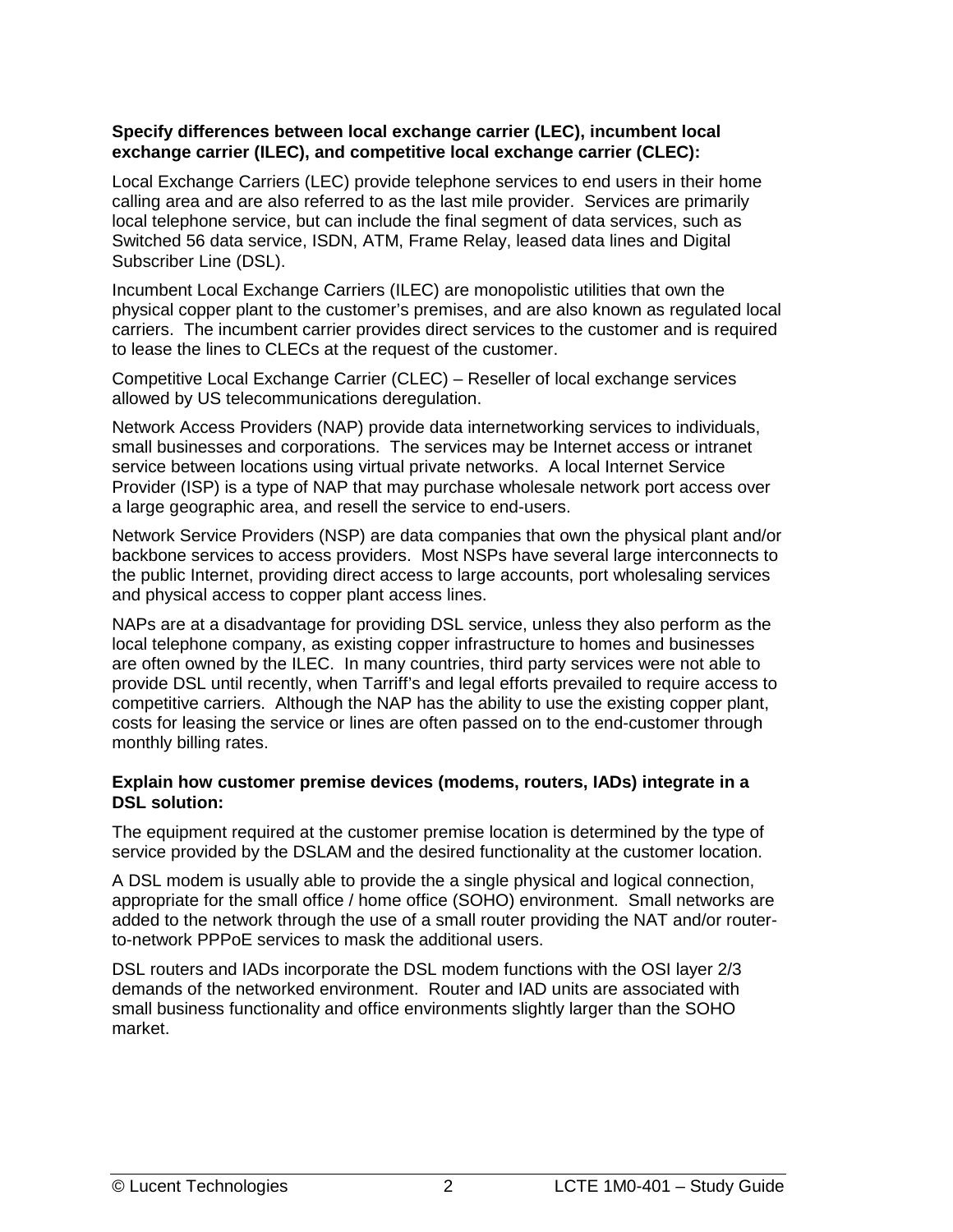#### **Specify differences between local exchange carrier (LEC), incumbent local exchange carrier (ILEC), and competitive local exchange carrier (CLEC):**

Local Exchange Carriers (LEC) provide telephone services to end users in their home calling area and are also referred to as the last mile provider. Services are primarily local telephone service, but can include the final segment of data services, such as Switched 56 data service, ISDN, ATM, Frame Relay, leased data lines and Digital Subscriber Line (DSL).

Incumbent Local Exchange Carriers (ILEC) are monopolistic utilities that own the physical copper plant to the customer's premises, and are also known as regulated local carriers. The incumbent carrier provides direct services to the customer and is required to lease the lines to CLECs at the request of the customer.

Competitive Local Exchange Carrier (CLEC) – Reseller of local exchange services allowed by US telecommunications deregulation.

Network Access Providers (NAP) provide data internetworking services to individuals, small businesses and corporations. The services may be Internet access or intranet service between locations using virtual private networks. A local Internet Service Provider (ISP) is a type of NAP that may purchase wholesale network port access over a large geographic area, and resell the service to end-users.

Network Service Providers (NSP) are data companies that own the physical plant and/or backbone services to access providers. Most NSPs have several large interconnects to the public Internet, providing direct access to large accounts, port wholesaling services and physical access to copper plant access lines.

NAPs are at a disadvantage for providing DSL service, unless they also perform as the local telephone company, as existing copper infrastructure to homes and businesses are often owned by the ILEC. In many countries, third party services were not able to provide DSL until recently, when Tarriff's and legal efforts prevailed to require access to competitive carriers. Although the NAP has the ability to use the existing copper plant, costs for leasing the service or lines are often passed on to the end-customer through monthly billing rates.

#### **Explain how customer premise devices (modems, routers, IADs) integrate in a DSL solution:**

The equipment required at the customer premise location is determined by the type of service provided by the DSLAM and the desired functionality at the customer location.

A DSL modem is usually able to provide the a single physical and logical connection, appropriate for the small office / home office (SOHO) environment. Small networks are added to the network through the use of a small router providing the NAT and/or routerto-network PPPoE services to mask the additional users.

DSL routers and IADs incorporate the DSL modem functions with the OSI layer 2/3 demands of the networked environment. Router and IAD units are associated with small business functionality and office environments slightly larger than the SOHO market.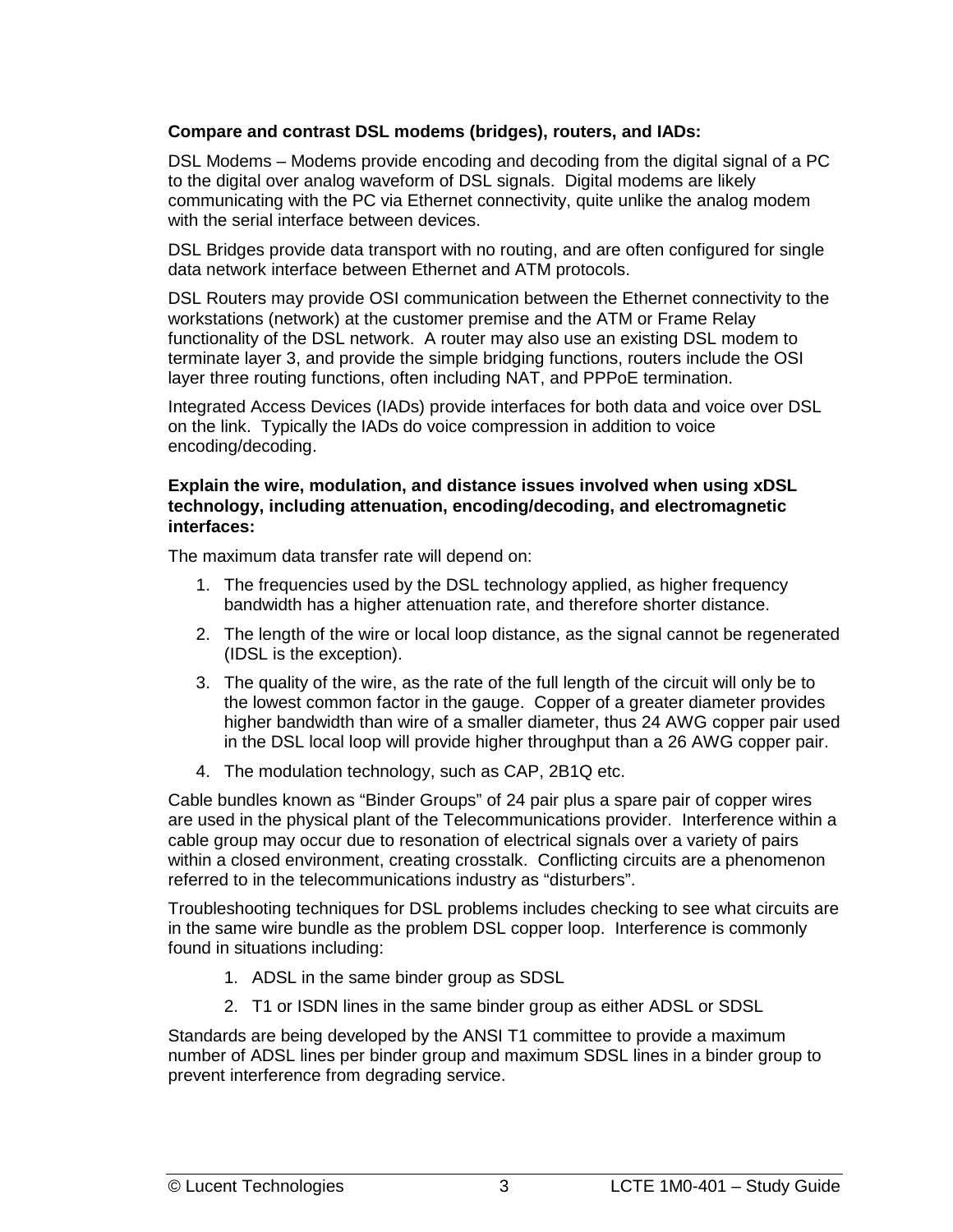#### **Compare and contrast DSL modems (bridges), routers, and IADs:**

DSL Modems – Modems provide encoding and decoding from the digital signal of a PC to the digital over analog waveform of DSL signals. Digital modems are likely communicating with the PC via Ethernet connectivity, quite unlike the analog modem with the serial interface between devices.

DSL Bridges provide data transport with no routing, and are often configured for single data network interface between Ethernet and ATM protocols.

DSL Routers may provide OSI communication between the Ethernet connectivity to the workstations (network) at the customer premise and the ATM or Frame Relay functionality of the DSL network. A router may also use an existing DSL modem to terminate layer 3, and provide the simple bridging functions, routers include the OSI layer three routing functions, often including NAT, and PPPoE termination.

Integrated Access Devices (IADs) provide interfaces for both data and voice over DSL on the link. Typically the IADs do voice compression in addition to voice encoding/decoding.

#### **Explain the wire, modulation, and distance issues involved when using xDSL technology, including attenuation, encoding/decoding, and electromagnetic interfaces:**

The maximum data transfer rate will depend on:

- 1. The frequencies used by the DSL technology applied, as higher frequency bandwidth has a higher attenuation rate, and therefore shorter distance.
- 2. The length of the wire or local loop distance, as the signal cannot be regenerated (IDSL is the exception).
- 3. The quality of the wire, as the rate of the full length of the circuit will only be to the lowest common factor in the gauge. Copper of a greater diameter provides higher bandwidth than wire of a smaller diameter, thus 24 AWG copper pair used in the DSL local loop will provide higher throughput than a 26 AWG copper pair.
- 4. The modulation technology, such as CAP, 2B1Q etc.

Cable bundles known as "Binder Groups" of 24 pair plus a spare pair of copper wires are used in the physical plant of the Telecommunications provider. Interference within a cable group may occur due to resonation of electrical signals over a variety of pairs within a closed environment, creating crosstalk. Conflicting circuits are a phenomenon referred to in the telecommunications industry as "disturbers".

Troubleshooting techniques for DSL problems includes checking to see what circuits are in the same wire bundle as the problem DSL copper loop. Interference is commonly found in situations including:

- 1. ADSL in the same binder group as SDSL
- 2. T1 or ISDN lines in the same binder group as either ADSL or SDSL

Standards are being developed by the ANSI T1 committee to provide a maximum number of ADSL lines per binder group and maximum SDSL lines in a binder group to prevent interference from degrading service.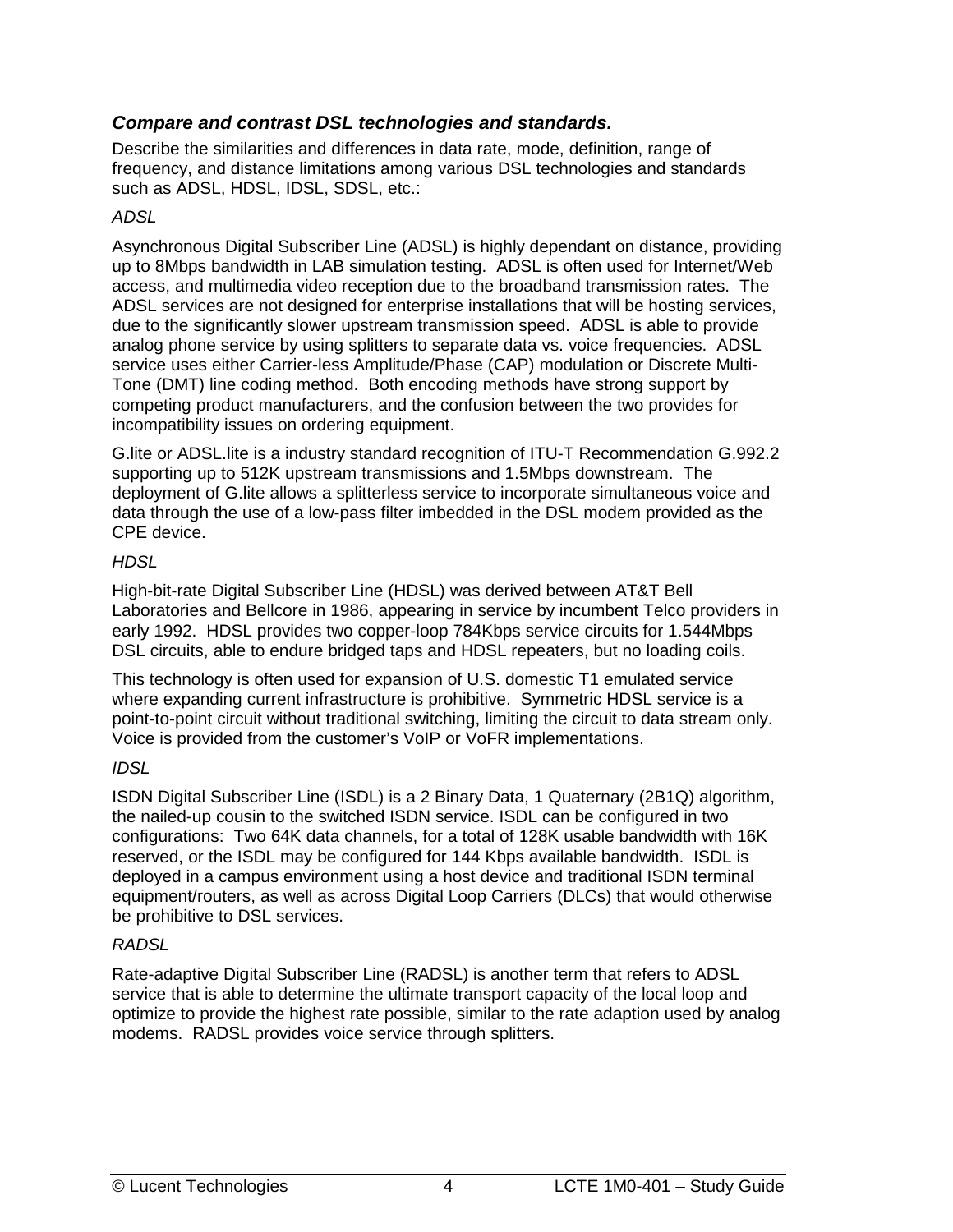#### <span id="page-11-0"></span>*Compare and contrast DSL technologies and standards.*

Describe the similarities and differences in data rate, mode, definition, range of frequency, and distance limitations among various DSL technologies and standards such as ADSL, HDSL, IDSL, SDSL, etc.:

#### *ADSL*

Asynchronous Digital Subscriber Line (ADSL) is highly dependant on distance, providing up to 8Mbps bandwidth in LAB simulation testing. ADSL is often used for Internet/Web access, and multimedia video reception due to the broadband transmission rates. The ADSL services are not designed for enterprise installations that will be hosting services, due to the significantly slower upstream transmission speed. ADSL is able to provide analog phone service by using splitters to separate data vs. voice frequencies. ADSL service uses either Carrier-less Amplitude/Phase (CAP) modulation or Discrete Multi-Tone (DMT) line coding method. Both encoding methods have strong support by competing product manufacturers, and the confusion between the two provides for incompatibility issues on ordering equipment.

G.lite or ADSL.lite is a industry standard recognition of ITU-T Recommendation G.992.2 supporting up to 512K upstream transmissions and 1.5Mbps downstream. The deployment of G.lite allows a splitterless service to incorporate simultaneous voice and data through the use of a low-pass filter imbedded in the DSL modem provided as the CPE device.

#### *HDSL*

High-bit-rate Digital Subscriber Line (HDSL) was derived between AT&T Bell Laboratories and Bellcore in 1986, appearing in service by incumbent Telco providers in early 1992. HDSL provides two copper-loop 784Kbps service circuits for 1.544Mbps DSL circuits, able to endure bridged taps and HDSL repeaters, but no loading coils.

This technology is often used for expansion of U.S. domestic T1 emulated service where expanding current infrastructure is prohibitive. Symmetric HDSL service is a point-to-point circuit without traditional switching, limiting the circuit to data stream only. Voice is provided from the customer's VoIP or VoFR implementations.

#### *IDSL*

ISDN Digital Subscriber Line (ISDL) is a 2 Binary Data, 1 Quaternary (2B1Q) algorithm, the nailed-up cousin to the switched ISDN service. ISDL can be configured in two configurations: Two 64K data channels, for a total of 128K usable bandwidth with 16K reserved, or the ISDL may be configured for 144 Kbps available bandwidth. ISDL is deployed in a campus environment using a host device and traditional ISDN terminal equipment/routers, as well as across Digital Loop Carriers (DLCs) that would otherwise be prohibitive to DSL services.

#### *RADSL*

Rate-adaptive Digital Subscriber Line (RADSL) is another term that refers to ADSL service that is able to determine the ultimate transport capacity of the local loop and optimize to provide the highest rate possible, similar to the rate adaption used by analog modems. RADSL provides voice service through splitters.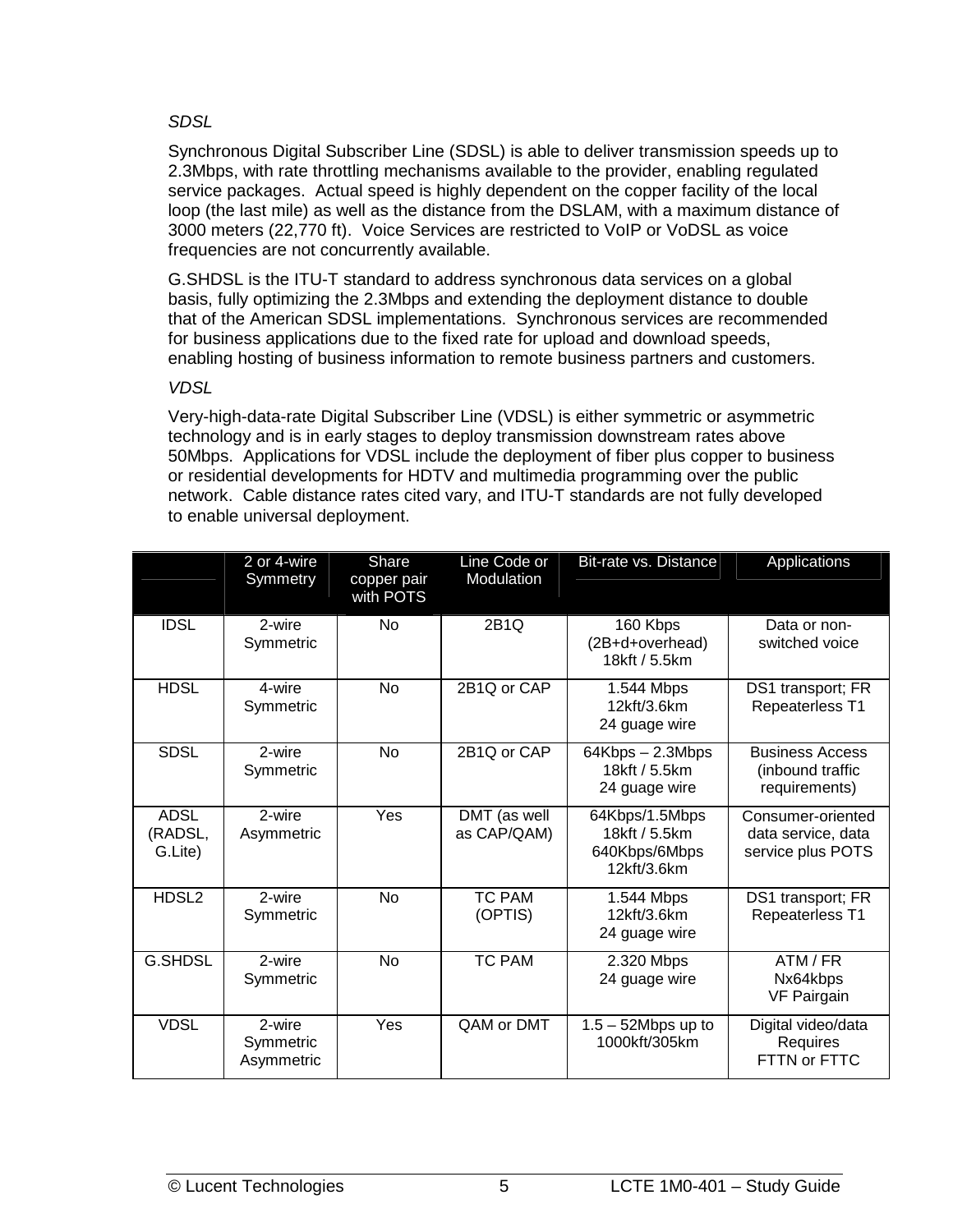#### *SDSL*

Synchronous Digital Subscriber Line (SDSL) is able to deliver transmission speeds up to 2.3Mbps, with rate throttling mechanisms available to the provider, enabling regulated service packages. Actual speed is highly dependent on the copper facility of the local loop (the last mile) as well as the distance from the DSLAM, with a maximum distance of 3000 meters (22,770 ft). Voice Services are restricted to VoIP or VoDSL as voice frequencies are not concurrently available.

G.SHDSL is the ITU-T standard to address synchronous data services on a global basis, fully optimizing the 2.3Mbps and extending the deployment distance to double that of the American SDSL implementations. Synchronous services are recommended for business applications due to the fixed rate for upload and download speeds, enabling hosting of business information to remote business partners and customers.

#### *VDSL*

Very-high-data-rate Digital Subscriber Line (VDSL) is either symmetric or asymmetric technology and is in early stages to deploy transmission downstream rates above 50Mbps. Applications for VDSL include the deployment of fiber plus copper to business or residential developments for HDTV and multimedia programming over the public network. Cable distance rates cited vary, and ITU-T standards are not fully developed to enable universal deployment.

|                                   | 2 or 4-wire<br>Symmetry           | Share<br>copper pair<br>with POTS | Line Code or<br>Modulation  | Bit-rate vs. Distance                                           | Applications                                                 |
|-----------------------------------|-----------------------------------|-----------------------------------|-----------------------------|-----------------------------------------------------------------|--------------------------------------------------------------|
| <b>IDSL</b>                       | 2-wire<br>Symmetric               | <b>No</b>                         | 2B1Q                        | 160 Kbps<br>(2B+d+overhead)<br>18kft / 5.5km                    | Data or non-<br>switched voice                               |
| <b>HDSL</b>                       | 4-wire<br>Symmetric               | <b>No</b>                         | 2B1Q or CAP                 | 1.544 Mbps<br>12kft/3.6km<br>24 guage wire                      | DS1 transport; FR<br><b>Repeaterless T1</b>                  |
| <b>SDSL</b>                       | 2-wire<br>Symmetric               | <b>No</b>                         | 2B1Q or CAP                 | 64Kbps - 2.3Mbps<br>18kft / 5.5km<br>24 guage wire              | <b>Business Access</b><br>(inbound traffic<br>requirements)  |
| <b>ADSL</b><br>(RADSL,<br>G.Lite) | 2-wire<br>Asymmetric              | Yes                               | DMT (as well<br>as CAP/QAM) | 64Kbps/1.5Mbps<br>18kft / 5.5km<br>640Kbps/6Mbps<br>12kft/3.6km | Consumer-oriented<br>data service, data<br>service plus POTS |
| HDSL2                             | 2-wire<br>Symmetric               | <b>No</b>                         | <b>TC PAM</b><br>(OPTIS)    | 1.544 Mbps<br>12kft/3.6km<br>24 guage wire                      | DS1 transport; FR<br>Repeaterless T1                         |
| <b>G.SHDSL</b>                    | 2-wire<br>Symmetric               | <b>No</b>                         | <b>TC PAM</b>               | 2.320 Mbps<br>24 guage wire                                     | ATM / FR<br>Nx64kbps<br><b>VF Pairgain</b>                   |
| <b>VDSL</b>                       | 2-wire<br>Symmetric<br>Asymmetric | Yes                               | QAM or DMT                  | $1.5 - 52Mbps$ up to<br>1000kft/305km                           | Digital video/data<br>Requires<br>FTTN or FTTC               |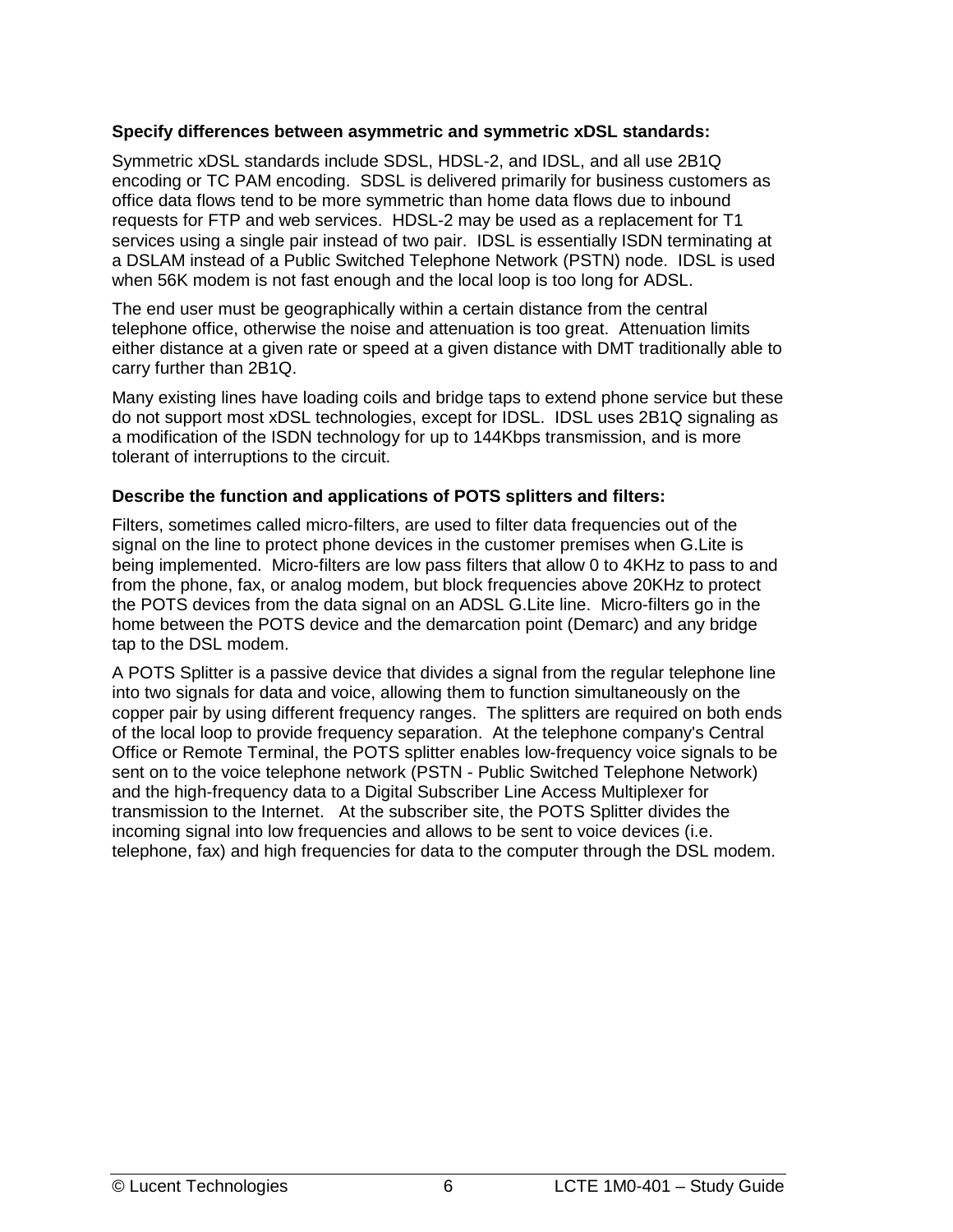#### **Specify differences between asymmetric and symmetric xDSL standards:**

Symmetric xDSL standards include SDSL, HDSL-2, and IDSL, and all use 2B1Q encoding or TC PAM encoding. SDSL is delivered primarily for business customers as office data flows tend to be more symmetric than home data flows due to inbound requests for FTP and web services. HDSL-2 may be used as a replacement for T1 services using a single pair instead of two pair. IDSL is essentially ISDN terminating at a DSLAM instead of a Public Switched Telephone Network (PSTN) node. IDSL is used when 56K modem is not fast enough and the local loop is too long for ADSL.

The end user must be geographically within a certain distance from the central telephone office, otherwise the noise and attenuation is too great. Attenuation limits either distance at a given rate or speed at a given distance with DMT traditionally able to carry further than 2B1Q.

Many existing lines have loading coils and bridge taps to extend phone service but these do not support most xDSL technologies, except for IDSL. IDSL uses 2B1Q signaling as a modification of the ISDN technology for up to 144Kbps transmission, and is more tolerant of interruptions to the circuit.

#### **Describe the function and applications of POTS splitters and filters:**

Filters, sometimes called micro-filters, are used to filter data frequencies out of the signal on the line to protect phone devices in the customer premises when G.Lite is being implemented. Micro-filters are low pass filters that allow 0 to 4KHz to pass to and from the phone, fax, or analog modem, but block frequencies above 20KHz to protect the POTS devices from the data signal on an ADSL G.Lite line. Micro-filters go in the home between the POTS device and the demarcation point (Demarc) and any bridge tap to the DSL modem.

A POTS Splitter is a passive device that divides a signal from the regular telephone line into two signals for data and voice, allowing them to function simultaneously on the copper pair by using different frequency ranges. The splitters are required on both ends of the local loop to provide frequency separation. At the telephone company's Central Office or Remote Terminal, the POTS splitter enables low-frequency voice signals to be sent on to the voice telephone network (PSTN - Public Switched Telephone Network) and the high-frequency data to a Digital Subscriber Line Access Multiplexer for transmission to the Internet. At the subscriber site, the POTS Splitter divides the incoming signal into low frequencies and allows to be sent to voice devices (i.e. telephone, fax) and high frequencies for data to the computer through the DSL modem.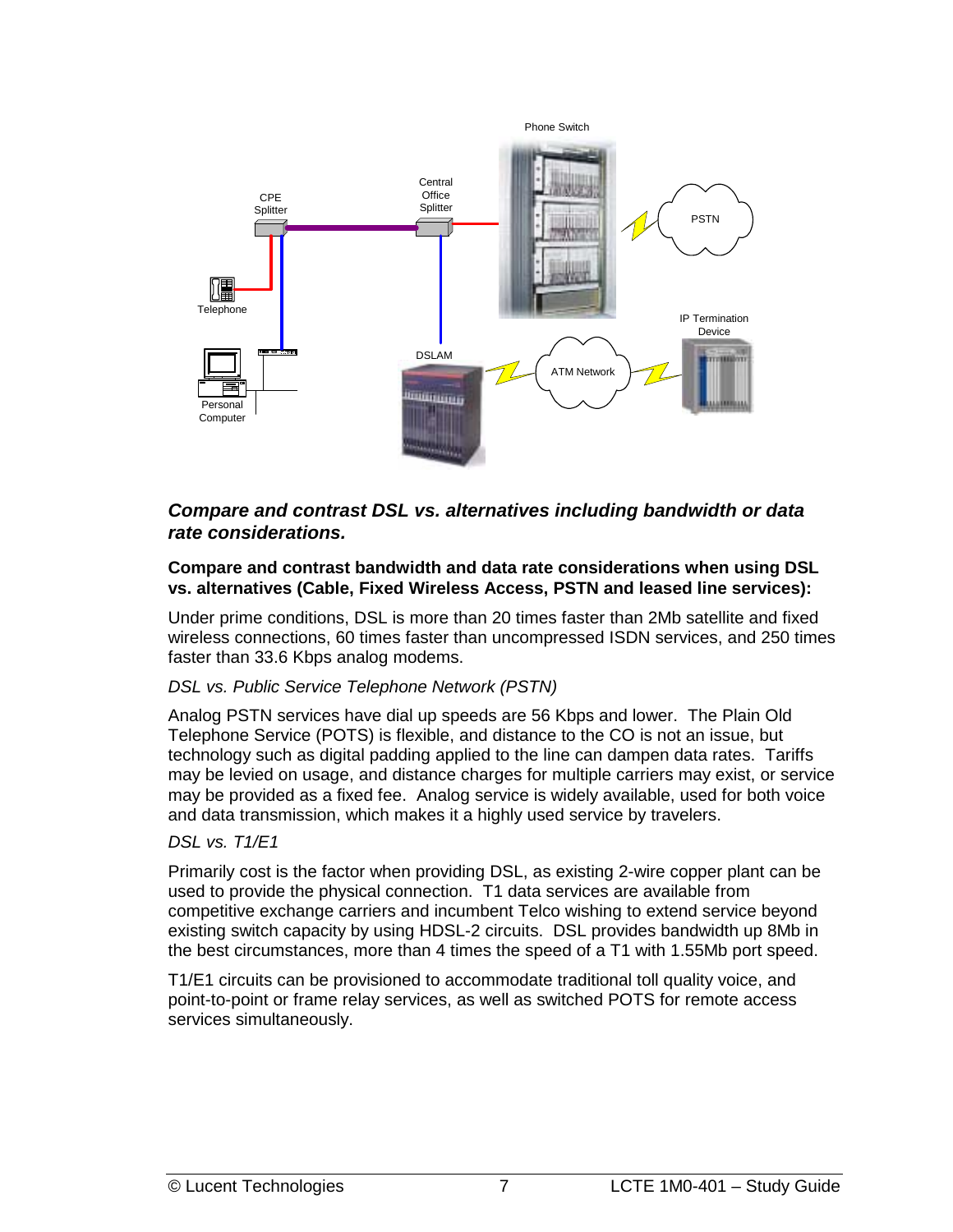<span id="page-14-0"></span>

#### *Compare and contrast DSL vs. alternatives including bandwidth or data rate considerations.*

#### **Compare and contrast bandwidth and data rate considerations when using DSL vs. alternatives (Cable, Fixed Wireless Access, PSTN and leased line services):**

Under prime conditions, DSL is more than 20 times faster than 2Mb satellite and fixed wireless connections, 60 times faster than uncompressed ISDN services, and 250 times faster than 33.6 Kbps analog modems.

#### *DSL vs. Public Service Telephone Network (PSTN)*

Analog PSTN services have dial up speeds are 56 Kbps and lower. The Plain Old Telephone Service (POTS) is flexible, and distance to the CO is not an issue, but technology such as digital padding applied to the line can dampen data rates. Tariffs may be levied on usage, and distance charges for multiple carriers may exist, or service may be provided as a fixed fee. Analog service is widely available, used for both voice and data transmission, which makes it a highly used service by travelers.

#### *DSL vs. T1/E1*

Primarily cost is the factor when providing DSL, as existing 2-wire copper plant can be used to provide the physical connection. T1 data services are available from competitive exchange carriers and incumbent Telco wishing to extend service beyond existing switch capacity by using HDSL-2 circuits. DSL provides bandwidth up 8Mb in the best circumstances, more than 4 times the speed of a T1 with 1.55Mb port speed.

T1/E1 circuits can be provisioned to accommodate traditional toll quality voice, and point-to-point or frame relay services, as well as switched POTS for remote access services simultaneously.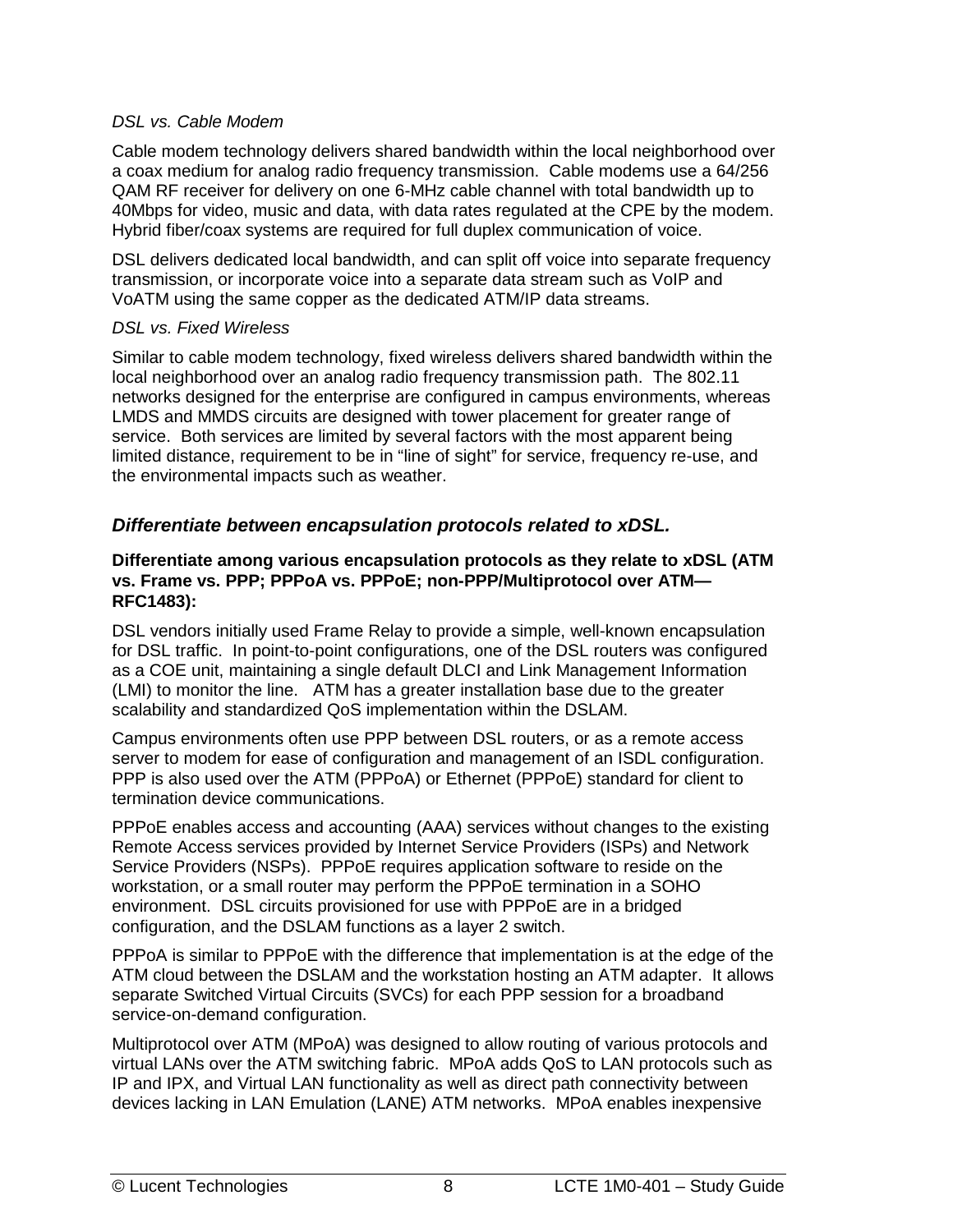#### <span id="page-15-0"></span>*DSL vs. Cable Modem*

Cable modem technology delivers shared bandwidth within the local neighborhood over a coax medium for analog radio frequency transmission. Cable modems use a 64/256 QAM RF receiver for delivery on one 6-MHz cable channel with total bandwidth up to 40Mbps for video, music and data, with data rates regulated at the CPE by the modem. Hybrid fiber/coax systems are required for full duplex communication of voice.

DSL delivers dedicated local bandwidth, and can split off voice into separate frequency transmission, or incorporate voice into a separate data stream such as VoIP and VoATM using the same copper as the dedicated ATM/IP data streams.

#### *DSL vs. Fixed Wireless*

Similar to cable modem technology, fixed wireless delivers shared bandwidth within the local neighborhood over an analog radio frequency transmission path. The 802.11 networks designed for the enterprise are configured in campus environments, whereas LMDS and MMDS circuits are designed with tower placement for greater range of service. Both services are limited by several factors with the most apparent being limited distance, requirement to be in "line of sight" for service, frequency re-use, and the environmental impacts such as weather.

#### *Differentiate between encapsulation protocols related to xDSL.*

#### **Differentiate among various encapsulation protocols as they relate to xDSL (ATM vs. Frame vs. PPP; PPPoA vs. PPPoE; non-PPP/Multiprotocol over ATM— RFC1483):**

DSL vendors initially used Frame Relay to provide a simple, well-known encapsulation for DSL traffic. In point-to-point configurations, one of the DSL routers was configured as a COE unit, maintaining a single default DLCI and Link Management Information (LMI) to monitor the line. ATM has a greater installation base due to the greater scalability and standardized QoS implementation within the DSLAM.

Campus environments often use PPP between DSL routers, or as a remote access server to modem for ease of configuration and management of an ISDL configuration. PPP is also used over the ATM (PPPoA) or Ethernet (PPPoE) standard for client to termination device communications.

PPPoE enables access and accounting (AAA) services without changes to the existing Remote Access services provided by Internet Service Providers (ISPs) and Network Service Providers (NSPs). PPPoE requires application software to reside on the workstation, or a small router may perform the PPPoE termination in a SOHO environment. DSL circuits provisioned for use with PPPoE are in a bridged configuration, and the DSLAM functions as a layer 2 switch.

PPPoA is similar to PPPoE with the difference that implementation is at the edge of the ATM cloud between the DSLAM and the workstation hosting an ATM adapter. It allows separate Switched Virtual Circuits (SVCs) for each PPP session for a broadband service-on-demand configuration.

Multiprotocol over ATM (MPoA) was designed to allow routing of various protocols and virtual LANs over the ATM switching fabric. MPoA adds QoS to LAN protocols such as IP and IPX, and Virtual LAN functionality as well as direct path connectivity between devices lacking in LAN Emulation (LANE) ATM networks. MPoA enables inexpensive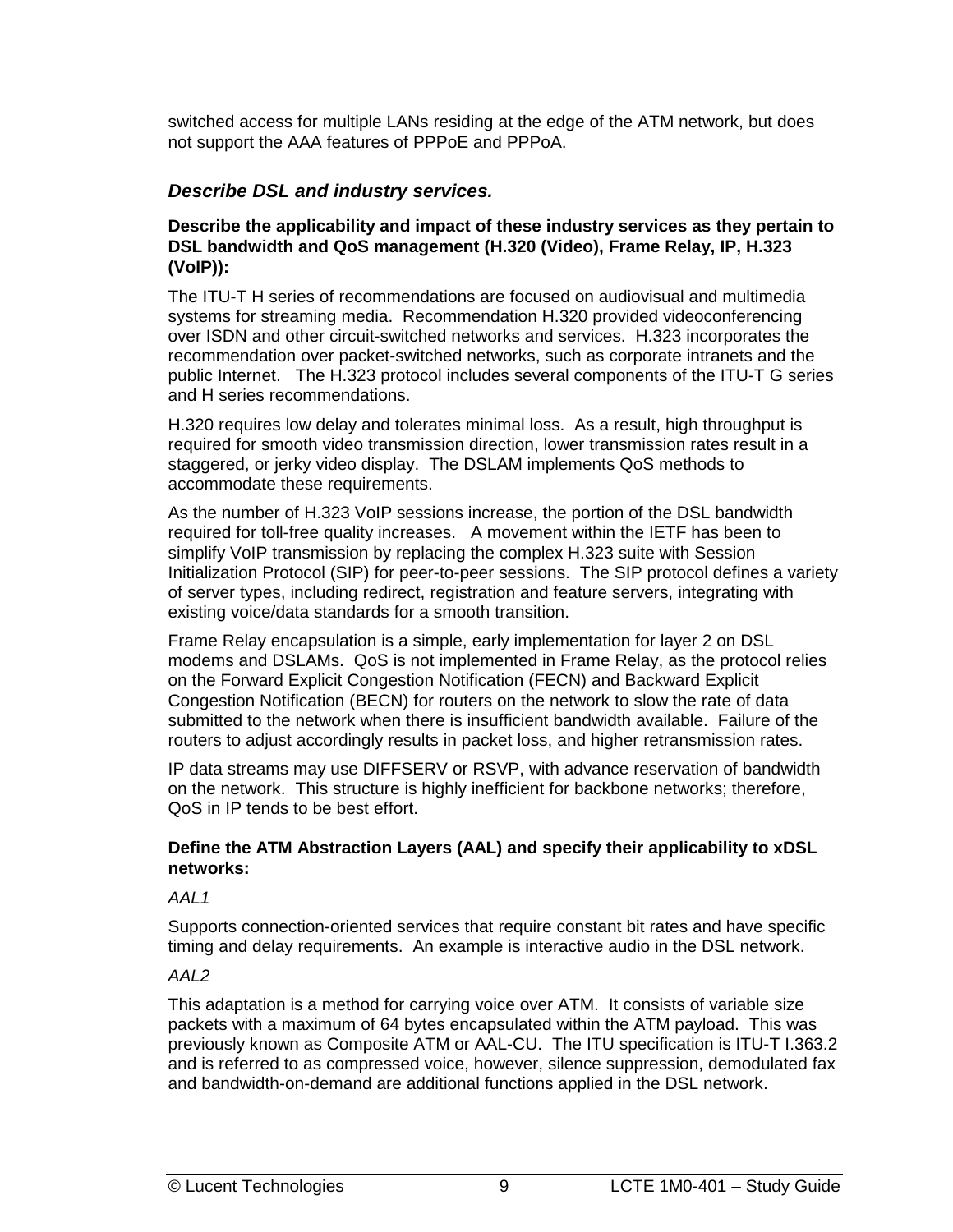<span id="page-16-0"></span>switched access for multiple LANs residing at the edge of the ATM network, but does not support the AAA features of PPPoE and PPPoA.

#### *Describe DSL and industry services.*

#### **Describe the applicability and impact of these industry services as they pertain to DSL bandwidth and QoS management (H.320 (Video), Frame Relay, IP, H.323 (VoIP)):**

The ITU-T H series of recommendations are focused on audiovisual and multimedia systems for streaming media. Recommendation H.320 provided videoconferencing over ISDN and other circuit-switched networks and services. H.323 incorporates the recommendation over packet-switched networks, such as corporate intranets and the public Internet. The H.323 protocol includes several components of the ITU-T G series and H series recommendations.

H.320 requires low delay and tolerates minimal loss. As a result, high throughput is required for smooth video transmission direction, lower transmission rates result in a staggered, or jerky video display. The DSLAM implements QoS methods to accommodate these requirements.

As the number of H.323 VoIP sessions increase, the portion of the DSL bandwidth required for toll-free quality increases. A movement within the IETF has been to simplify VoIP transmission by replacing the complex H.323 suite with Session Initialization Protocol (SIP) for peer-to-peer sessions. The SIP protocol defines a variety of server types, including redirect, registration and feature servers, integrating with existing voice/data standards for a smooth transition.

Frame Relay encapsulation is a simple, early implementation for layer 2 on DSL modems and DSLAMs. QoS is not implemented in Frame Relay, as the protocol relies on the Forward Explicit Congestion Notification (FECN) and Backward Explicit Congestion Notification (BECN) for routers on the network to slow the rate of data submitted to the network when there is insufficient bandwidth available. Failure of the routers to adjust accordingly results in packet loss, and higher retransmission rates.

IP data streams may use DIFFSERV or RSVP, with advance reservation of bandwidth on the network. This structure is highly inefficient for backbone networks; therefore, QoS in IP tends to be best effort.

#### **Define the ATM Abstraction Layers (AAL) and specify their applicability to xDSL networks:**

#### *AAL1*

Supports connection-oriented services that require constant bit rates and have specific timing and delay requirements. An example is interactive audio in the DSL network.

#### *AAL2*

This adaptation is a method for carrying voice over ATM. It consists of variable size packets with a maximum of 64 bytes encapsulated within the ATM payload. This was previously known as Composite ATM or AAL-CU. The ITU specification is ITU-T I.363.2 and is referred to as compressed voice, however, silence suppression, demodulated fax and bandwidth-on-demand are additional functions applied in the DSL network.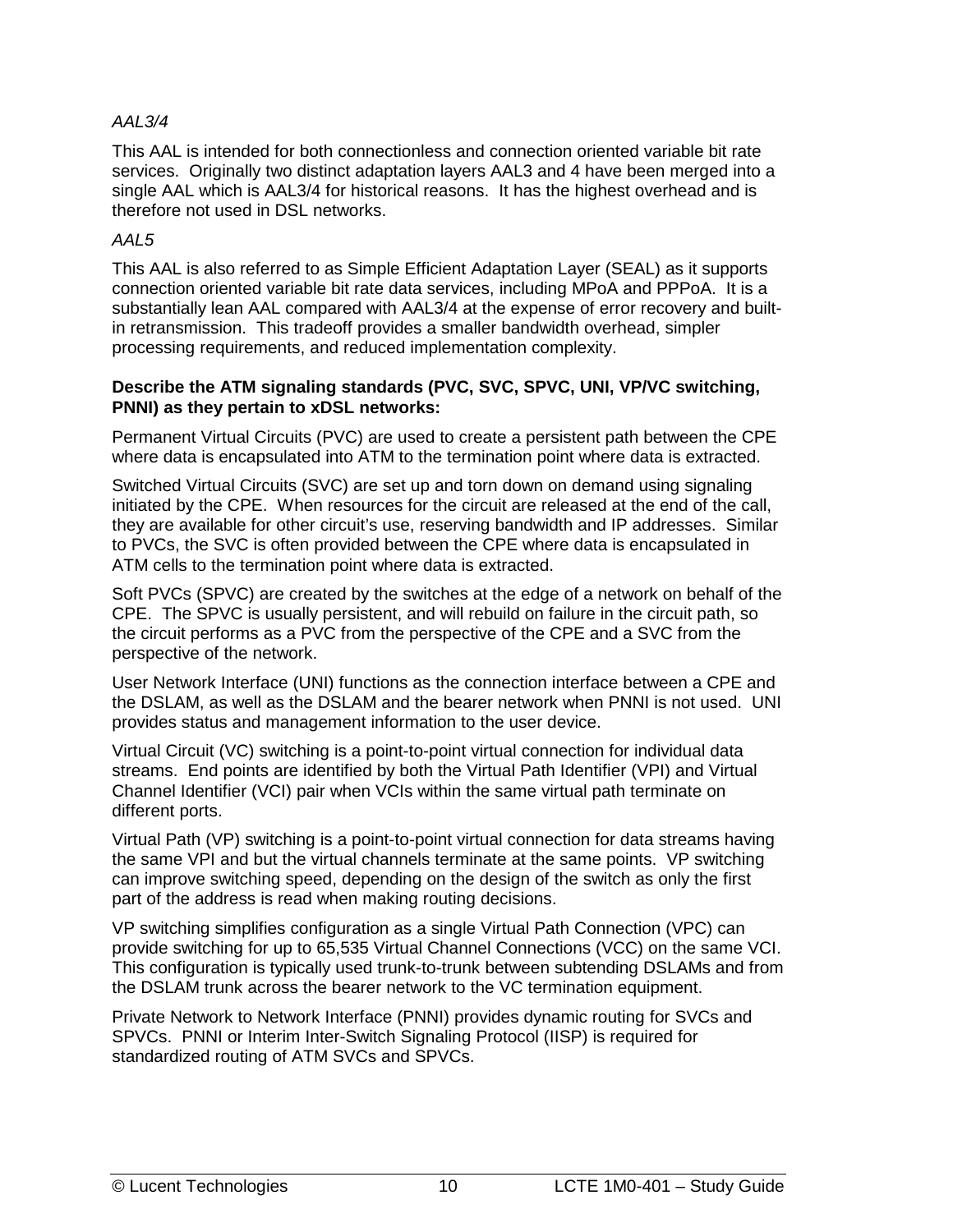#### *AAL3/4*

This AAL is intended for both connectionless and connection oriented variable bit rate services. Originally two distinct adaptation layers AAL3 and 4 have been merged into a single AAL which is AAL3/4 for historical reasons. It has the highest overhead and is therefore not used in DSL networks.

#### *AAL5*

This AAL is also referred to as Simple Efficient Adaptation Layer (SEAL) as it supports connection oriented variable bit rate data services, including MPoA and PPPoA. It is a substantially lean AAL compared with AAL3/4 at the expense of error recovery and builtin retransmission. This tradeoff provides a smaller bandwidth overhead, simpler processing requirements, and reduced implementation complexity.

#### **Describe the ATM signaling standards (PVC, SVC, SPVC, UNI, VP/VC switching, PNNI) as they pertain to xDSL networks:**

Permanent Virtual Circuits (PVC) are used to create a persistent path between the CPE where data is encapsulated into ATM to the termination point where data is extracted.

Switched Virtual Circuits (SVC) are set up and torn down on demand using signaling initiated by the CPE. When resources for the circuit are released at the end of the call, they are available for other circuit's use, reserving bandwidth and IP addresses. Similar to PVCs, the SVC is often provided between the CPE where data is encapsulated in ATM cells to the termination point where data is extracted.

Soft PVCs (SPVC) are created by the switches at the edge of a network on behalf of the CPE. The SPVC is usually persistent, and will rebuild on failure in the circuit path, so the circuit performs as a PVC from the perspective of the CPE and a SVC from the perspective of the network.

User Network Interface (UNI) functions as the connection interface between a CPE and the DSLAM, as well as the DSLAM and the bearer network when PNNI is not used. UNI provides status and management information to the user device.

Virtual Circuit (VC) switching is a point-to-point virtual connection for individual data streams. End points are identified by both the Virtual Path Identifier (VPI) and Virtual Channel Identifier (VCI) pair when VCIs within the same virtual path terminate on different ports.

Virtual Path (VP) switching is a point-to-point virtual connection for data streams having the same VPI and but the virtual channels terminate at the same points. VP switching can improve switching speed, depending on the design of the switch as only the first part of the address is read when making routing decisions.

VP switching simplifies configuration as a single Virtual Path Connection (VPC) can provide switching for up to 65,535 Virtual Channel Connections (VCC) on the same VCI. This configuration is typically used trunk-to-trunk between subtending DSLAMs and from the DSLAM trunk across the bearer network to the VC termination equipment.

Private Network to Network Interface (PNNI) provides dynamic routing for SVCs and SPVCs. PNNI or Interim Inter-Switch Signaling Protocol (IISP) is required for standardized routing of ATM SVCs and SPVCs.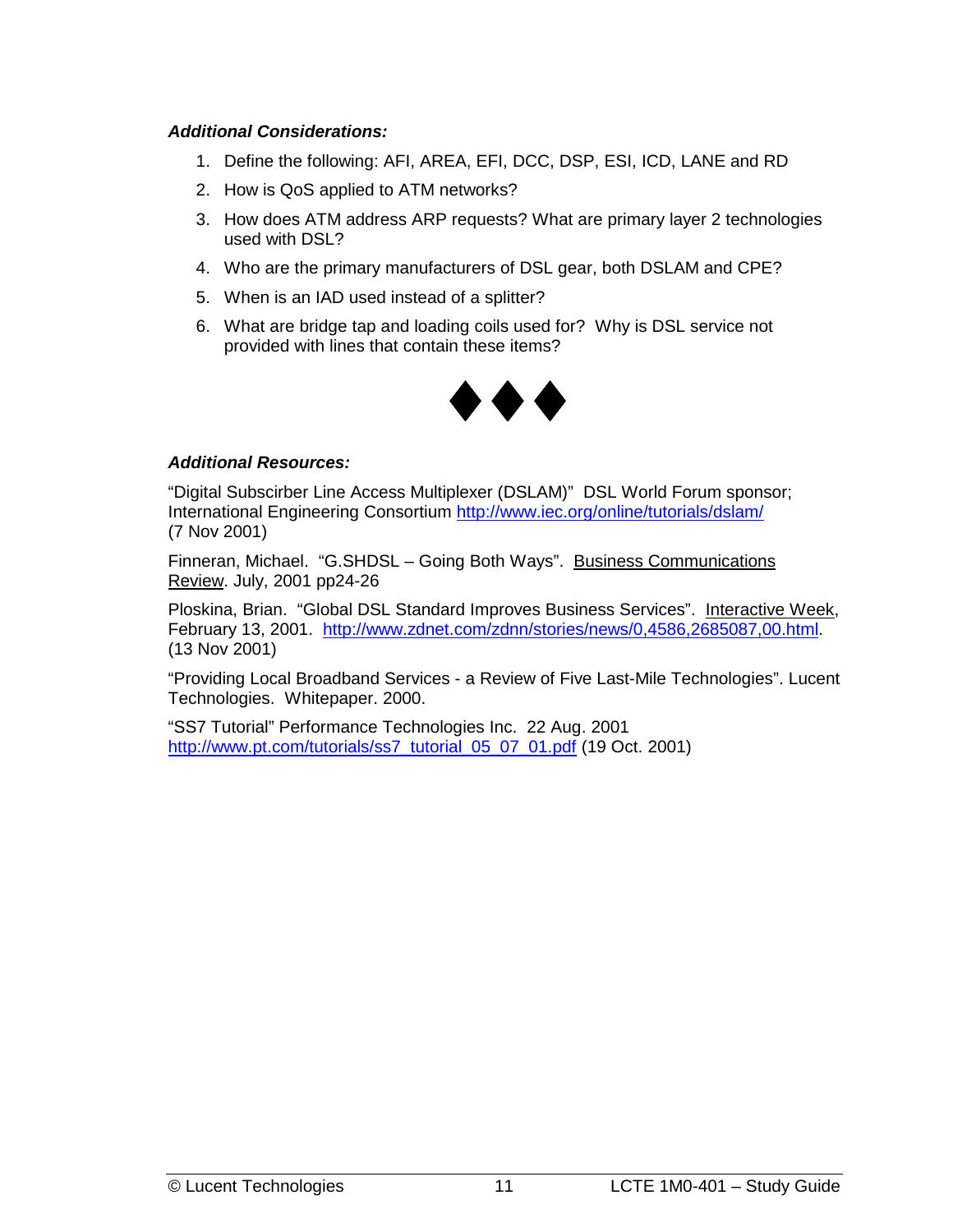#### *Additional Considerations:*

- 1. Define the following: AFI, AREA, EFI, DCC, DSP, ESI, ICD, LANE and RD
- 2. How is QoS applied to ATM networks?
- 3. How does ATM address ARP requests? What are primary layer 2 technologies used with DSL?
- 4. Who are the primary manufacturers of DSL gear, both DSLAM and CPE?
- 5. When is an IAD used instead of a splitter?
- 6. What are bridge tap and loading coils used for? Why is DSL service not provided with lines that contain these items?



#### *Additional Resources:*

"Digital Subscirber Line Access Multiplexer (DSLAM)" DSL World Forum sponsor; International Engineering Consortium http://www.iec.org/online/tutorials/dslam/ (7 Nov 2001)

Finneran, Michael. "G.SHDSL – Going Both Ways". Business Communications Review. July, 2001 pp24-26

Ploskina, Brian. "Global DSL Standard Improves Business Services". Interactive Week, February 13, 2001. [http://www.zdnet.com/zdnn/stories/news/0,4586,2685087,00.html.](http://www.zdnet.com/zdnn/stories/news/0,4586,2685087,00.html) (13 Nov 2001)

"Providing Local Broadband Services - a Review of Five Last-Mile Technologies". Lucent Technologies. Whitepaper. 2000.

"SS7 Tutorial" Performance Technologies Inc. 22 Aug. 2001 http://www.pt.com/tutorials/ss7\_tutorial\_05\_07\_01.pdf (19 Oct. 2001)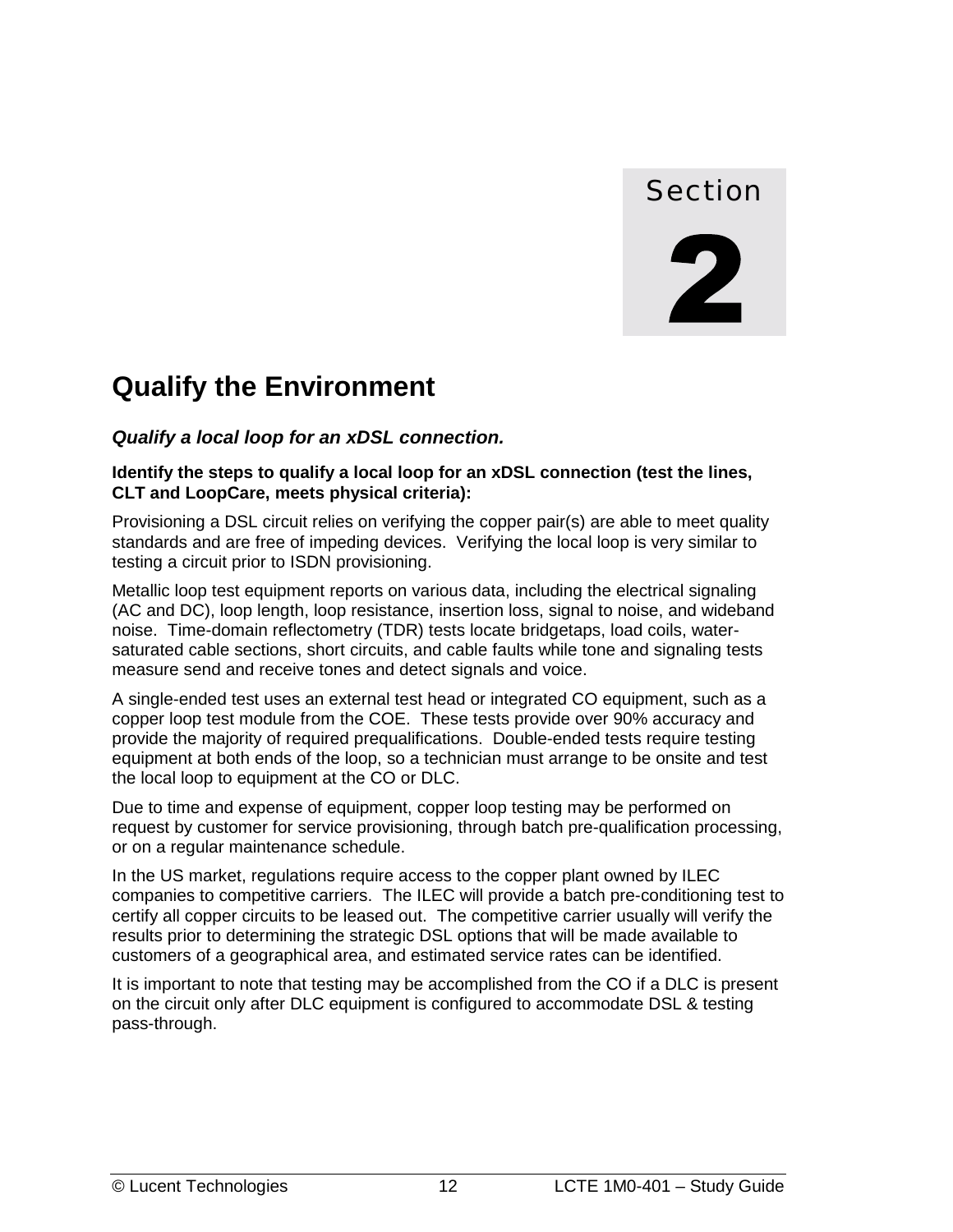

# <span id="page-19-0"></span>**Qualify the Environment**

*Qualify a local loop for an xDSL connection.* 

**Identify the steps to qualify a local loop for an xDSL connection (test the lines, CLT and LoopCare, meets physical criteria):** 

Provisioning a DSL circuit relies on verifying the copper pair(s) are able to meet quality standards and are free of impeding devices. Verifying the local loop is very similar to testing a circuit prior to ISDN provisioning.

Metallic loop test equipment reports on various data, including the electrical signaling (AC and DC), loop length, loop resistance, insertion loss, signal to noise, and wideband noise. Time-domain reflectometry (TDR) tests locate bridgetaps, load coils, watersaturated cable sections, short circuits, and cable faults while tone and signaling tests measure send and receive tones and detect signals and voice.

A single-ended test uses an external test head or integrated CO equipment, such as a copper loop test module from the COE. These tests provide over 90% accuracy and provide the majority of required prequalifications. Double-ended tests require testing equipment at both ends of the loop, so a technician must arrange to be onsite and test the local loop to equipment at the CO or DLC.

Due to time and expense of equipment, copper loop testing may be performed on request by customer for service provisioning, through batch pre-qualification processing, or on a regular maintenance schedule.

In the US market, regulations require access to the copper plant owned by ILEC companies to competitive carriers. The ILEC will provide a batch pre-conditioning test to certify all copper circuits to be leased out. The competitive carrier usually will verify the results prior to determining the strategic DSL options that will be made available to customers of a geographical area, and estimated service rates can be identified.

It is important to note that testing may be accomplished from the CO if a DLC is present on the circuit only after DLC equipment is configured to accommodate DSL & testing pass-through.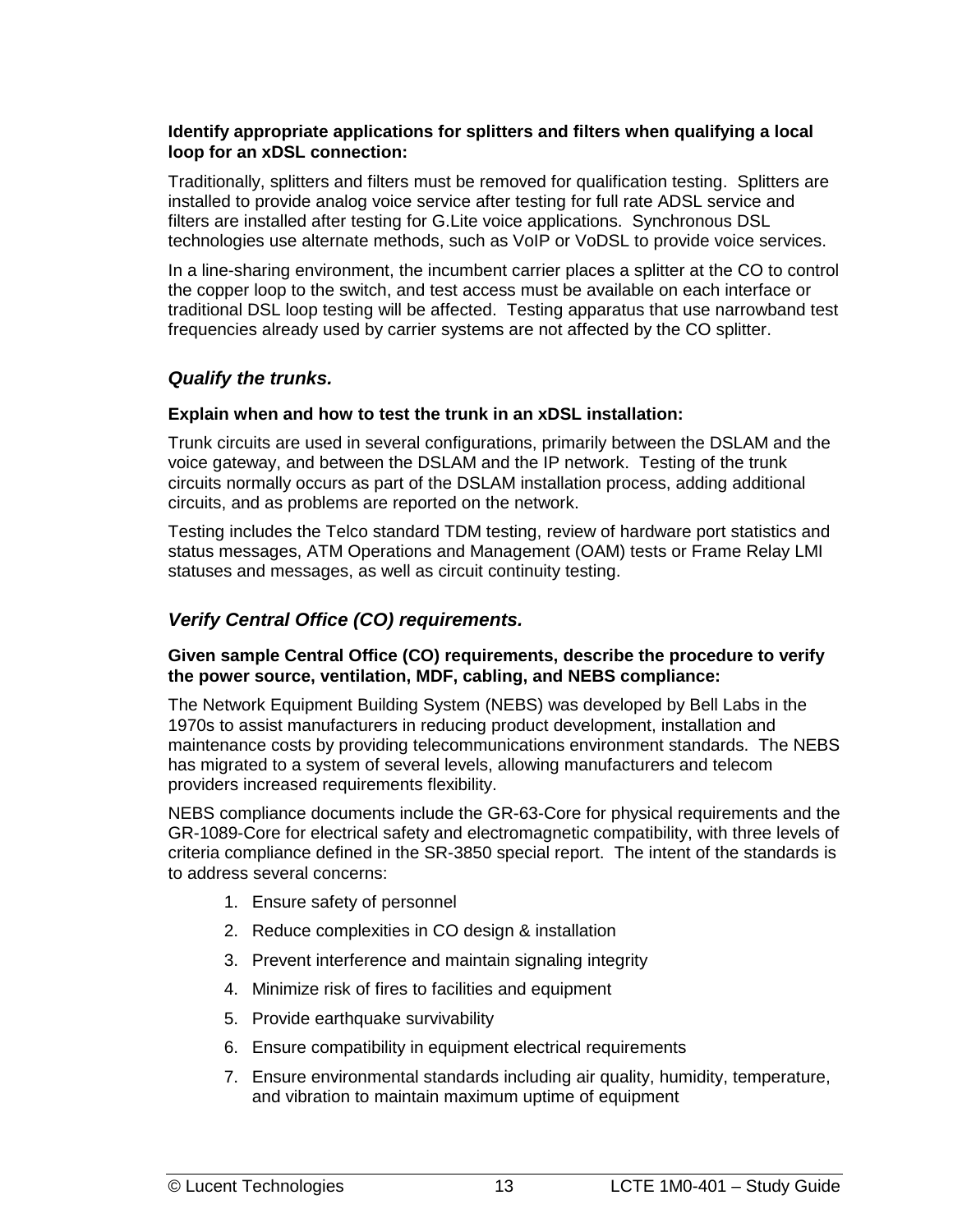#### <span id="page-20-0"></span>**Identify appropriate applications for splitters and filters when qualifying a local loop for an xDSL connection:**

Traditionally, splitters and filters must be removed for qualification testing. Splitters are installed to provide analog voice service after testing for full rate ADSL service and filters are installed after testing for G.Lite voice applications. Synchronous DSL technologies use alternate methods, such as VoIP or VoDSL to provide voice services.

In a line-sharing environment, the incumbent carrier places a splitter at the CO to control the copper loop to the switch, and test access must be available on each interface or traditional DSL loop testing will be affected. Testing apparatus that use narrowband test frequencies already used by carrier systems are not affected by the CO splitter.

#### *Qualify the trunks.*

#### **Explain when and how to test the trunk in an xDSL installation:**

Trunk circuits are used in several configurations, primarily between the DSLAM and the voice gateway, and between the DSLAM and the IP network. Testing of the trunk circuits normally occurs as part of the DSLAM installation process, adding additional circuits, and as problems are reported on the network.

Testing includes the Telco standard TDM testing, review of hardware port statistics and status messages, ATM Operations and Management (OAM) tests or Frame Relay LMI statuses and messages, as well as circuit continuity testing.

#### *Verify Central Office (CO) requirements.*

#### **Given sample Central Office (CO) requirements, describe the procedure to verify the power source, ventilation, MDF, cabling, and NEBS compliance:**

The Network Equipment Building System (NEBS) was developed by Bell Labs in the 1970s to assist manufacturers in reducing product development, installation and maintenance costs by providing telecommunications environment standards. The NEBS has migrated to a system of several levels, allowing manufacturers and telecom providers increased requirements flexibility.

NEBS compliance documents include the GR-63-Core for physical requirements and the GR-1089-Core for electrical safety and electromagnetic compatibility, with three levels of criteria compliance defined in the SR-3850 special report. The intent of the standards is to address several concerns:

- 1. Ensure safety of personnel
- 2. Reduce complexities in CO design & installation
- 3. Prevent interference and maintain signaling integrity
- 4. Minimize risk of fires to facilities and equipment
- 5. Provide earthquake survivability
- 6. Ensure compatibility in equipment electrical requirements
- 7. Ensure environmental standards including air quality, humidity, temperature, and vibration to maintain maximum uptime of equipment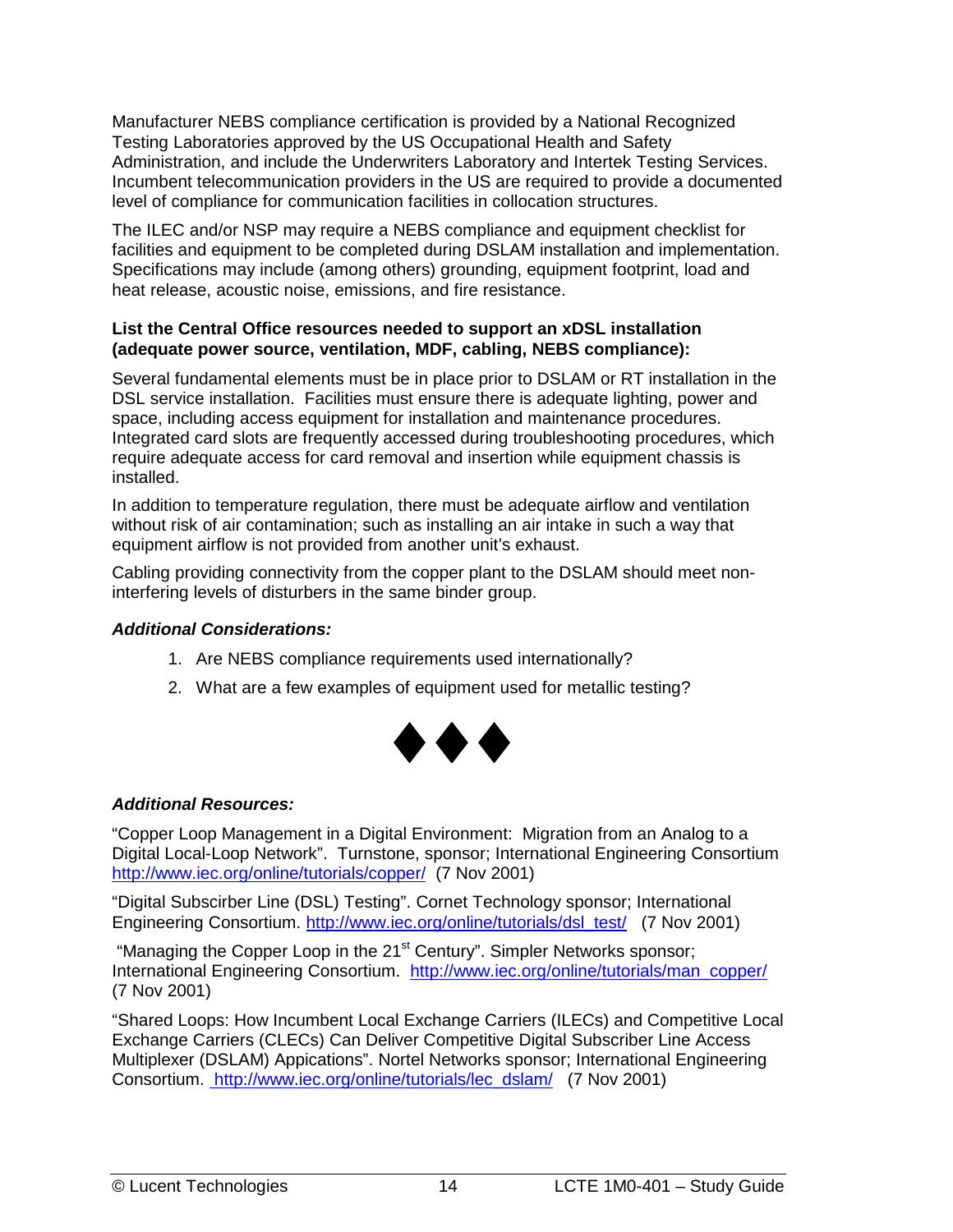Manufacturer NEBS compliance certification is provided by a National Recognized Testing Laboratories approved by the US Occupational Health and Safety Administration, and include the Underwriters Laboratory and Intertek Testing Services. Incumbent telecommunication providers in the US are required to provide a documented level of compliance for communication facilities in collocation structures.

The ILEC and/or NSP may require a NEBS compliance and equipment checklist for facilities and equipment to be completed during DSLAM installation and implementation. Specifications may include (among others) grounding, equipment footprint, load and heat release, acoustic noise, emissions, and fire resistance.

#### **List the Central Office resources needed to support an xDSL installation (adequate power source, ventilation, MDF, cabling, NEBS compliance):**

Several fundamental elements must be in place prior to DSLAM or RT installation in the DSL service installation. Facilities must ensure there is adequate lighting, power and space, including access equipment for installation and maintenance procedures. Integrated card slots are frequently accessed during troubleshooting procedures, which require adequate access for card removal and insertion while equipment chassis is installed.

In addition to temperature regulation, there must be adequate airflow and ventilation without risk of air contamination; such as installing an air intake in such a way that equipment airflow is not provided from another unit's exhaust.

Cabling providing connectivity from the copper plant to the DSLAM should meet noninterfering levels of disturbers in the same binder group.

#### *Additional Considerations:*

- 1. Are NEBS compliance requirements used internationally?
- 2. What are a few examples of equipment used for metallic testing?



#### *Additional Resources:*

"Copper Loop Management in a Digital Environment: Migration from an Analog to a Digital Local-Loop Network". Turnstone, sponsor; International Engineering Consortium http://www.iec.org/online/tutorials/copper/ (7 Nov 2001)

"Digital Subscirber Line (DSL) Testing". Cornet Technology sponsor; International Engineering Consortium. http://www.iec.org/online/tutorials/dsl\_test/ (7 Nov 2001)

"Managing the Copper Loop in the 21<sup>st</sup> Century". Simpler Networks sponsor; International Engineering Consortium. http://www.iec.org/online/tutorials/man\_copper/ (7 Nov 2001)

"Shared Loops: How Incumbent Local Exchange Carriers (ILECs) and Competitive Local Exchange Carriers (CLECs) Can Deliver Competitive Digital Subscriber Line Access Multiplexer (DSLAM) Appications". Nortel Networks sponsor; International Engineering Consortium. http://www.iec.org/online/tutorials/lec\_dslam/ (7 Nov 2001)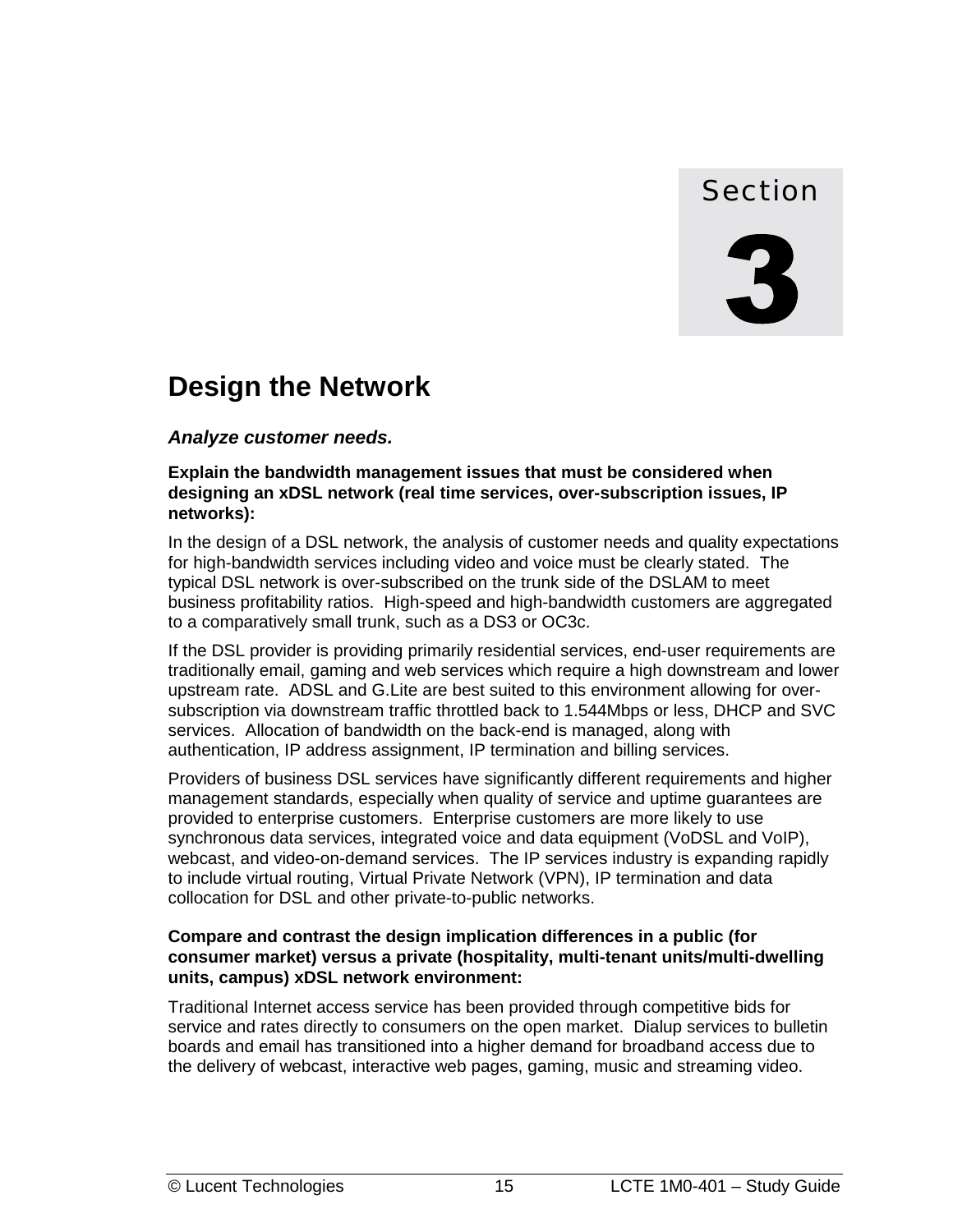### Section

# <span id="page-22-0"></span>**Design the Network**

#### *Analyze customer needs.*

#### **Explain the bandwidth management issues that must be considered when designing an xDSL network (real time services, over-subscription issues, IP networks):**

In the design of a DSL network, the analysis of customer needs and quality expectations for high-bandwidth services including video and voice must be clearly stated. The typical DSL network is over-subscribed on the trunk side of the DSLAM to meet business profitability ratios. High-speed and high-bandwidth customers are aggregated to a comparatively small trunk, such as a DS3 or OC3c.

If the DSL provider is providing primarily residential services, end-user requirements are traditionally email, gaming and web services which require a high downstream and lower upstream rate. ADSL and G.Lite are best suited to this environment allowing for oversubscription via downstream traffic throttled back to 1.544Mbps or less, DHCP and SVC services. Allocation of bandwidth on the back-end is managed, along with authentication, IP address assignment, IP termination and billing services.

Providers of business DSL services have significantly different requirements and higher management standards, especially when quality of service and uptime guarantees are provided to enterprise customers. Enterprise customers are more likely to use synchronous data services, integrated voice and data equipment (VoDSL and VoIP), webcast, and video-on-demand services. The IP services industry is expanding rapidly to include virtual routing, Virtual Private Network (VPN), IP termination and data collocation for DSL and other private-to-public networks.

#### **Compare and contrast the design implication differences in a public (for consumer market) versus a private (hospitality, multi-tenant units/multi-dwelling units, campus) xDSL network environment:**

Traditional Internet access service has been provided through competitive bids for service and rates directly to consumers on the open market. Dialup services to bulletin boards and email has transitioned into a higher demand for broadband access due to the delivery of webcast, interactive web pages, gaming, music and streaming video.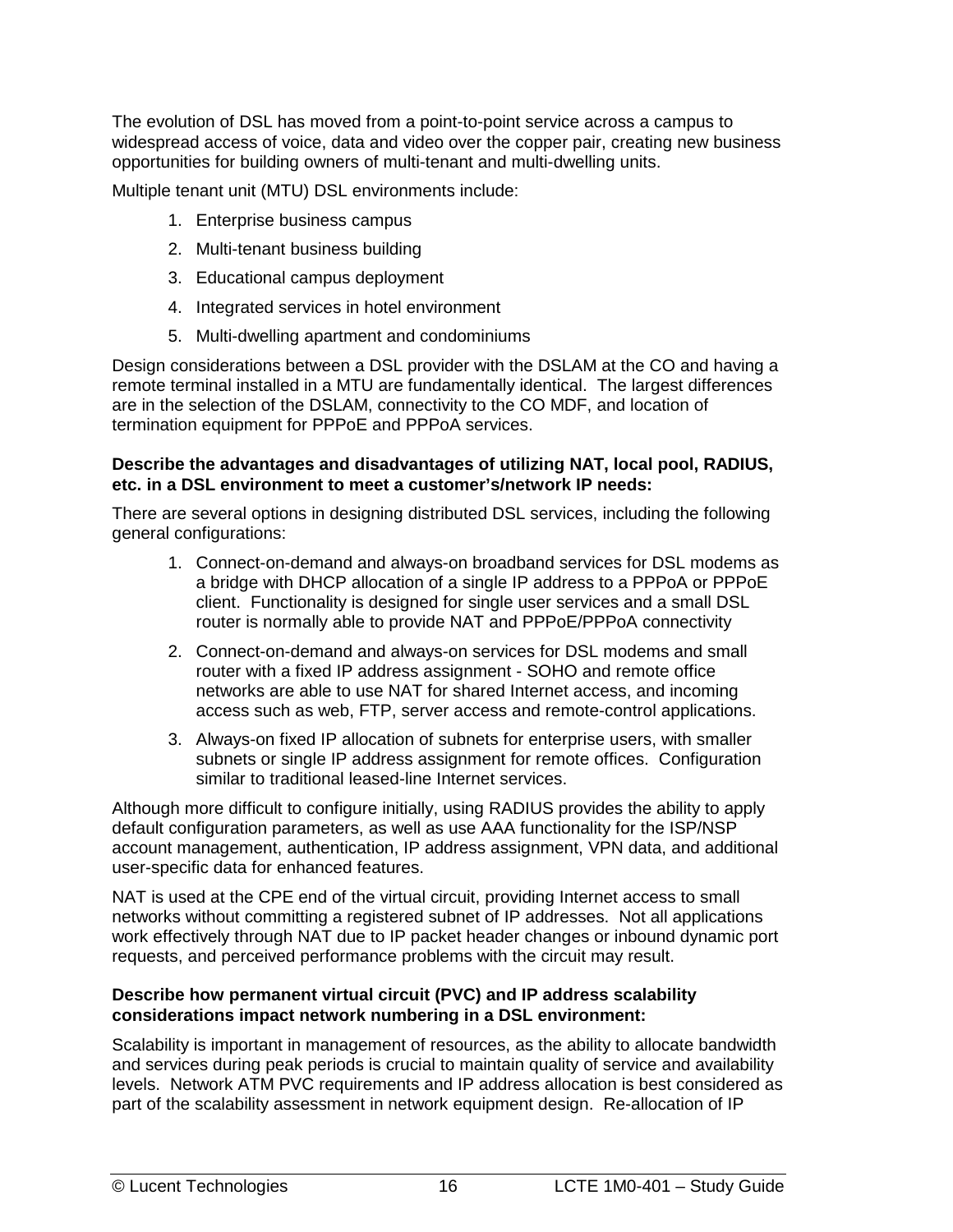The evolution of DSL has moved from a point-to-point service across a campus to widespread access of voice, data and video over the copper pair, creating new business opportunities for building owners of multi-tenant and multi-dwelling units.

Multiple tenant unit (MTU) DSL environments include:

- 1. Enterprise business campus
- 2. Multi-tenant business building
- 3. Educational campus deployment
- 4. Integrated services in hotel environment
- 5. Multi-dwelling apartment and condominiums

Design considerations between a DSL provider with the DSLAM at the CO and having a remote terminal installed in a MTU are fundamentally identical. The largest differences are in the selection of the DSLAM, connectivity to the CO MDF, and location of termination equipment for PPPoE and PPPoA services.

#### **Describe the advantages and disadvantages of utilizing NAT, local pool, RADIUS, etc. in a DSL environment to meet a customer's/network IP needs:**

There are several options in designing distributed DSL services, including the following general configurations:

- 1. Connect-on-demand and always-on broadband services for DSL modems as a bridge with DHCP allocation of a single IP address to a PPPoA or PPPoE client. Functionality is designed for single user services and a small DSL router is normally able to provide NAT and PPPoE/PPPoA connectivity
- 2. Connect-on-demand and always-on services for DSL modems and small router with a fixed IP address assignment - SOHO and remote office networks are able to use NAT for shared Internet access, and incoming access such as web, FTP, server access and remote-control applications.
- 3. Always-on fixed IP allocation of subnets for enterprise users, with smaller subnets or single IP address assignment for remote offices. Configuration similar to traditional leased-line Internet services.

Although more difficult to configure initially, using RADIUS provides the ability to apply default configuration parameters, as well as use AAA functionality for the ISP/NSP account management, authentication, IP address assignment, VPN data, and additional user-specific data for enhanced features.

NAT is used at the CPE end of the virtual circuit, providing Internet access to small networks without committing a registered subnet of IP addresses. Not all applications work effectively through NAT due to IP packet header changes or inbound dynamic port requests, and perceived performance problems with the circuit may result.

#### **Describe how permanent virtual circuit (PVC) and IP address scalability considerations impact network numbering in a DSL environment:**

Scalability is important in management of resources, as the ability to allocate bandwidth and services during peak periods is crucial to maintain quality of service and availability levels. Network ATM PVC requirements and IP address allocation is best considered as part of the scalability assessment in network equipment design. Re-allocation of IP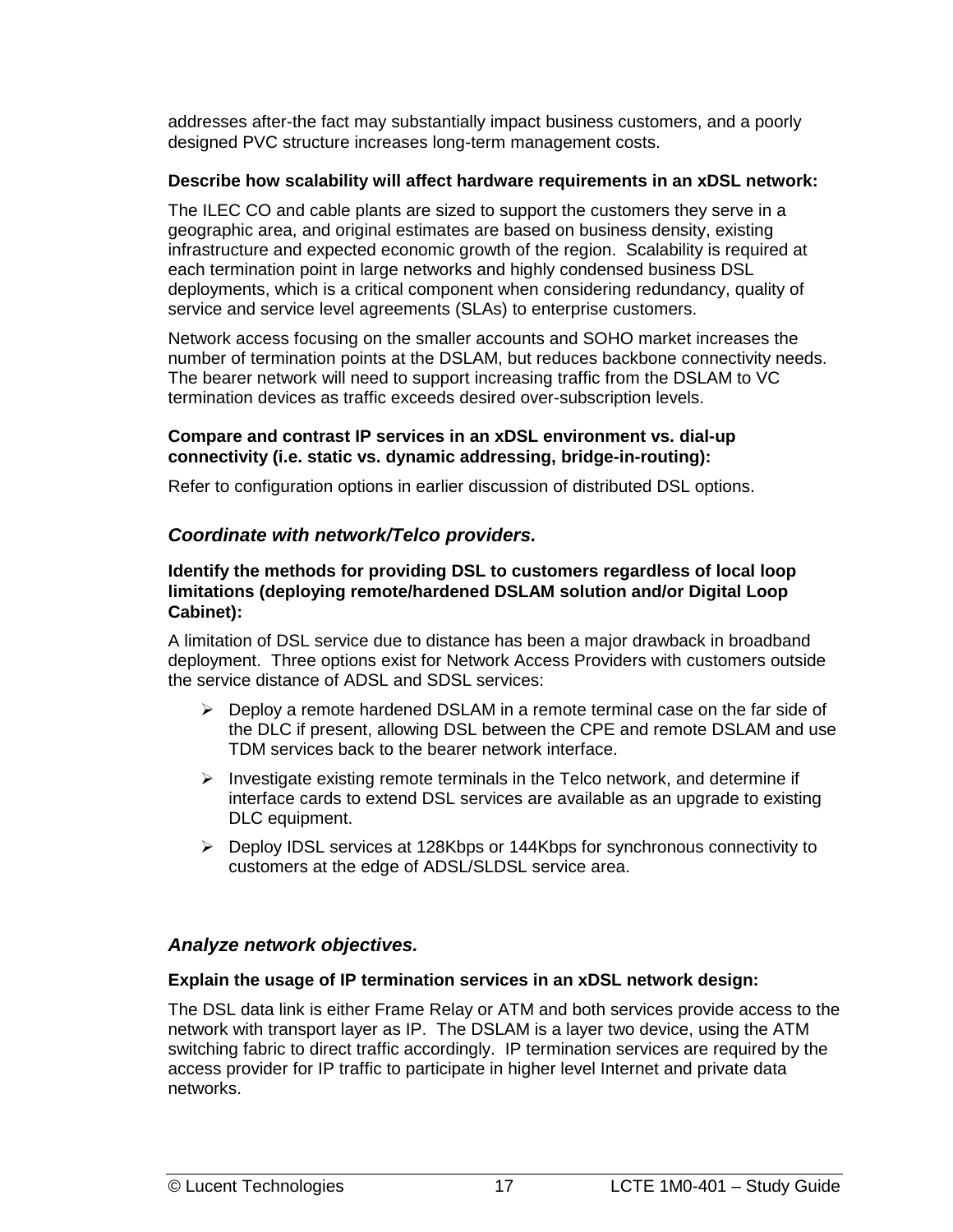<span id="page-24-0"></span>addresses after-the fact may substantially impact business customers, and a poorly designed PVC structure increases long-term management costs.

#### **Describe how scalability will affect hardware requirements in an xDSL network:**

The ILEC CO and cable plants are sized to support the customers they serve in a geographic area, and original estimates are based on business density, existing infrastructure and expected economic growth of the region. Scalability is required at each termination point in large networks and highly condensed business DSL deployments, which is a critical component when considering redundancy, quality of service and service level agreements (SLAs) to enterprise customers.

Network access focusing on the smaller accounts and SOHO market increases the number of termination points at the DSLAM, but reduces backbone connectivity needs. The bearer network will need to support increasing traffic from the DSLAM to VC termination devices as traffic exceeds desired over-subscription levels.

#### **Compare and contrast IP services in an xDSL environment vs. dial-up connectivity (i.e. static vs. dynamic addressing, bridge-in-routing):**

Refer to configuration options in earlier discussion of distributed DSL options.

#### *Coordinate with network/Telco providers.*

#### **Identify the methods for providing DSL to customers regardless of local loop limitations (deploying remote/hardened DSLAM solution and/or Digital Loop Cabinet):**

A limitation of DSL service due to distance has been a major drawback in broadband deployment. Three options exist for Network Access Providers with customers outside the service distance of ADSL and SDSL services:

- > Deploy a remote hardened DSLAM in a remote terminal case on the far side of the DLC if present, allowing DSL between the CPE and remote DSLAM and use TDM services back to the bearer network interface.
- > Investigate existing remote terminals in the Telco network, and determine if interface cards to extend DSL services are available as an upgrade to existing DLC equipment.
- > Deploy IDSL services at 128Kbps or 144Kbps for synchronous connectivity to customers at the edge of ADSL/SLDSL service area.

#### *Analyze network objectives.*

#### **Explain the usage of IP termination services in an xDSL network design:**

The DSL data link is either Frame Relay or ATM and both services provide access to the network with transport layer as IP. The DSLAM is a layer two device, using the ATM switching fabric to direct traffic accordingly. IP termination services are required by the access provider for IP traffic to participate in higher level Internet and private data networks.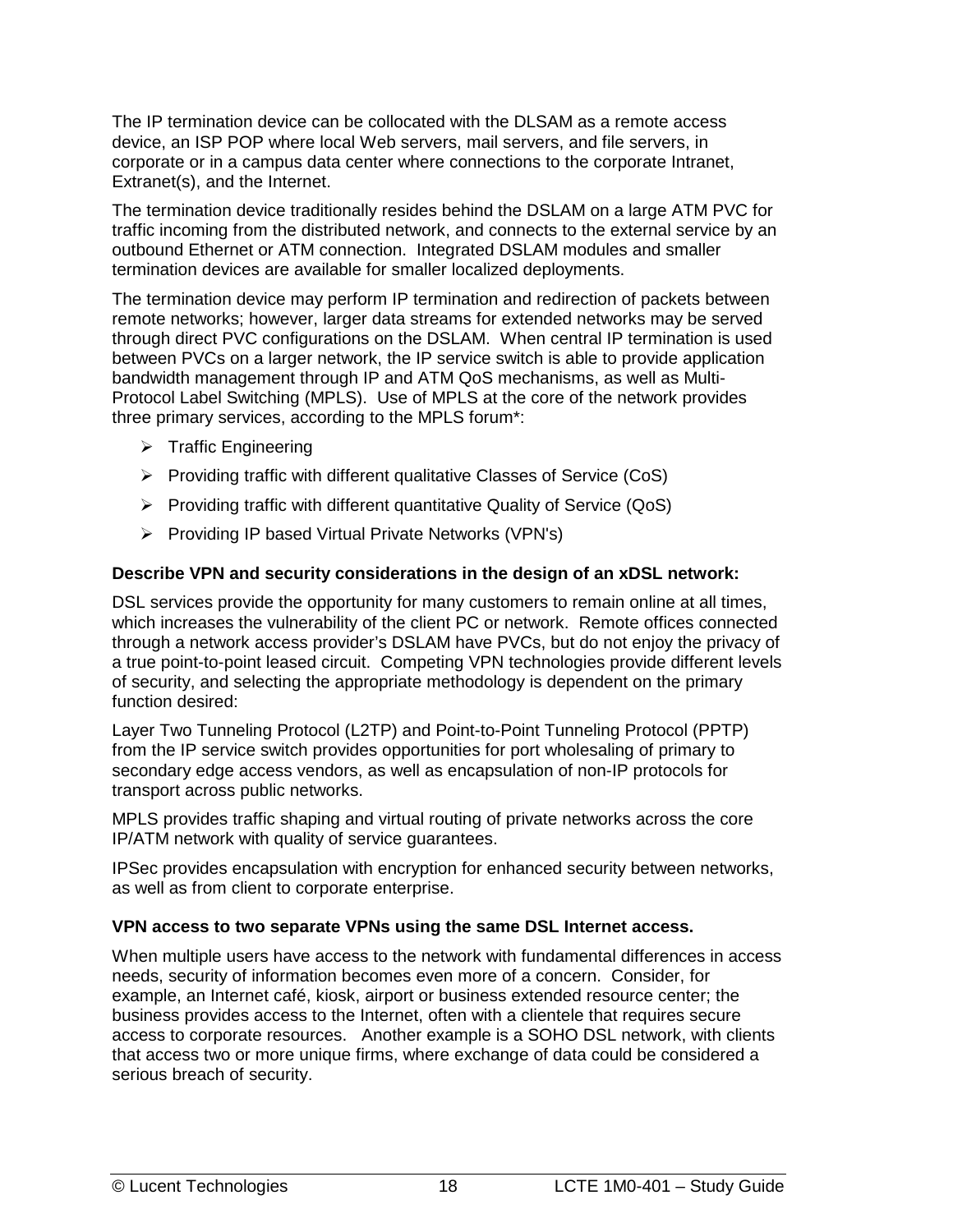The IP termination device can be collocated with the DLSAM as a remote access device, an ISP POP where local Web servers, mail servers, and file servers, in corporate or in a campus data center where connections to the corporate Intranet, Extranet(s), and the Internet.

The termination device traditionally resides behind the DSLAM on a large ATM PVC for traffic incoming from the distributed network, and connects to the external service by an outbound Ethernet or ATM connection. Integrated DSLAM modules and smaller termination devices are available for smaller localized deployments.

The termination device may perform IP termination and redirection of packets between remote networks; however, larger data streams for extended networks may be served through direct PVC configurations on the DSLAM. When central IP termination is used between PVCs on a larger network, the IP service switch is able to provide application bandwidth management through IP and ATM QoS mechanisms, as well as Multi-Protocol Label Switching (MPLS). Use of MPLS at the core of the network provides three primary services, according to the MPLS forum\*:

- > Traffic Engineering
- > Providing traffic with different qualitative Classes of Service (CoS)
- > Providing traffic with different quantitative Quality of Service (QoS)
- -Providing IP based Virtual Private Networks (VPN's)

#### **Describe VPN and security considerations in the design of an xDSL network:**

DSL services provide the opportunity for many customers to remain online at all times, which increases the vulnerability of the client PC or network. Remote offices connected through a network access provider's DSLAM have PVCs, but do not enjoy the privacy of a true point-to-point leased circuit. Competing VPN technologies provide different levels of security, and selecting the appropriate methodology is dependent on the primary function desired:

Layer Two Tunneling Protocol (L2TP) and Point-to-Point Tunneling Protocol (PPTP) from the IP service switch provides opportunities for port wholesaling of primary to secondary edge access vendors, as well as encapsulation of non-IP protocols for transport across public networks.

MPLS provides traffic shaping and virtual routing of private networks across the core IP/ATM network with quality of service guarantees.

IPSec provides encapsulation with encryption for enhanced security between networks, as well as from client to corporate enterprise.

#### **VPN access to two separate VPNs using the same DSL Internet access.**

When multiple users have access to the network with fundamental differences in access needs, security of information becomes even more of a concern. Consider, for example, an Internet café, kiosk, airport or business extended resource center; the business provides access to the Internet, often with a clientele that requires secure access to corporate resources. Another example is a SOHO DSL network, with clients that access two or more unique firms, where exchange of data could be considered a serious breach of security.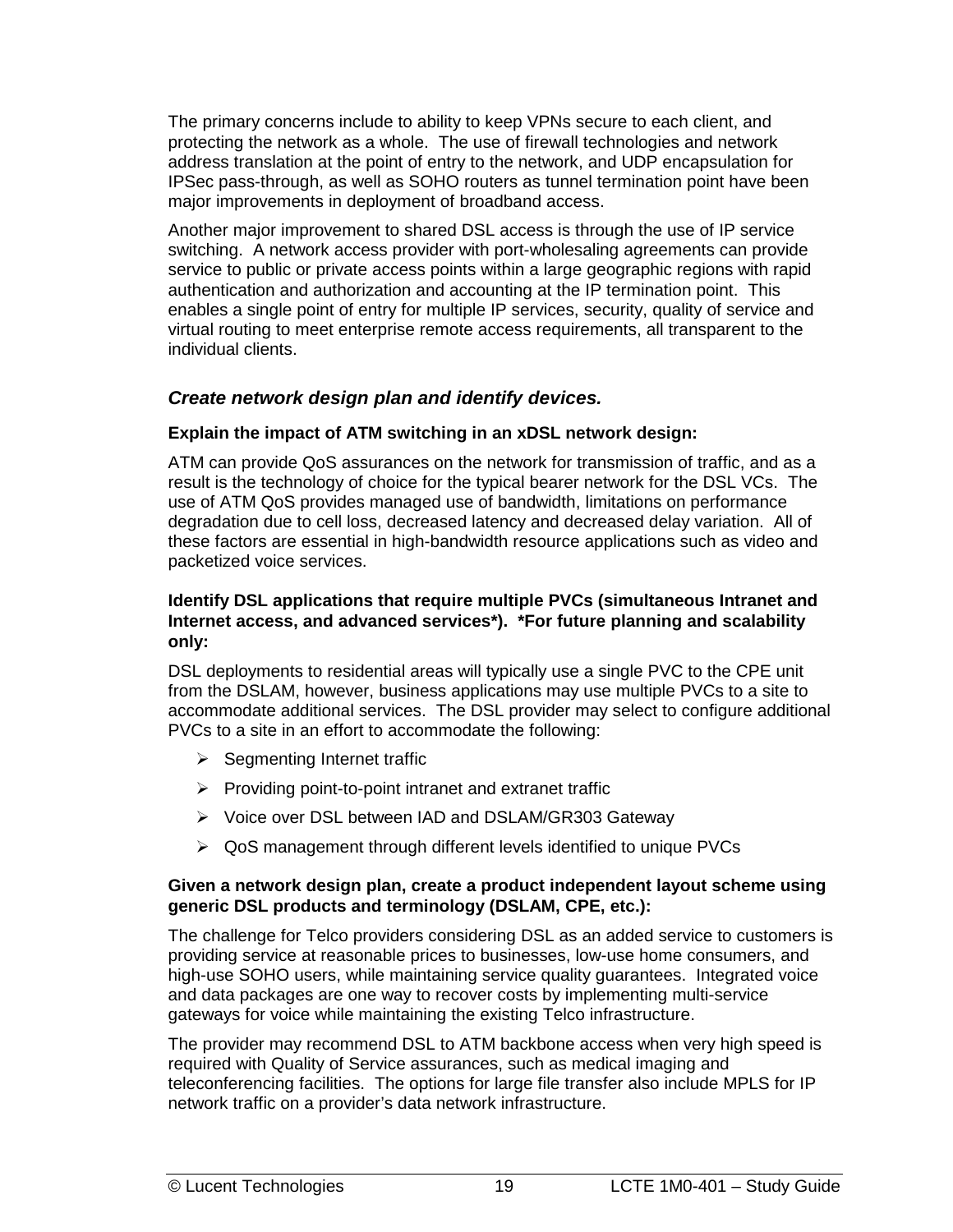<span id="page-26-0"></span>The primary concerns include to ability to keep VPNs secure to each client, and protecting the network as a whole. The use of firewall technologies and network address translation at the point of entry to the network, and UDP encapsulation for IPSec pass-through, as well as SOHO routers as tunnel termination point have been major improvements in deployment of broadband access.

Another major improvement to shared DSL access is through the use of IP service switching. A network access provider with port-wholesaling agreements can provide service to public or private access points within a large geographic regions with rapid authentication and authorization and accounting at the IP termination point. This enables a single point of entry for multiple IP services, security, quality of service and virtual routing to meet enterprise remote access requirements, all transparent to the individual clients.

#### *Create network design plan and identify devices.*

#### **Explain the impact of ATM switching in an xDSL network design:**

ATM can provide QoS assurances on the network for transmission of traffic, and as a result is the technology of choice for the typical bearer network for the DSL VCs. The use of ATM QoS provides managed use of bandwidth, limitations on performance degradation due to cell loss, decreased latency and decreased delay variation. All of these factors are essential in high-bandwidth resource applications such as video and packetized voice services.

#### **Identify DSL applications that require multiple PVCs (simultaneous Intranet and Internet access, and advanced services\*). \*For future planning and scalability only:**

DSL deployments to residential areas will typically use a single PVC to the CPE unit from the DSLAM, however, business applications may use multiple PVCs to a site to accommodate additional services. The DSL provider may select to configure additional PVCs to a site in an effort to accommodate the following:

- > Segmenting Internet traffic
- > Providing point-to-point intranet and extranet traffic
- ▶ Voice over DSL between IAD and DSLAM/GR303 Gateway
- ▶ QoS management through different levels identified to unique PVCs

#### **Given a network design plan, create a product independent layout scheme using generic DSL products and terminology (DSLAM, CPE, etc.):**

The challenge for Telco providers considering DSL as an added service to customers is providing service at reasonable prices to businesses, low-use home consumers, and high-use SOHO users, while maintaining service quality guarantees. Integrated voice and data packages are one way to recover costs by implementing multi-service gateways for voice while maintaining the existing Telco infrastructure.

The provider may recommend DSL to ATM backbone access when very high speed is required with Quality of Service assurances, such as medical imaging and teleconferencing facilities. The options for large file transfer also include MPLS for IP network traffic on a provider's data network infrastructure.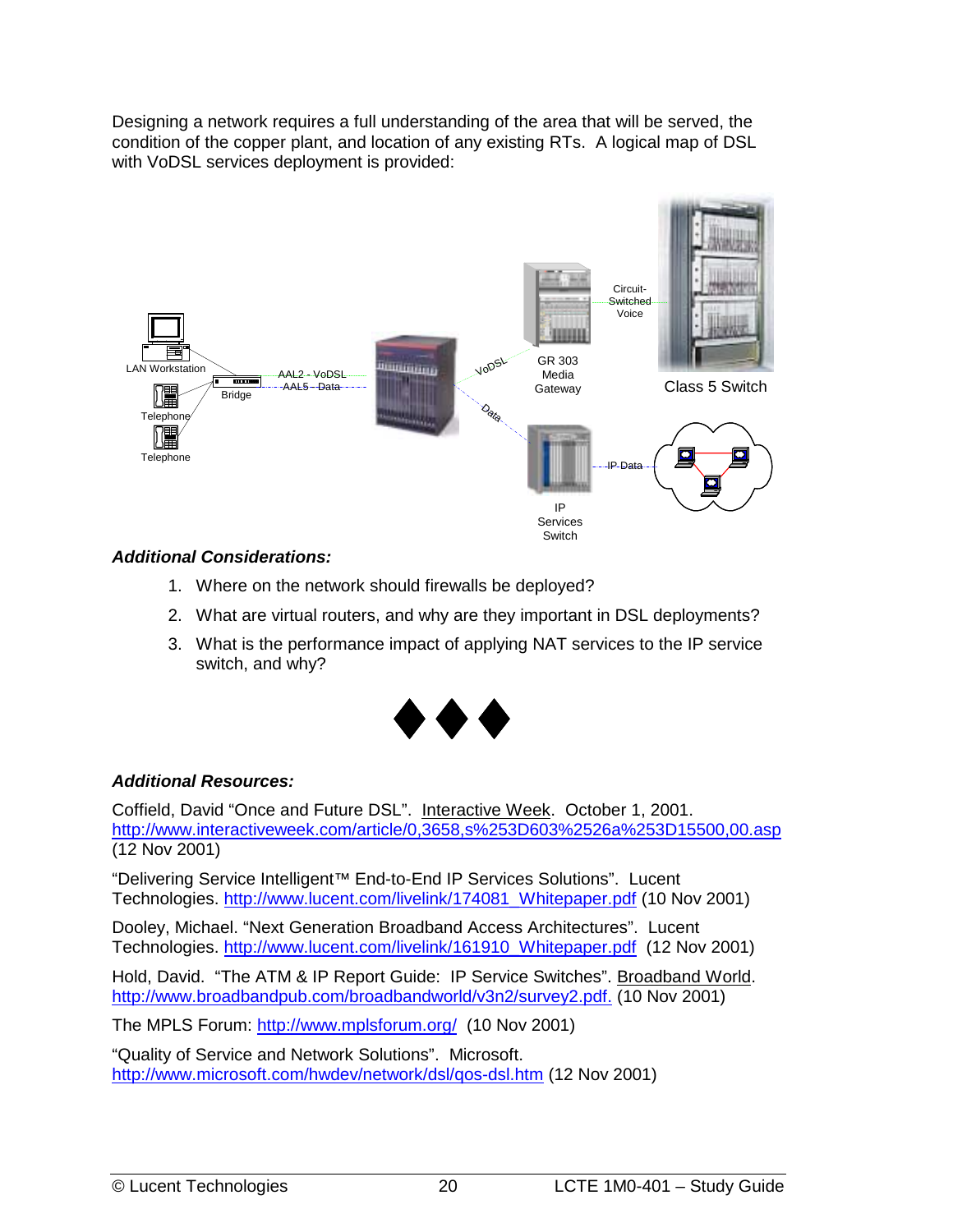Designing a network requires a full understanding of the area that will be served, the condition of the copper plant, and location of any existing RTs. A logical map of DSL with VoDSL services deployment is provided:



#### *Additional Considerations:*

- 1. Where on the network should firewalls be deployed?
- 2. What are virtual routers, and why are they important in DSL deployments?
- 3. What is the performance impact of applying NAT services to the IP service switch, and why?



#### *Additional Resources:*

Coffield, David "Once and Future DSL". Interactive Week. October 1, 2001. http://www.interactiveweek.com/article/0,3658,s%253D603%2526a%253D15500,00.asp (12 Nov 2001)

"Delivering Service Intelligent™ End-to-End IP Services Solutions". Lucent Technologies. http://www.lucent.com/livelink/174081\_Whitepaper.pdf (10 Nov 2001)

Dooley, Michael. "Next Generation Broadband Access Architectures". Lucent Technologies. http://www.lucent.com/livelink/161910\_Whitepaper.pdf (12 Nov 2001)

Hold, David. "The ATM & IP Report Guide: IP Service Switches". Broadband World. http://www.broadbandpub.com/broadbandworld/v3n2/survey2.pdf. (10 Nov 2001)

The MPLS Forum: http://www.mplsforum.org/ (10 Nov 2001)

"Quality of Service and Network Solutions". Microsoft. http://www.microsoft.com/hwdev/network/dsl/qos-dsl.htm (12 Nov 2001)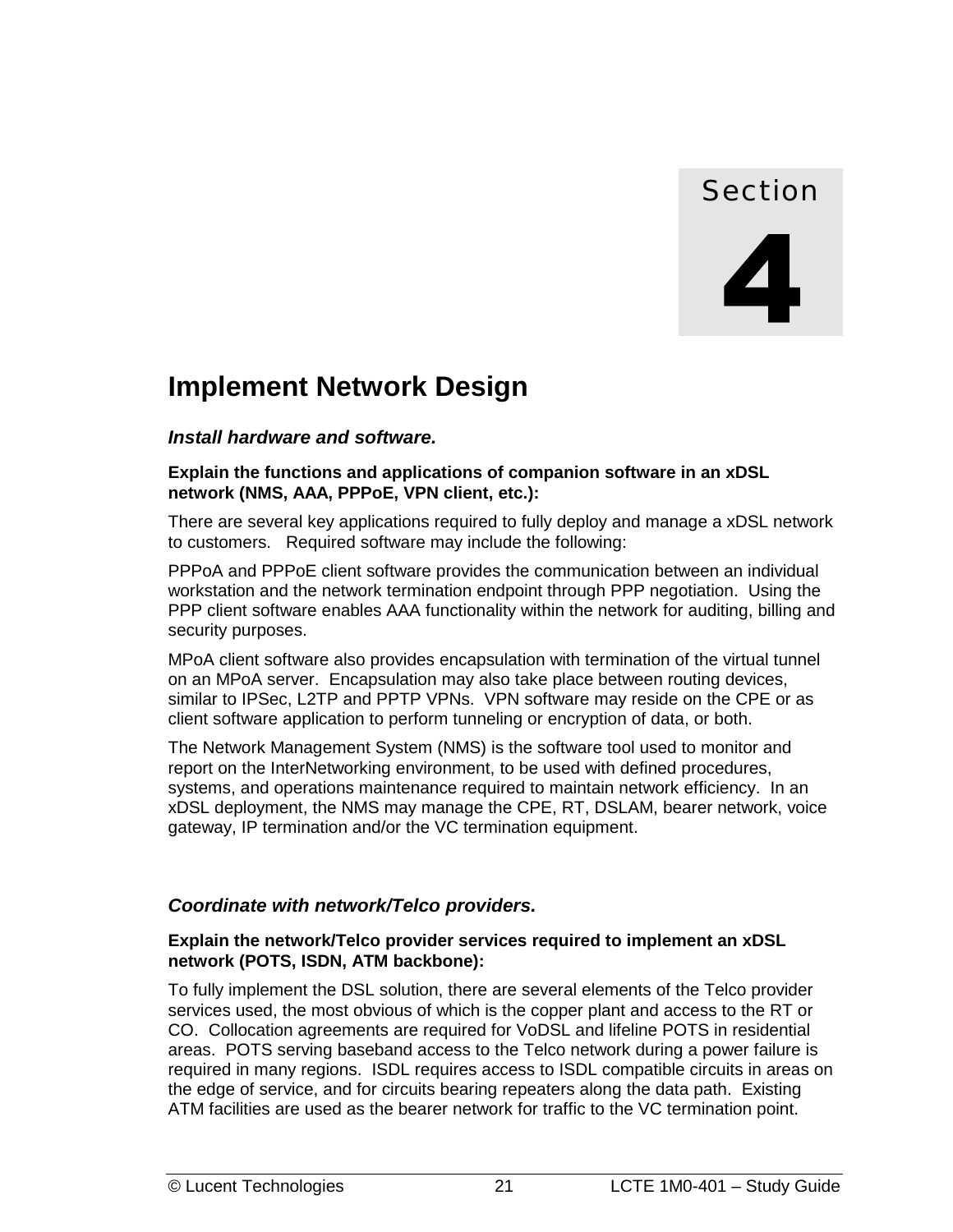# Section

# <span id="page-28-0"></span>**Implement Network Design**

#### *Install hardware and software.*

#### **Explain the functions and applications of companion software in an xDSL network (NMS, AAA, PPPoE, VPN client, etc.):**

There are several key applications required to fully deploy and manage a xDSL network to customers. Required software may include the following:

PPPoA and PPPoE client software provides the communication between an individual workstation and the network termination endpoint through PPP negotiation. Using the PPP client software enables AAA functionality within the network for auditing, billing and security purposes.

MPoA client software also provides encapsulation with termination of the virtual tunnel on an MPoA server. Encapsulation may also take place between routing devices, similar to IPSec, L2TP and PPTP VPNs. VPN software may reside on the CPE or as client software application to perform tunneling or encryption of data, or both.

The Network Management System (NMS) is the software tool used to monitor and report on the InterNetworking environment, to be used with defined procedures, systems, and operations maintenance required to maintain network efficiency. In an xDSL deployment, the NMS may manage the CPE, RT, DSLAM, bearer network, voice gateway, IP termination and/or the VC termination equipment.

#### *Coordinate with network/Telco providers.*

#### **Explain the network/Telco provider services required to implement an xDSL network (POTS, ISDN, ATM backbone):**

To fully implement the DSL solution, there are several elements of the Telco provider services used, the most obvious of which is the copper plant and access to the RT or CO. Collocation agreements are required for VoDSL and lifeline POTS in residential areas. POTS serving baseband access to the Telco network during a power failure is required in many regions. ISDL requires access to ISDL compatible circuits in areas on the edge of service, and for circuits bearing repeaters along the data path. Existing ATM facilities are used as the bearer network for traffic to the VC termination point.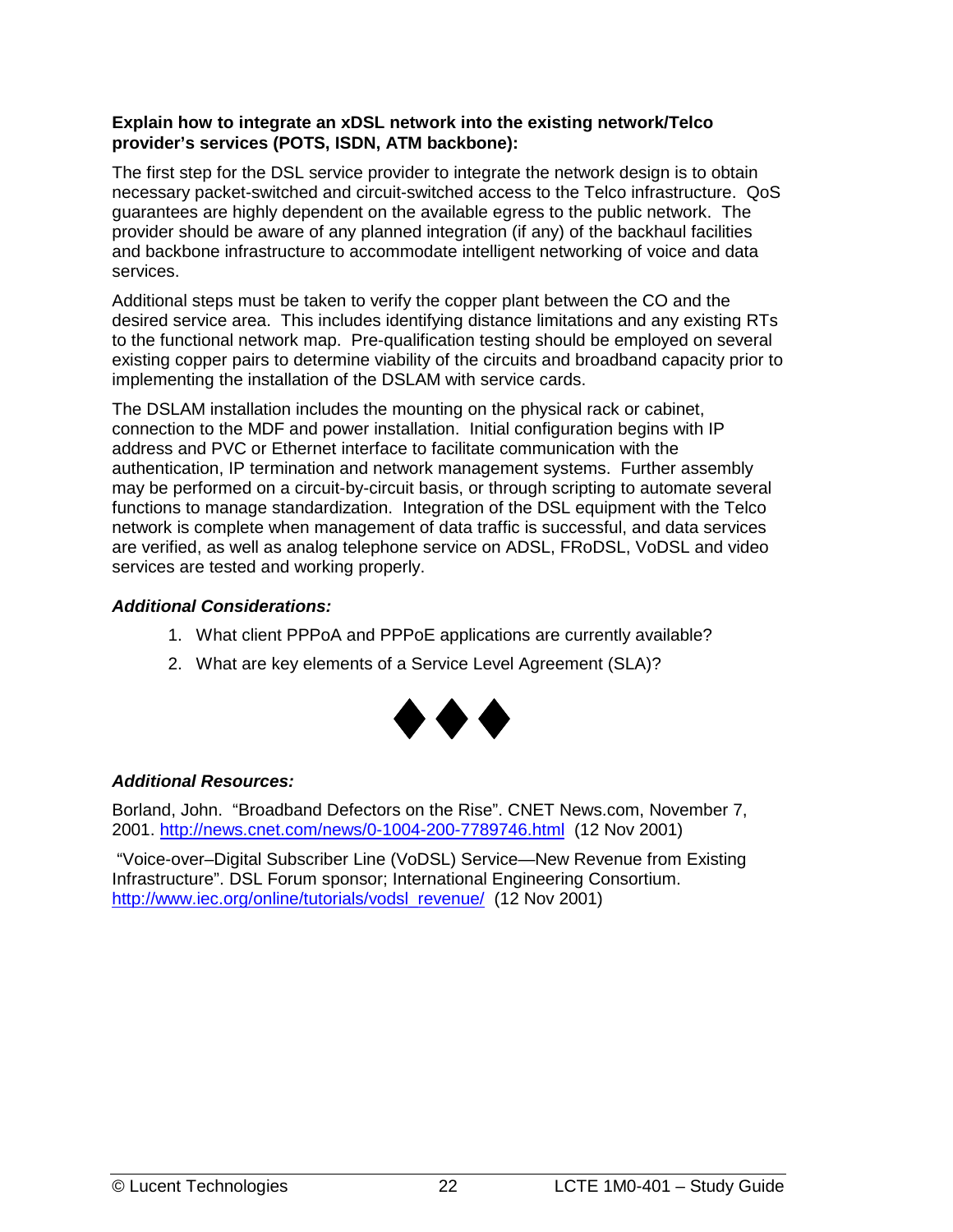#### **Explain how to integrate an xDSL network into the existing network/Telco provider's services (POTS, ISDN, ATM backbone):**

The first step for the DSL service provider to integrate the network design is to obtain necessary packet-switched and circuit-switched access to the Telco infrastructure. QoS guarantees are highly dependent on the available egress to the public network. The provider should be aware of any planned integration (if any) of the backhaul facilities and backbone infrastructure to accommodate intelligent networking of voice and data services.

Additional steps must be taken to verify the copper plant between the CO and the desired service area. This includes identifying distance limitations and any existing RTs to the functional network map. Pre-qualification testing should be employed on several existing copper pairs to determine viability of the circuits and broadband capacity prior to implementing the installation of the DSLAM with service cards.

The DSLAM installation includes the mounting on the physical rack or cabinet, connection to the MDF and power installation. Initial configuration begins with IP address and PVC or Ethernet interface to facilitate communication with the authentication, IP termination and network management systems. Further assembly may be performed on a circuit-by-circuit basis, or through scripting to automate several functions to manage standardization. Integration of the DSL equipment with the Telco network is complete when management of data traffic is successful, and data services are verified, as well as analog telephone service on ADSL, FRoDSL, VoDSL and video services are tested and working properly.

#### *Additional Considerations:*

- 1. What client PPPoA and PPPoE applications are currently available?
- 2. What are key elements of a Service Level Agreement (SLA)?



#### *Additional Resources:*

Borland, John. "Broadband Defectors on the Rise". CNET News.com, November 7, 2001. http://news.cnet.com/news/0-1004-200-7789746.html (12 Nov 2001)

 "Voice-over–Digital Subscriber Line (VoDSL) Service—New Revenue from Existing Infrastructure". DSL Forum sponsor; International Engineering Consortium. http://www.iec.org/online/tutorials/vodsl\_revenue/ (12 Nov 2001)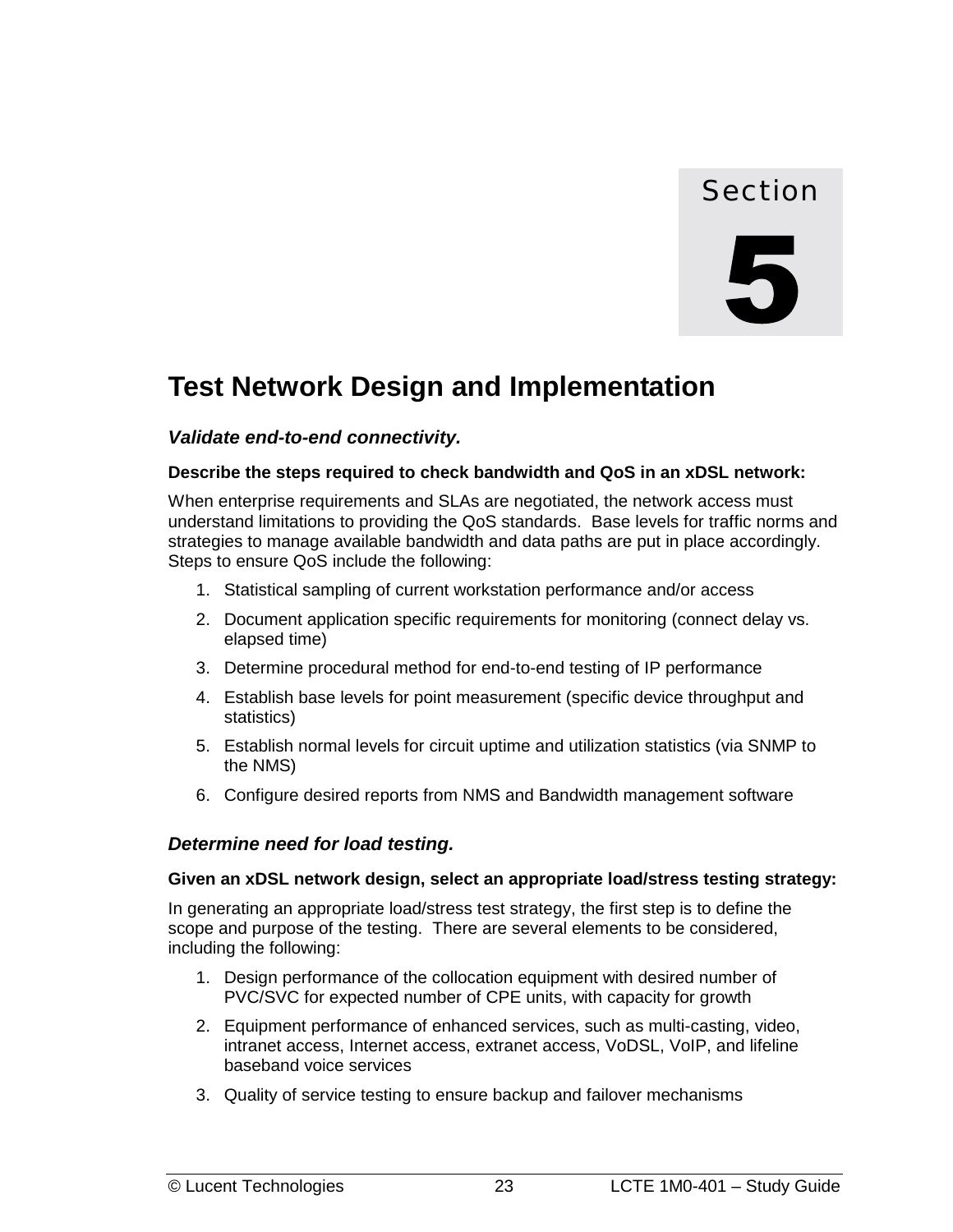## Section



# <span id="page-30-0"></span>**Test Network Design and Implementation**

#### *Validate end-to-end connectivity.*

#### **Describe the steps required to check bandwidth and QoS in an xDSL network:**

When enterprise requirements and SLAs are negotiated, the network access must understand limitations to providing the QoS standards. Base levels for traffic norms and strategies to manage available bandwidth and data paths are put in place accordingly. Steps to ensure QoS include the following:

- 1. Statistical sampling of current workstation performance and/or access
- 2. Document application specific requirements for monitoring (connect delay vs. elapsed time)
- 3. Determine procedural method for end-to-end testing of IP performance
- 4. Establish base levels for point measurement (specific device throughput and statistics)
- 5. Establish normal levels for circuit uptime and utilization statistics (via SNMP to the NMS)
- 6. Configure desired reports from NMS and Bandwidth management software

#### *Determine need for load testing.*

#### **Given an xDSL network design, select an appropriate load/stress testing strategy:**

In generating an appropriate load/stress test strategy, the first step is to define the scope and purpose of the testing. There are several elements to be considered, including the following:

- 1. Design performance of the collocation equipment with desired number of PVC/SVC for expected number of CPE units, with capacity for growth
- 2. Equipment performance of enhanced services, such as multi-casting, video, intranet access, Internet access, extranet access, VoDSL, VoIP, and lifeline baseband voice services
- 3. Quality of service testing to ensure backup and failover mechanisms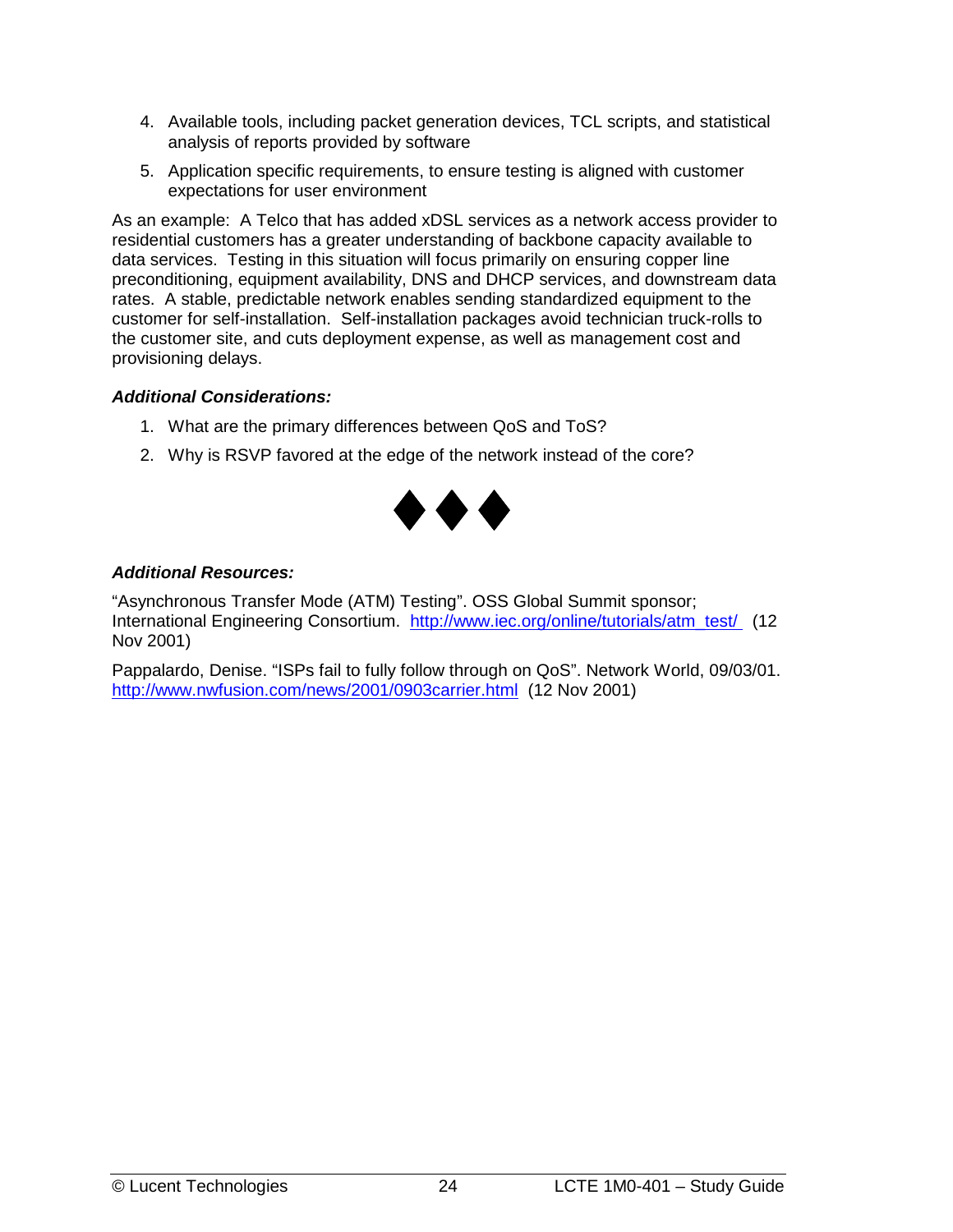- 4. Available tools, including packet generation devices, TCL scripts, and statistical analysis of reports provided by software
- 5. Application specific requirements, to ensure testing is aligned with customer expectations for user environment

As an example: A Telco that has added xDSL services as a network access provider to residential customers has a greater understanding of backbone capacity available to data services. Testing in this situation will focus primarily on ensuring copper line preconditioning, equipment availability, DNS and DHCP services, and downstream data rates. A stable, predictable network enables sending standardized equipment to the customer for self-installation. Self-installation packages avoid technician truck-rolls to the customer site, and cuts deployment expense, as well as management cost and provisioning delays.

#### *Additional Considerations:*

- 1. What are the primary differences between QoS and ToS?
- 2. Why is RSVP favored at the edge of the network instead of the core?



#### *Additional Resources:*

"Asynchronous Transfer Mode (ATM) Testing". OSS Global Summit sponsor; International Engineering Consortium. http://www.iec.org/online/tutorials/atm\_test/ (12 Nov 2001)

Pappalardo, Denise. "ISPs fail to fully follow through on QoS". Network World, 09/03/01. http://www.nwfusion.com/news/2001/0903carrier.html (12 Nov 2001)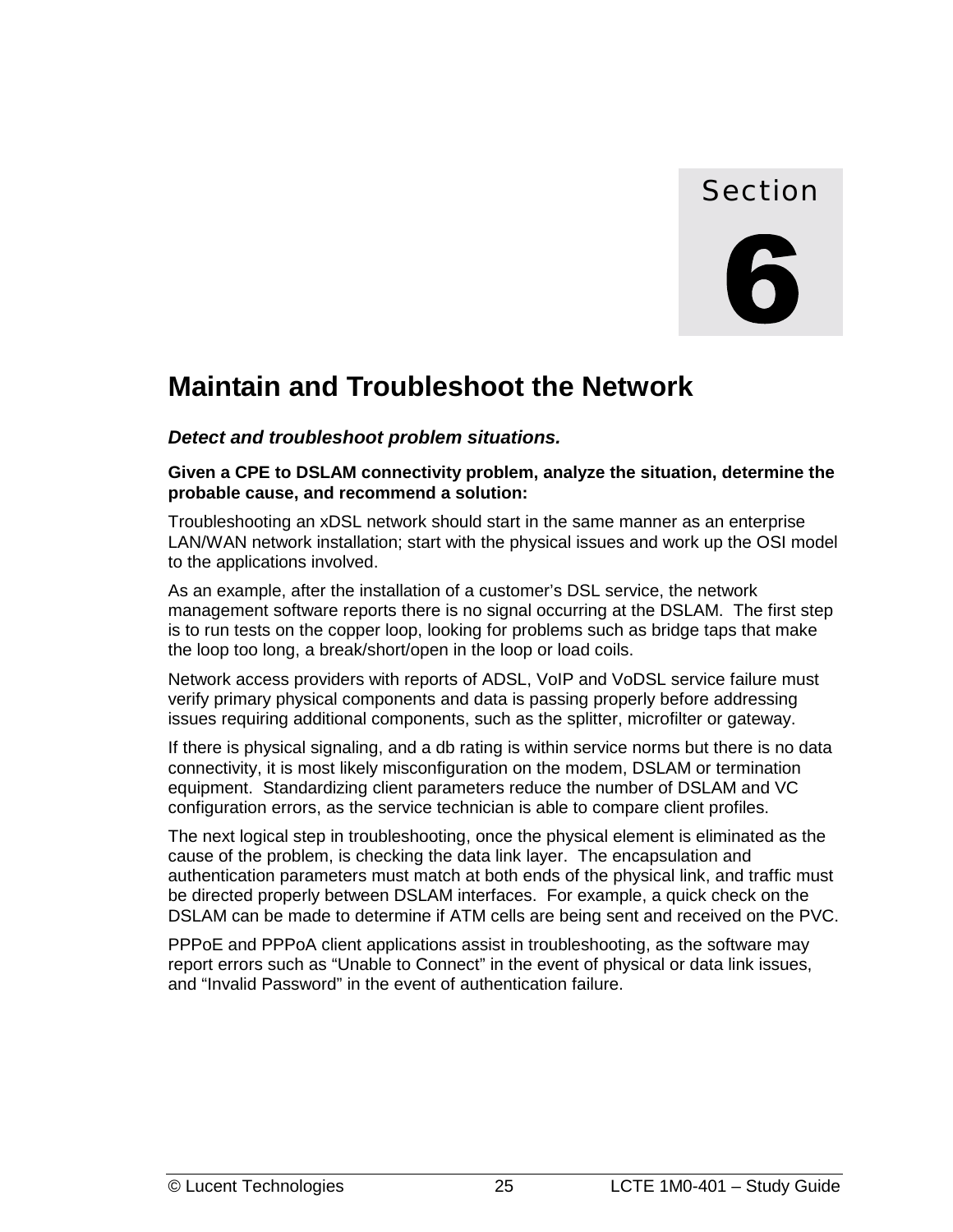### Section

# <span id="page-32-0"></span>**Maintain and Troubleshoot the Network**

*Detect and troubleshoot problem situations.* 

**Given a CPE to DSLAM connectivity problem, analyze the situation, determine the probable cause, and recommend a solution:** 

Troubleshooting an xDSL network should start in the same manner as an enterprise LAN/WAN network installation; start with the physical issues and work up the OSI model to the applications involved.

As an example, after the installation of a customer's DSL service, the network management software reports there is no signal occurring at the DSLAM. The first step is to run tests on the copper loop, looking for problems such as bridge taps that make the loop too long, a break/short/open in the loop or load coils.

Network access providers with reports of ADSL, VoIP and VoDSL service failure must verify primary physical components and data is passing properly before addressing issues requiring additional components, such as the splitter, microfilter or gateway.

If there is physical signaling, and a db rating is within service norms but there is no data connectivity, it is most likely misconfiguration on the modem, DSLAM or termination equipment. Standardizing client parameters reduce the number of DSLAM and VC configuration errors, as the service technician is able to compare client profiles.

The next logical step in troubleshooting, once the physical element is eliminated as the cause of the problem, is checking the data link layer. The encapsulation and authentication parameters must match at both ends of the physical link, and traffic must be directed properly between DSLAM interfaces. For example, a quick check on the DSLAM can be made to determine if ATM cells are being sent and received on the PVC.

PPPoE and PPPoA client applications assist in troubleshooting, as the software may report errors such as "Unable to Connect" in the event of physical or data link issues, and "Invalid Password" in the event of authentication failure.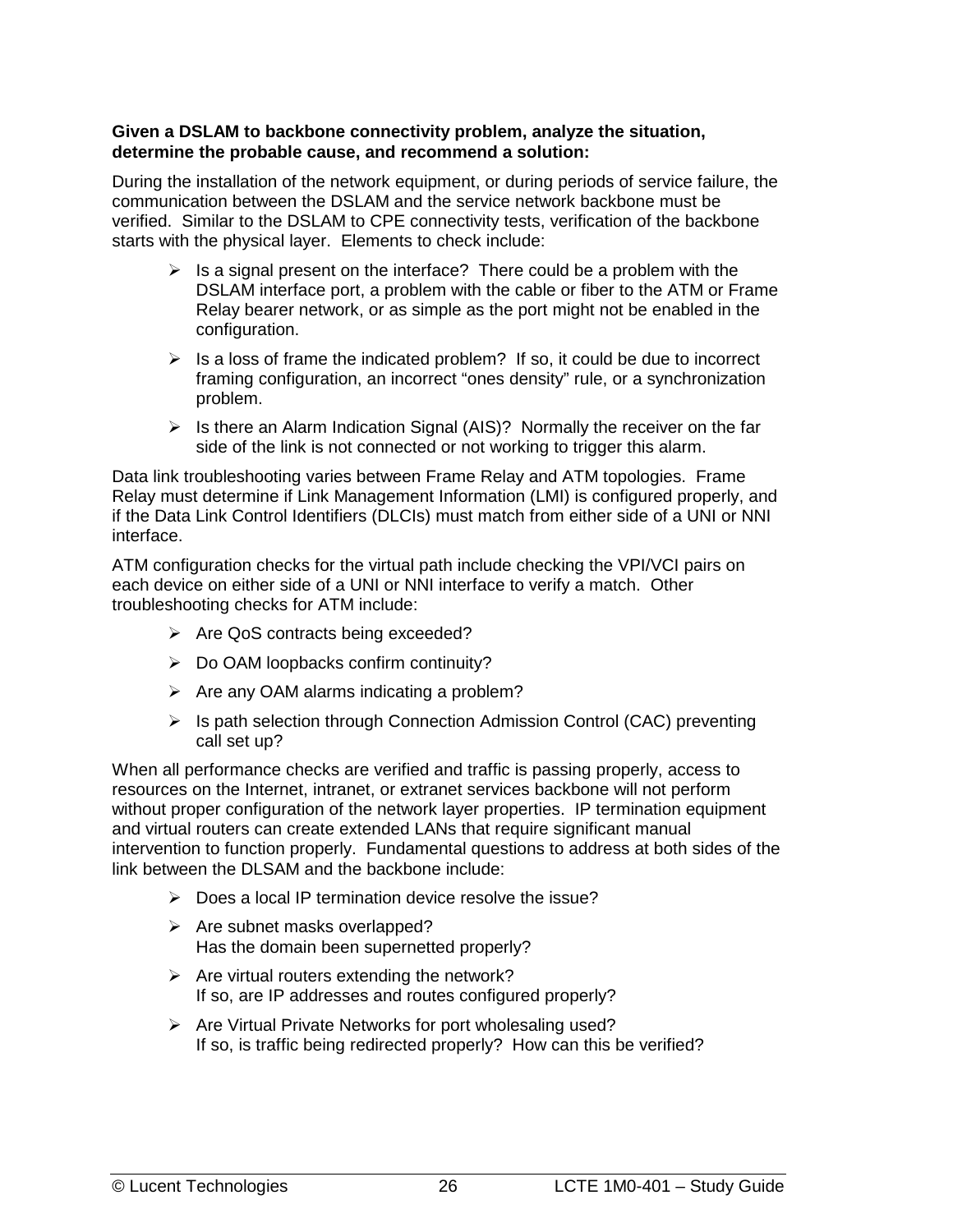#### **Given a DSLAM to backbone connectivity problem, analyze the situation, determine the probable cause, and recommend a solution:**

During the installation of the network equipment, or during periods of service failure, the communication between the DSLAM and the service network backbone must be verified. Similar to the DSLAM to CPE connectivity tests, verification of the backbone starts with the physical layer. Elements to check include:

- > Is a signal present on the interface? There could be a problem with the DSLAM interface port, a problem with the cable or fiber to the ATM or Frame Relay bearer network, or as simple as the port might not be enabled in the configuration.
- $\triangleright$  Is a loss of frame the indicated problem? If so, it could be due to incorrect framing configuration, an incorrect "ones density" rule, or a synchronization problem.
- > Is there an Alarm Indication Signal (AIS)? Normally the receiver on the far side of the link is not connected or not working to trigger this alarm.

Data link troubleshooting varies between Frame Relay and ATM topologies. Frame Relay must determine if Link Management Information (LMI) is configured properly, and if the Data Link Control Identifiers (DLCIs) must match from either side of a UNI or NNI interface.

ATM configuration checks for the virtual path include checking the VPI/VCI pairs on each device on either side of a UNI or NNI interface to verify a match. Other troubleshooting checks for ATM include:

- > Are QoS contracts being exceeded?
- ▶ Do OAM loopbacks confirm continuity?
- > Are any OAM alarms indicating a problem?
- > Is path selection through Connection Admission Control (CAC) preventing call set up?

When all performance checks are verified and traffic is passing properly, access to resources on the Internet, intranet, or extranet services backbone will not perform without proper configuration of the network layer properties. IP termination equipment and virtual routers can create extended LANs that require significant manual intervention to function properly. Fundamental questions to address at both sides of the link between the DLSAM and the backbone include:

- > Does a local IP termination device resolve the issue?
- > Are subnet masks overlapped? Has the domain been supernetted properly?
- > Are virtual routers extending the network? If so, are IP addresses and routes configured properly?
- > Are Virtual Private Networks for port wholesaling used? If so, is traffic being redirected properly? How can this be verified?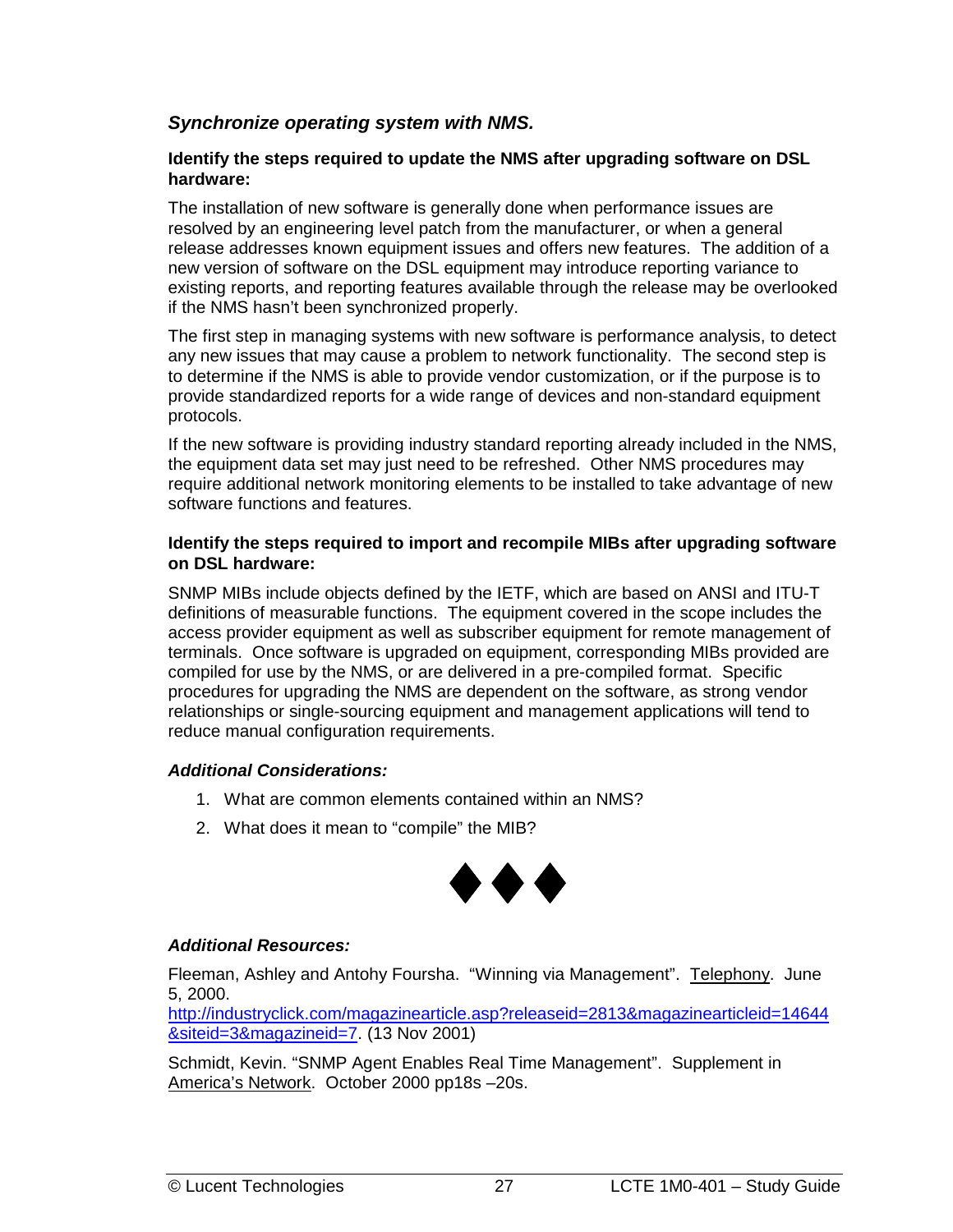#### <span id="page-34-0"></span>*Synchronize operating system with NMS.*

#### **Identify the steps required to update the NMS after upgrading software on DSL hardware:**

The installation of new software is generally done when performance issues are resolved by an engineering level patch from the manufacturer, or when a general release addresses known equipment issues and offers new features. The addition of a new version of software on the DSL equipment may introduce reporting variance to existing reports, and reporting features available through the release may be overlooked if the NMS hasn't been synchronized properly.

The first step in managing systems with new software is performance analysis, to detect any new issues that may cause a problem to network functionality. The second step is to determine if the NMS is able to provide vendor customization, or if the purpose is to provide standardized reports for a wide range of devices and non-standard equipment protocols.

If the new software is providing industry standard reporting already included in the NMS, the equipment data set may just need to be refreshed. Other NMS procedures may require additional network monitoring elements to be installed to take advantage of new software functions and features.

#### **Identify the steps required to import and recompile MIBs after upgrading software on DSL hardware:**

SNMP MIBs include objects defined by the IETF, which are based on ANSI and ITU-T definitions of measurable functions. The equipment covered in the scope includes the access provider equipment as well as subscriber equipment for remote management of terminals. Once software is upgraded on equipment, corresponding MIBs provided are compiled for use by the NMS, or are delivered in a pre-compiled format. Specific procedures for upgrading the NMS are dependent on the software, as strong vendor relationships or single-sourcing equipment and management applications will tend to reduce manual configuration requirements.

#### *Additional Considerations:*

- 1. What are common elements contained within an NMS?
- 2. What does it mean to "compile" the MIB?



#### *Additional Resources:*

Fleeman, Ashley and Antohy Foursha. "Winning via Management". Telephony. June 5, 2000.

[http://industryclick.com/magazinearticle.asp?releaseid=2813&magazinearticleid=14644](http://industryclick.com/magazinearticle.asp?releaseid=2813&magazinearticleid=14644&siteid=3&magazineid=7) [&siteid=3&magazineid=7.](http://industryclick.com/magazinearticle.asp?releaseid=2813&magazinearticleid=14644&siteid=3&magazineid=7) (13 Nov 2001)

Schmidt, Kevin. "SNMP Agent Enables Real Time Management". Supplement in America's Network. October 2000 pp18s –20s.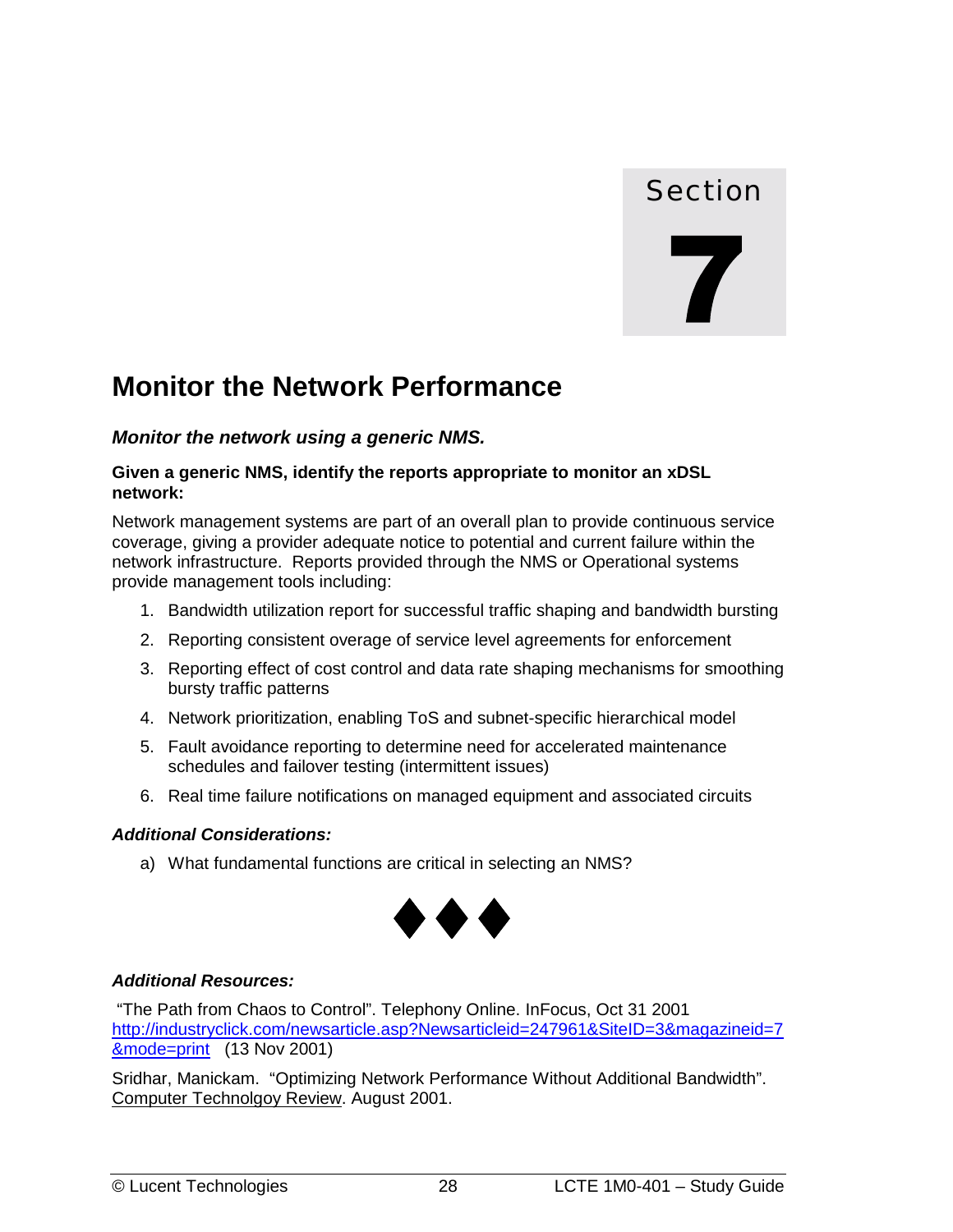# Section

# <span id="page-35-0"></span>**Monitor the Network Performance**

#### *Monitor the network using a generic NMS.*

#### **Given a generic NMS, identify the reports appropriate to monitor an xDSL network:**

Network management systems are part of an overall plan to provide continuous service coverage, giving a provider adequate notice to potential and current failure within the network infrastructure. Reports provided through the NMS or Operational systems provide management tools including:

- 1. Bandwidth utilization report for successful traffic shaping and bandwidth bursting
- 2. Reporting consistent overage of service level agreements for enforcement
- 3. Reporting effect of cost control and data rate shaping mechanisms for smoothing bursty traffic patterns
- 4. Network prioritization, enabling ToS and subnet-specific hierarchical model
- 5. Fault avoidance reporting to determine need for accelerated maintenance schedules and failover testing (intermittent issues)
- 6. Real time failure notifications on managed equipment and associated circuits

#### *Additional Considerations:*

a) What fundamental functions are critical in selecting an NMS?



#### *Additional Resources:*

 "The Path from Chaos to Control". Telephony Online. InFocus, Oct 31 2001 [http://industryclick.com/newsarticle.asp?Newsarticleid=247961&SiteID=3&magazineid=7](http://industryclick.com/newsarticle.asp?Newsarticleid=247961&SiteID=3&magazineid=7&mode=print) [&mode=print](http://industryclick.com/newsarticle.asp?Newsarticleid=247961&SiteID=3&magazineid=7&mode=print) (13 Nov 2001)

Sridhar, Manickam. "Optimizing Network Performance Without Additional Bandwidth". Computer Technolgoy Review. August 2001.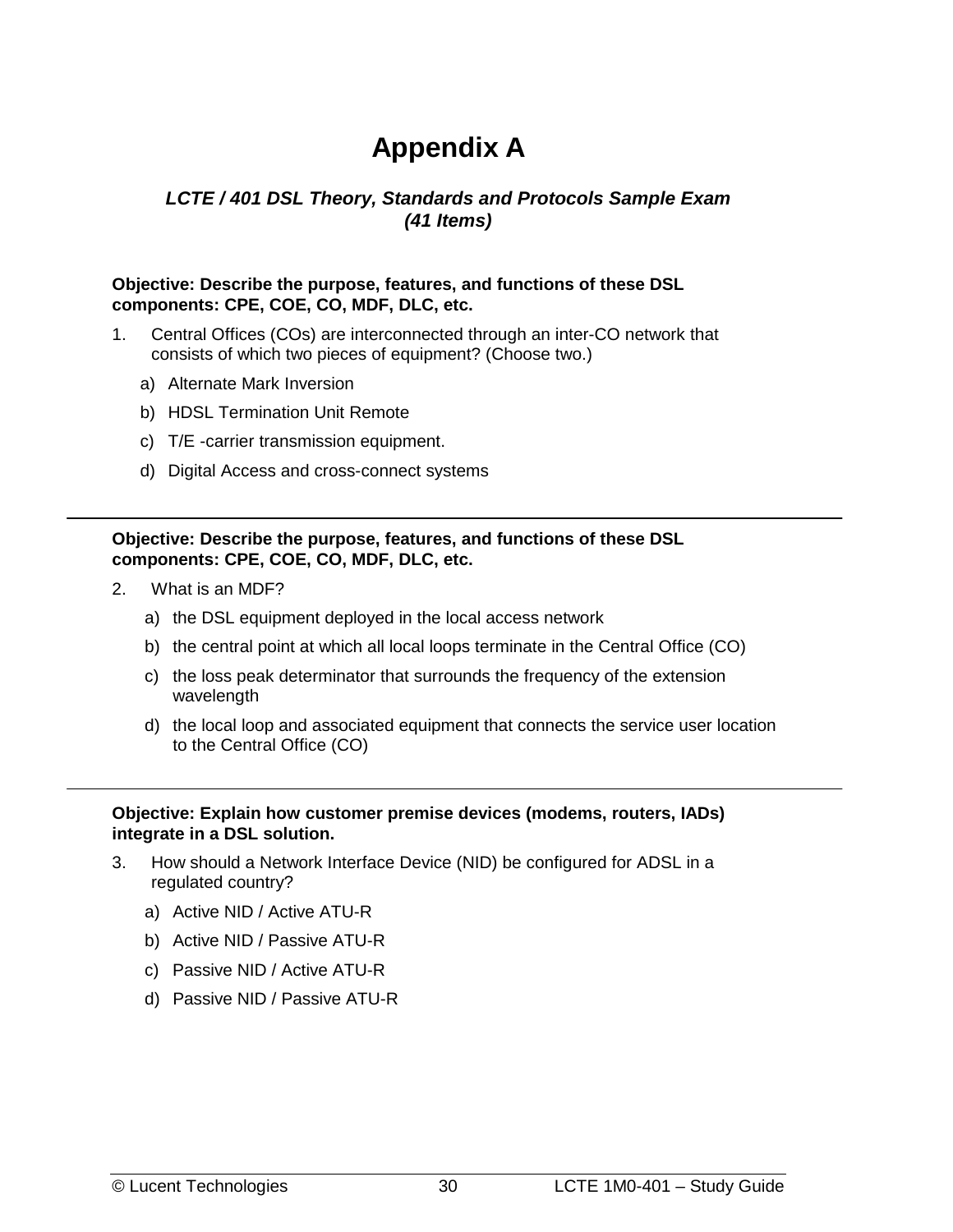# **Appendix A**

#### <span id="page-37-0"></span>*LCTE / 401 DSL Theory, Standards and Protocols Sample Exam (41 Items)*

#### **Objective: Describe the purpose, features, and functions of these DSL components: CPE, COE, CO, MDF, DLC, etc.**

- 1. Central Offices (COs) are interconnected through an inter-CO network that consists of which two pieces of equipment? (Choose two.)
	- a) Alternate Mark Inversion
	- b) HDSL Termination Unit Remote
	- c) T/E -carrier transmission equipment.
	- d) Digital Access and cross-connect systems

#### **Objective: Describe the purpose, features, and functions of these DSL components: CPE, COE, CO, MDF, DLC, etc.**

- 2. What is an MDF?
	- a) the DSL equipment deployed in the local access network
	- b) the central point at which all local loops terminate in the Central Office (CO)
	- c) the loss peak determinator that surrounds the frequency of the extension wavelength
	- d) the local loop and associated equipment that connects the service user location to the Central Office (CO)

#### **Objective: Explain how customer premise devices (modems, routers, IADs) integrate in a DSL solution.**

- 3. How should a Network Interface Device (NID) be configured for ADSL in a regulated country?
	- a) Active NID / Active ATU-R
	- b) Active NID / Passive ATU-R
	- c) Passive NID / Active ATU-R
	- d) Passive NID / Passive ATU-R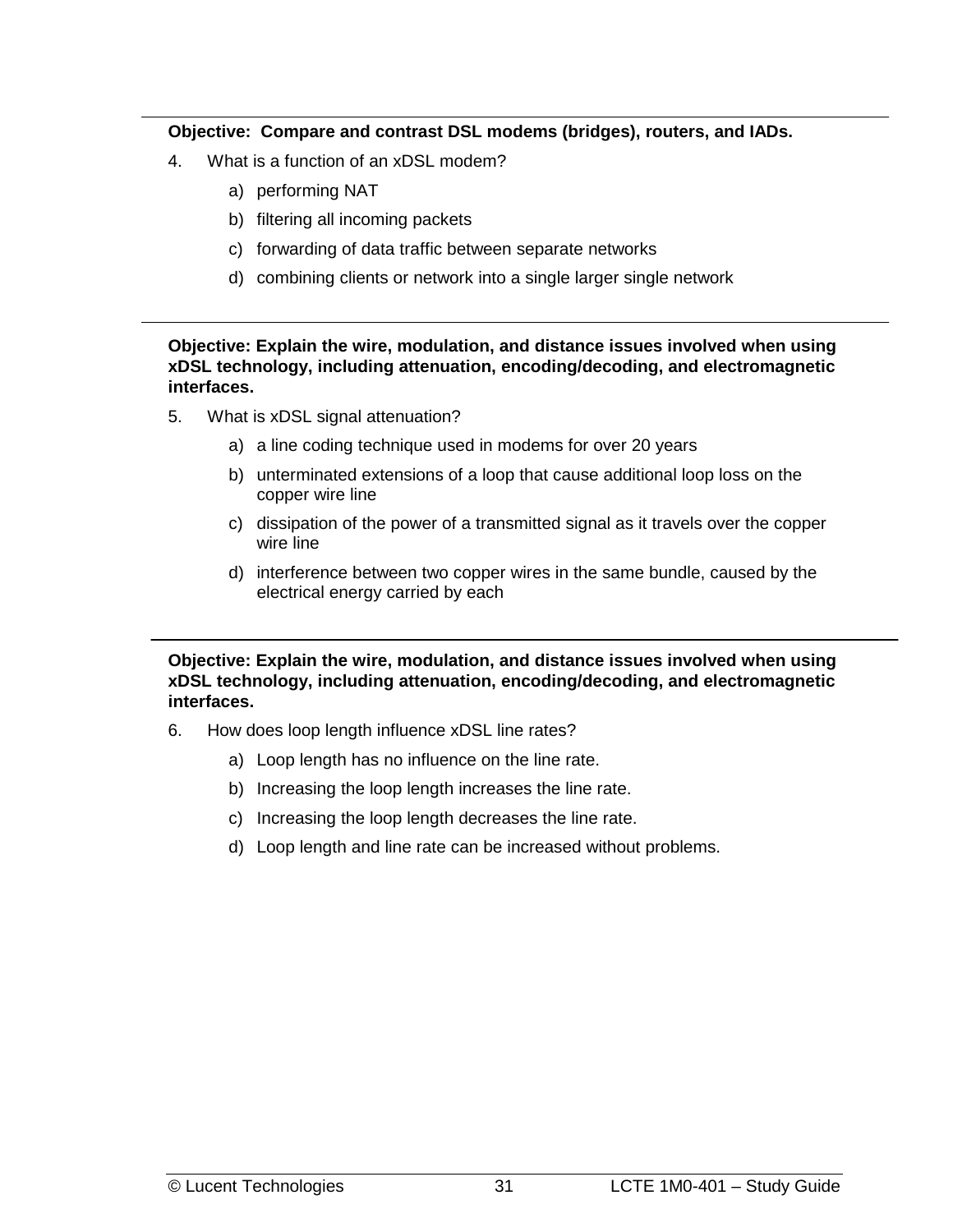#### **Objective: Compare and contrast DSL modems (bridges), routers, and IADs.**

- 4. What is a function of an xDSL modem?
	- a) performing NAT
	- b) filtering all incoming packets
	- c) forwarding of data traffic between separate networks
	- d) combining clients or network into a single larger single network

**Objective: Explain the wire, modulation, and distance issues involved when using xDSL technology, including attenuation, encoding/decoding, and electromagnetic interfaces.** 

- 5. What is xDSL signal attenuation?
	- a) a line coding technique used in modems for over 20 years
	- b) unterminated extensions of a loop that cause additional loop loss on the copper wire line
	- c) dissipation of the power of a transmitted signal as it travels over the copper wire line
	- d) interference between two copper wires in the same bundle, caused by the electrical energy carried by each

**Objective: Explain the wire, modulation, and distance issues involved when using xDSL technology, including attenuation, encoding/decoding, and electromagnetic interfaces.** 

- 6. How does loop length influence xDSL line rates?
	- a) Loop length has no influence on the line rate.
	- b) Increasing the loop length increases the line rate.
	- c) Increasing the loop length decreases the line rate.
	- d) Loop length and line rate can be increased without problems.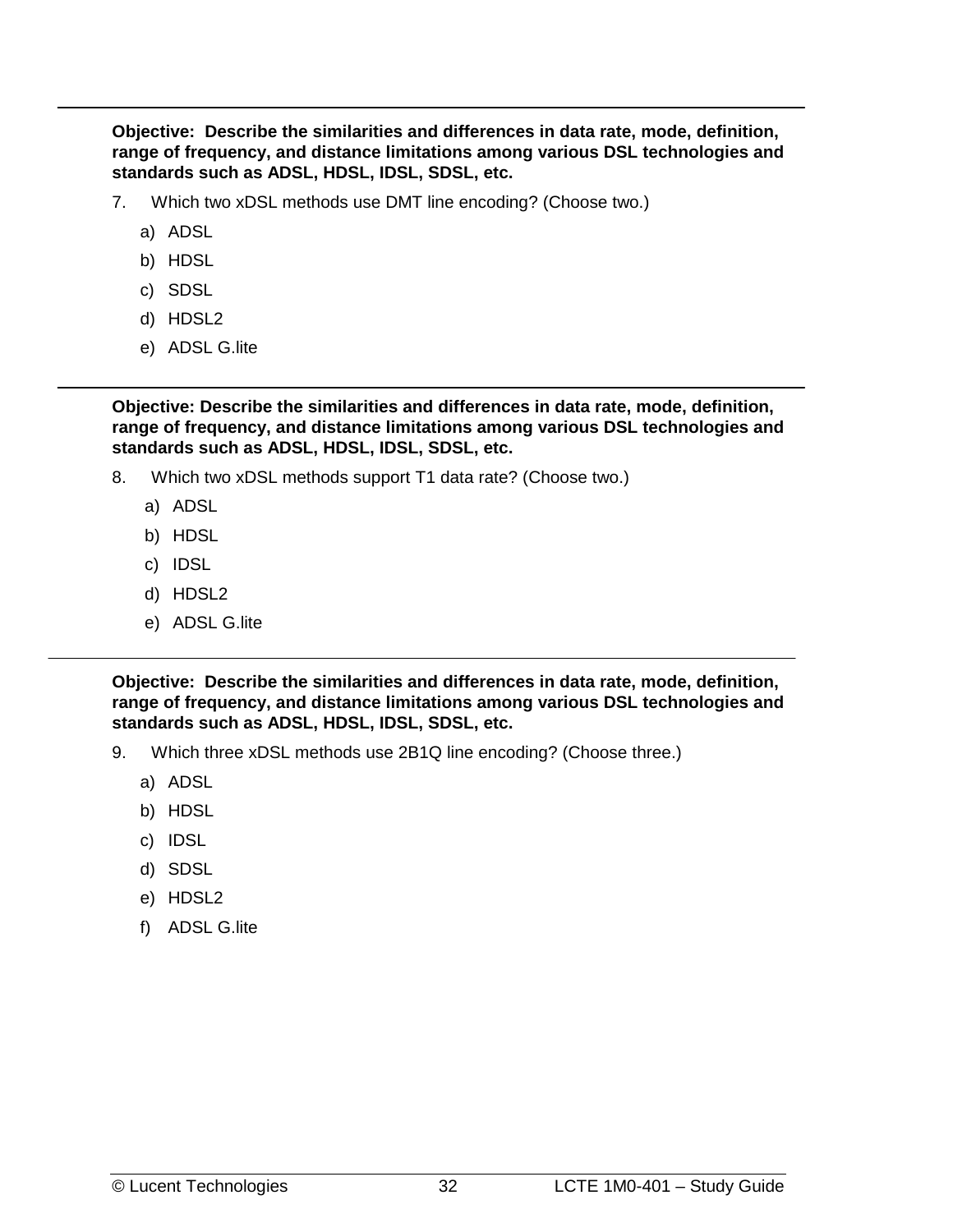**Objective: Describe the similarities and differences in data rate, mode, definition, range of frequency, and distance limitations among various DSL technologies and standards such as ADSL, HDSL, IDSL, SDSL, etc.** 

- 7. Which two xDSL methods use DMT line encoding? (Choose two.)
	- a) ADSL
	- b) HDSL
	- c) SDSL
	- d) HDSL2
	- e) ADSL G.lite

**Objective: Describe the similarities and differences in data rate, mode, definition, range of frequency, and distance limitations among various DSL technologies and standards such as ADSL, HDSL, IDSL, SDSL, etc.** 

- 8. Which two xDSL methods support T1 data rate? (Choose two.)
	- a) ADSL
	- b) HDSL
	- c) IDSL
	- d) HDSL2
	- e) ADSL G.lite

**Objective: Describe the similarities and differences in data rate, mode, definition, range of frequency, and distance limitations among various DSL technologies and standards such as ADSL, HDSL, IDSL, SDSL, etc.**

- 9. Which three xDSL methods use 2B1Q line encoding? (Choose three.)
	- a) ADSL
	- b) HDSL
	- c) IDSL
	- d) SDSL
	- e) HDSL2
	- f) ADSL G.lite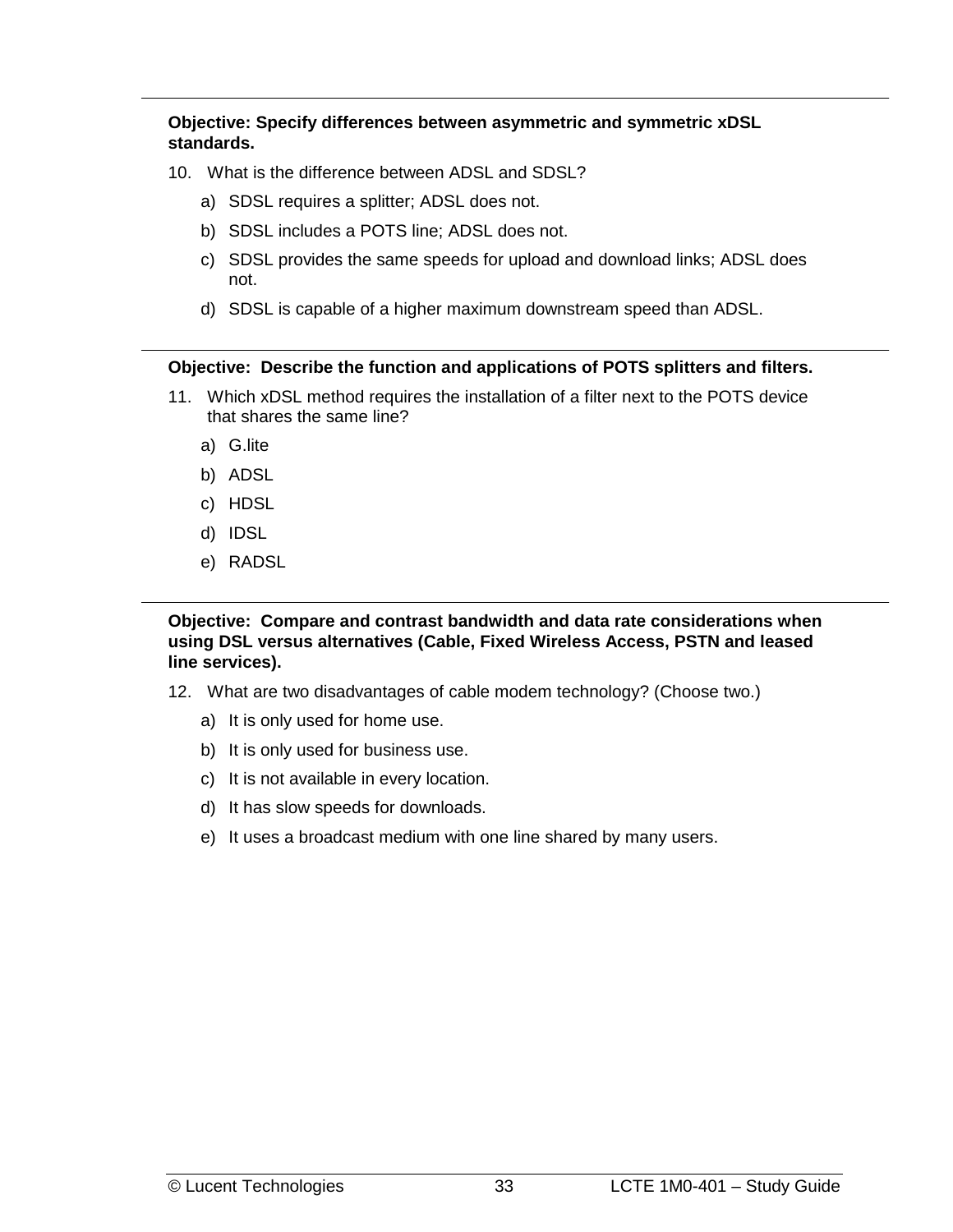**Objective: Specify differences between asymmetric and symmetric xDSL standards.** 

- 10. What is the difference between ADSL and SDSL?
	- a) SDSL requires a splitter; ADSL does not.
	- b) SDSL includes a POTS line; ADSL does not.
	- c) SDSL provides the same speeds for upload and download links; ADSL does not.
	- d) SDSL is capable of a higher maximum downstream speed than ADSL.

#### **Objective: Describe the function and applications of POTS splitters and filters.**

- 11. Which xDSL method requires the installation of a filter next to the POTS device that shares the same line?
	- a) G.lite
	- b) ADSL
	- c) HDSL
	- d) IDSL
	- e) RADSL

**Objective: Compare and contrast bandwidth and data rate considerations when using DSL versus alternatives (Cable, Fixed Wireless Access, PSTN and leased line services).** 

- 12. What are two disadvantages of cable modem technology? (Choose two.)
	- a) It is only used for home use.
	- b) It is only used for business use.
	- c) It is not available in every location.
	- d) It has slow speeds for downloads.
	- e) It uses a broadcast medium with one line shared by many users.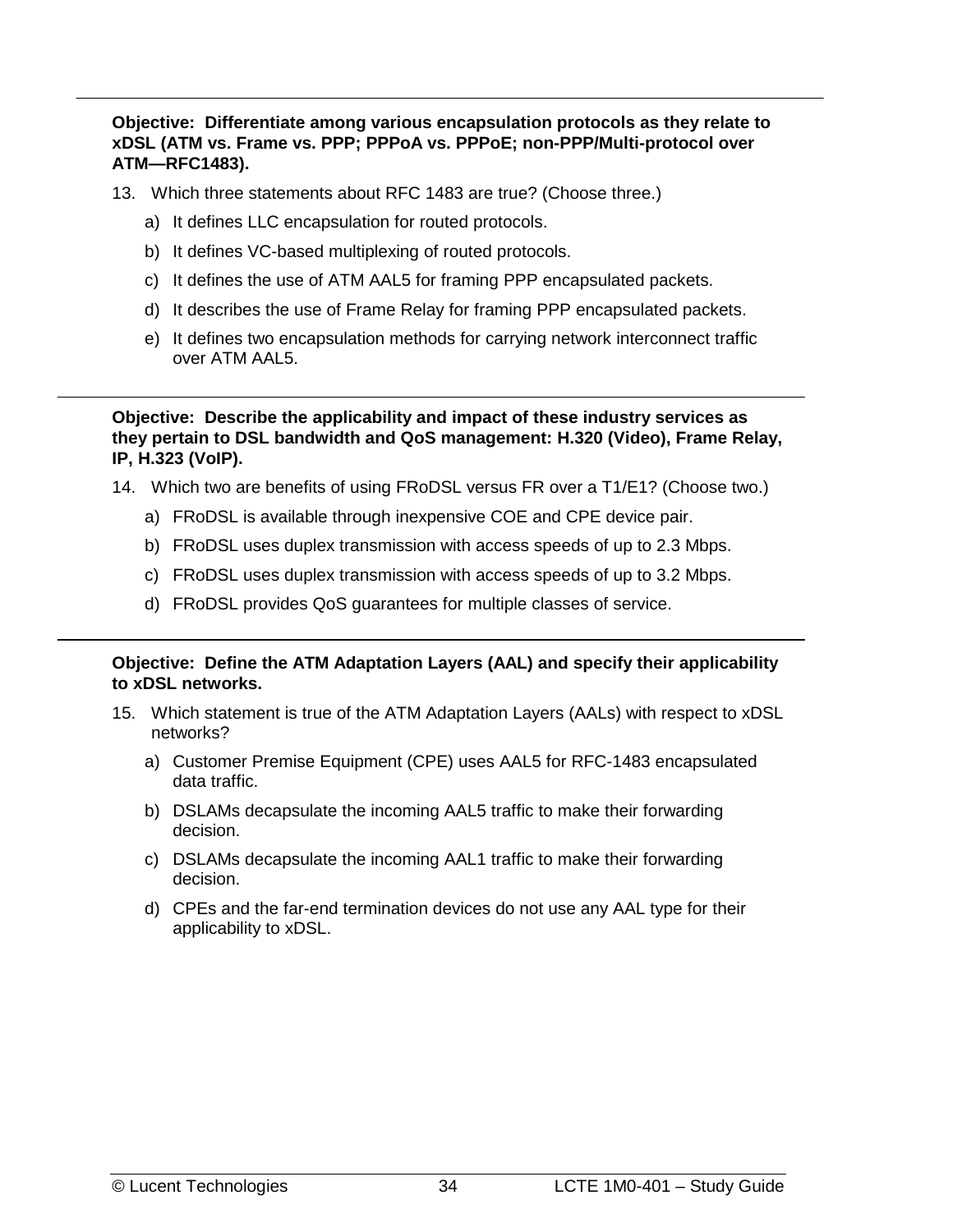**Objective: Differentiate among various encapsulation protocols as they relate to xDSL (ATM vs. Frame vs. PPP; PPPoA vs. PPPoE; non-PPP/Multi-protocol over ATM—RFC1483).** 

- 13. Which three statements about RFC 1483 are true? (Choose three.)
	- a) It defines LLC encapsulation for routed protocols.
	- b) It defines VC-based multiplexing of routed protocols.
	- c) It defines the use of ATM AAL5 for framing PPP encapsulated packets.
	- d) It describes the use of Frame Relay for framing PPP encapsulated packets.
	- e) It defines two encapsulation methods for carrying network interconnect traffic over ATM AAL5.

**Objective: Describe the applicability and impact of these industry services as they pertain to DSL bandwidth and QoS management: H.320 (Video), Frame Relay, IP, H.323 (VoIP).**

- 14. Which two are benefits of using FRoDSL versus FR over a T1/E1? (Choose two.)
	- a) FRoDSL is available through inexpensive COE and CPE device pair.
	- b) FRoDSL uses duplex transmission with access speeds of up to 2.3 Mbps.
	- c) FRoDSL uses duplex transmission with access speeds of up to 3.2 Mbps.
	- d) FRoDSL provides QoS guarantees for multiple classes of service.

#### **Objective: Define the ATM Adaptation Layers (AAL) and specify their applicability to xDSL networks.**

- 15. Which statement is true of the ATM Adaptation Layers (AALs) with respect to xDSL networks?
	- a) Customer Premise Equipment (CPE) uses AAL5 for RFC-1483 encapsulated data traffic.
	- b) DSLAMs decapsulate the incoming AAL5 traffic to make their forwarding decision.
	- c) DSLAMs decapsulate the incoming AAL1 traffic to make their forwarding decision.
	- d) CPEs and the far-end termination devices do not use any AAL type for their applicability to xDSL.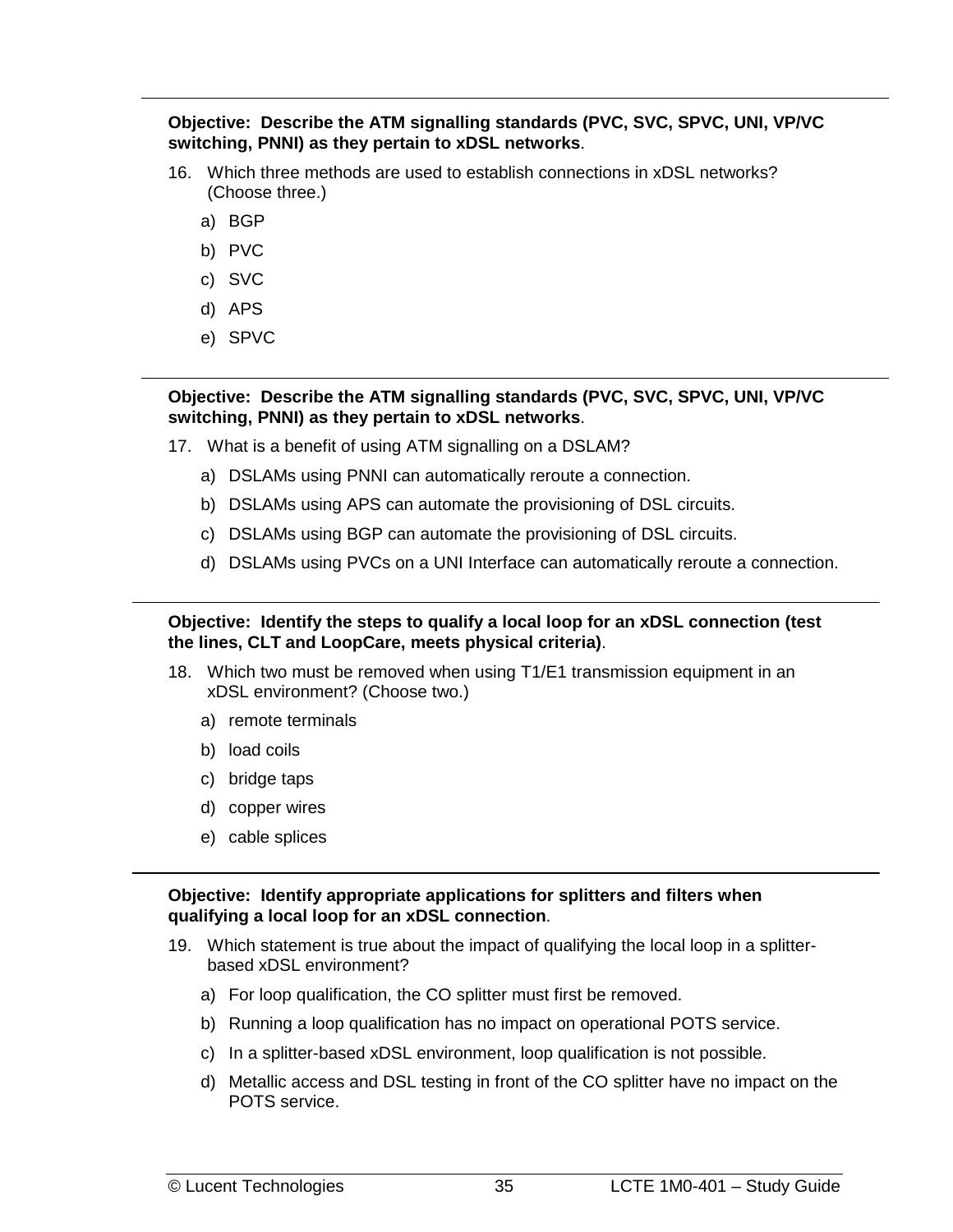**Objective: Describe the ATM signalling standards (PVC, SVC, SPVC, UNI, VP/VC switching, PNNI) as they pertain to xDSL networks**.

- 16. Which three methods are used to establish connections in xDSL networks? (Choose three.)
	- a) BGP
	- b) PVC
	- c) SVC
	- d) APS
	- e) SPVC

#### **Objective: Describe the ATM signalling standards (PVC, SVC, SPVC, UNI, VP/VC switching, PNNI) as they pertain to xDSL networks**.

- 17. What is a benefit of using ATM signalling on a DSLAM?
	- a) DSLAMs using PNNI can automatically reroute a connection.
	- b) DSLAMs using APS can automate the provisioning of DSL circuits.
	- c) DSLAMs using BGP can automate the provisioning of DSL circuits.
	- d) DSLAMs using PVCs on a UNI Interface can automatically reroute a connection.

**Objective: Identify the steps to qualify a local loop for an xDSL connection (test the lines, CLT and LoopCare, meets physical criteria)**.

- 18. Which two must be removed when using T1/E1 transmission equipment in an xDSL environment? (Choose two.)
	- a) remote terminals
	- b) load coils
	- c) bridge taps
	- d) copper wires
	- e) cable splices

#### **Objective: Identify appropriate applications for splitters and filters when qualifying a local loop for an xDSL connection**.

- 19. Which statement is true about the impact of qualifying the local loop in a splitterbased xDSL environment?
	- a) For loop qualification, the CO splitter must first be removed.
	- b) Running a loop qualification has no impact on operational POTS service.
	- c) In a splitter-based xDSL environment, loop qualification is not possible.
	- d) Metallic access and DSL testing in front of the CO splitter have no impact on the POTS service.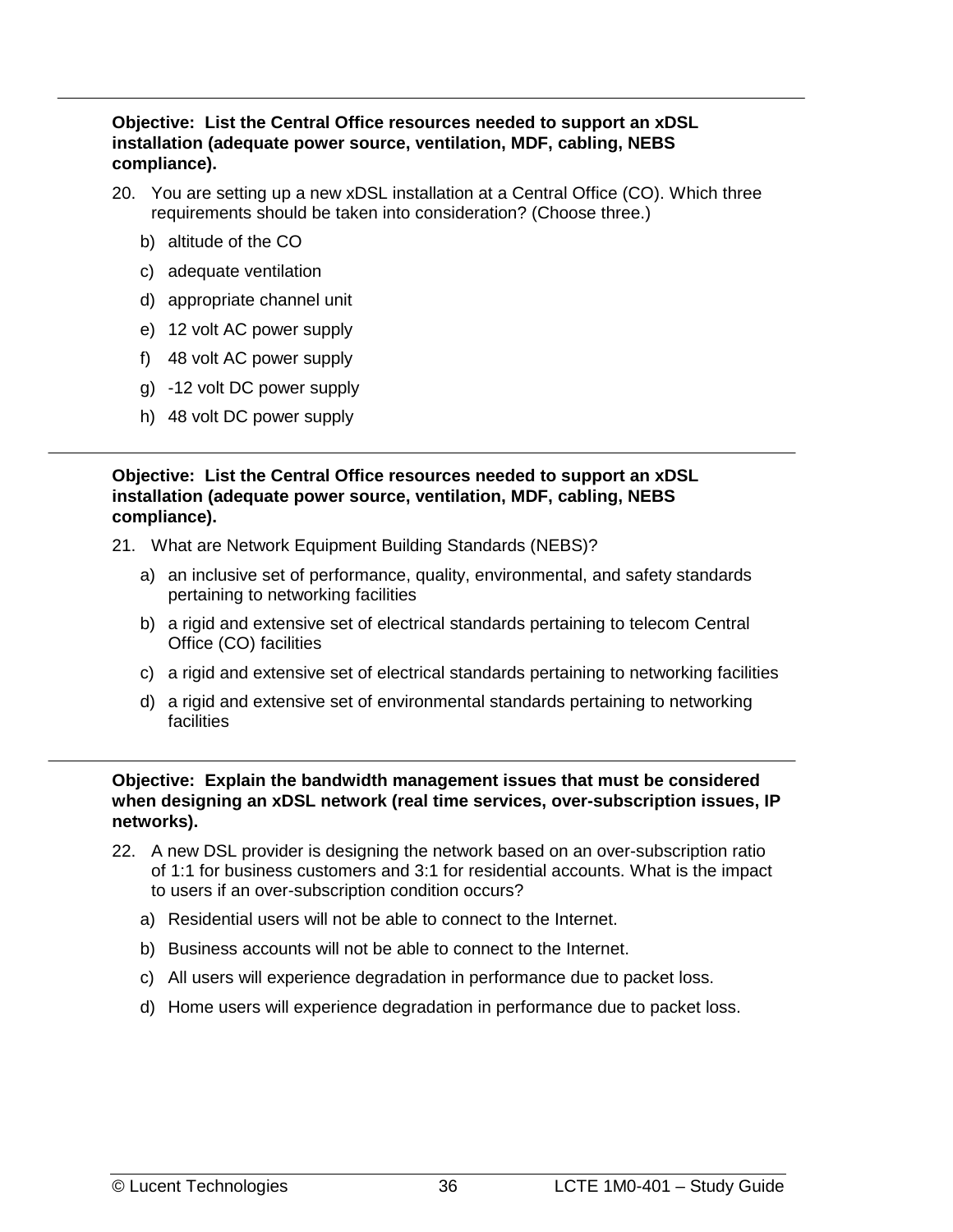#### **Objective: List the Central Office resources needed to support an xDSL installation (adequate power source, ventilation, MDF, cabling, NEBS compliance).**

- 20. You are setting up a new xDSL installation at a Central Office (CO). Which three requirements should be taken into consideration? (Choose three.)
	- b) altitude of the CO
	- c) adequate ventilation
	- d) appropriate channel unit
	- e) 12 volt AC power supply
	- f) 48 volt AC power supply
	- g) -12 volt DC power supply
	- h) 48 volt DC power supply

**Objective: List the Central Office resources needed to support an xDSL installation (adequate power source, ventilation, MDF, cabling, NEBS compliance).**

- 21. What are Network Equipment Building Standards (NEBS)?
	- a) an inclusive set of performance, quality, environmental, and safety standards pertaining to networking facilities
	- b) a rigid and extensive set of electrical standards pertaining to telecom Central Office (CO) facilities
	- c) a rigid and extensive set of electrical standards pertaining to networking facilities
	- d) a rigid and extensive set of environmental standards pertaining to networking **facilities**

**Objective: Explain the bandwidth management issues that must be considered when designing an xDSL network (real time services, over-subscription issues, IP networks).** 

- 22. A new DSL provider is designing the network based on an over-subscription ratio of 1:1 for business customers and 3:1 for residential accounts. What is the impact to users if an over-subscription condition occurs?
	- a) Residential users will not be able to connect to the Internet.
	- b) Business accounts will not be able to connect to the Internet.
	- c) All users will experience degradation in performance due to packet loss.
	- d) Home users will experience degradation in performance due to packet loss.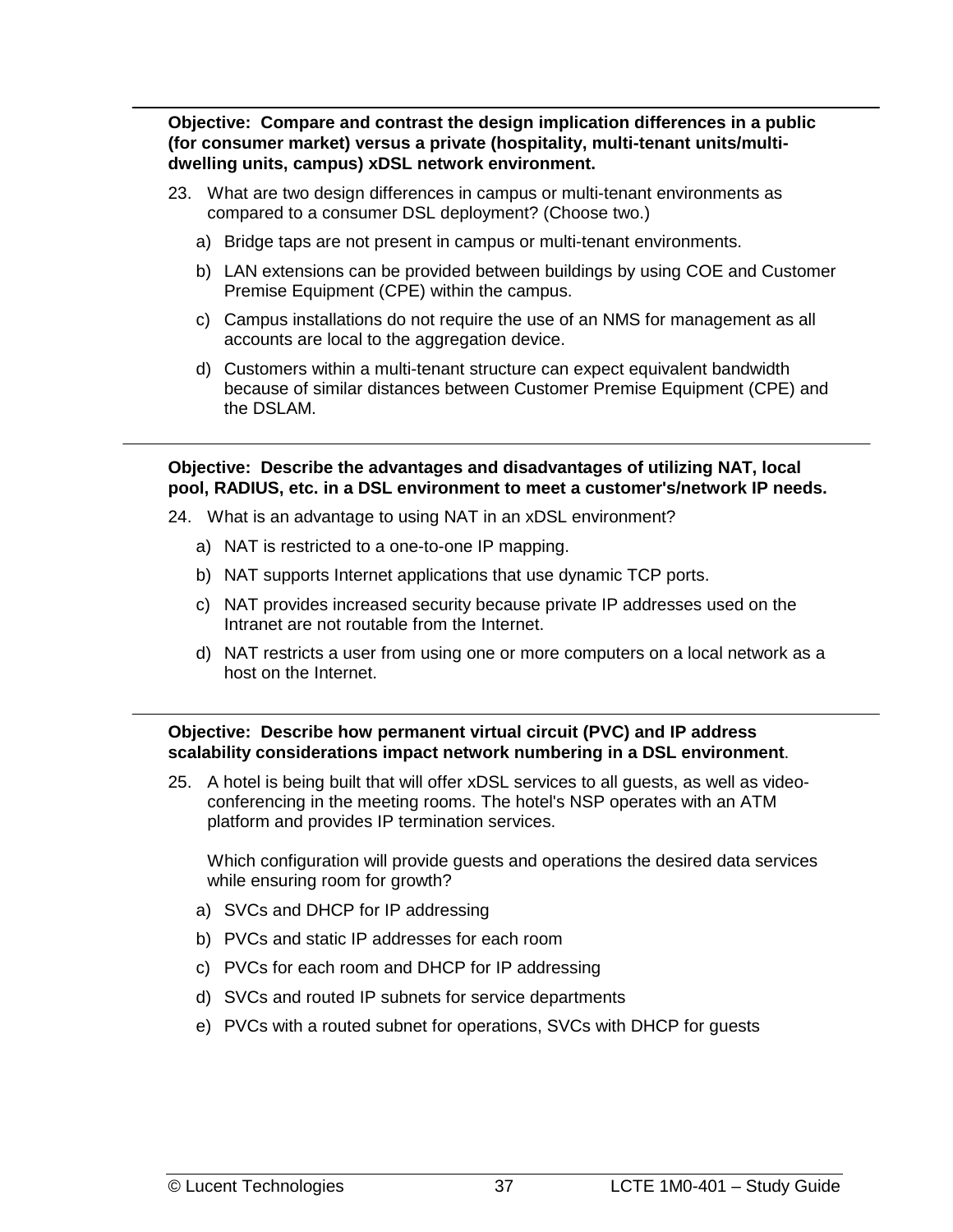**Objective: Compare and contrast the design implication differences in a public (for consumer market) versus a private (hospitality, multi-tenant units/multidwelling units, campus) xDSL network environment.** 

- 23. What are two design differences in campus or multi-tenant environments as compared to a consumer DSL deployment? (Choose two.)
	- a) Bridge taps are not present in campus or multi-tenant environments.
	- b) LAN extensions can be provided between buildings by using COE and Customer Premise Equipment (CPE) within the campus.
	- c) Campus installations do not require the use of an NMS for management as all accounts are local to the aggregation device.
	- d) Customers within a multi-tenant structure can expect equivalent bandwidth because of similar distances between Customer Premise Equipment (CPE) and the DSLAM.

**Objective: Describe the advantages and disadvantages of utilizing NAT, local pool, RADIUS, etc. in a DSL environment to meet a customer's/network IP needs.** 

- 24. What is an advantage to using NAT in an xDSL environment?
	- a) NAT is restricted to a one-to-one IP mapping.
	- b) NAT supports Internet applications that use dynamic TCP ports.
	- c) NAT provides increased security because private IP addresses used on the Intranet are not routable from the Internet.
	- d) NAT restricts a user from using one or more computers on a local network as a host on the Internet.

**Objective: Describe how permanent virtual circuit (PVC) and IP address scalability considerations impact network numbering in a DSL environment**.

25. A hotel is being built that will offer xDSL services to all guests, as well as videoconferencing in the meeting rooms. The hotel's NSP operates with an ATM platform and provides IP termination services.

Which configuration will provide guests and operations the desired data services while ensuring room for growth?

- a) SVCs and DHCP for IP addressing
- b) PVCs and static IP addresses for each room
- c) PVCs for each room and DHCP for IP addressing
- d) SVCs and routed IP subnets for service departments
- e) PVCs with a routed subnet for operations, SVCs with DHCP for guests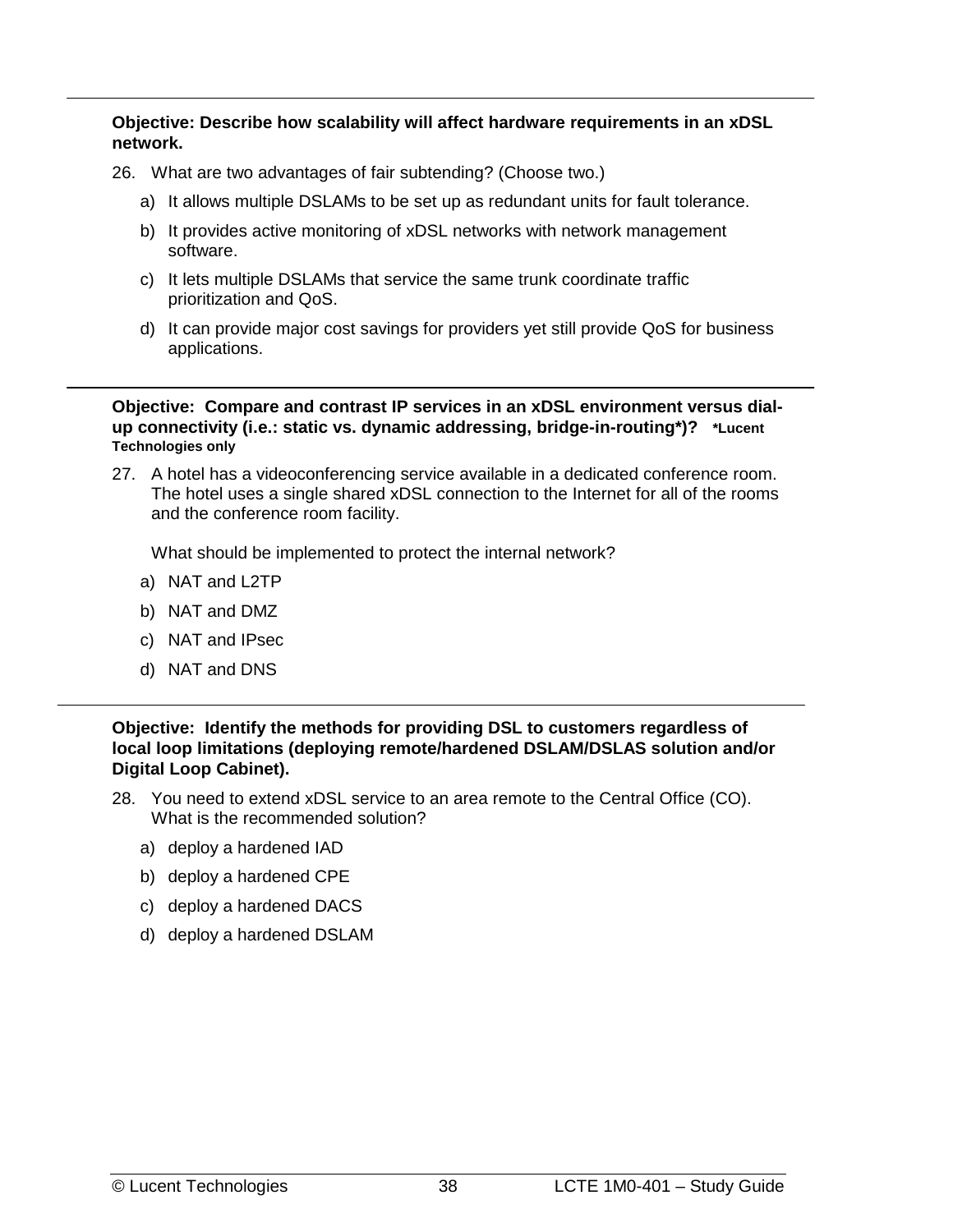**Objective: Describe how scalability will affect hardware requirements in an xDSL network.** 

- 26. What are two advantages of fair subtending? (Choose two.)
	- a) It allows multiple DSLAMs to be set up as redundant units for fault tolerance.
	- b) It provides active monitoring of xDSL networks with network management software.
	- c) It lets multiple DSLAMs that service the same trunk coordinate traffic prioritization and QoS.
	- d) It can provide major cost savings for providers yet still provide QoS for business applications.

**Objective: Compare and contrast IP services in an xDSL environment versus dialup connectivity (i.e.: static vs. dynamic addressing, bridge-in-routing\*)? \*Lucent Technologies only**

27. A hotel has a videoconferencing service available in a dedicated conference room. The hotel uses a single shared xDSL connection to the Internet for all of the rooms and the conference room facility.

What should be implemented to protect the internal network?

- a) NAT and L2TP
- b) NAT and DMZ
- c) NAT and IPsec
- d) NAT and DNS

**Objective: Identify the methods for providing DSL to customers regardless of local loop limitations (deploying remote/hardened DSLAM/DSLAS solution and/or Digital Loop Cabinet).** 

- 28. You need to extend xDSL service to an area remote to the Central Office (CO). What is the recommended solution?
	- a) deploy a hardened IAD
	- b) deploy a hardened CPE
	- c) deploy a hardened DACS
	- d) deploy a hardened DSLAM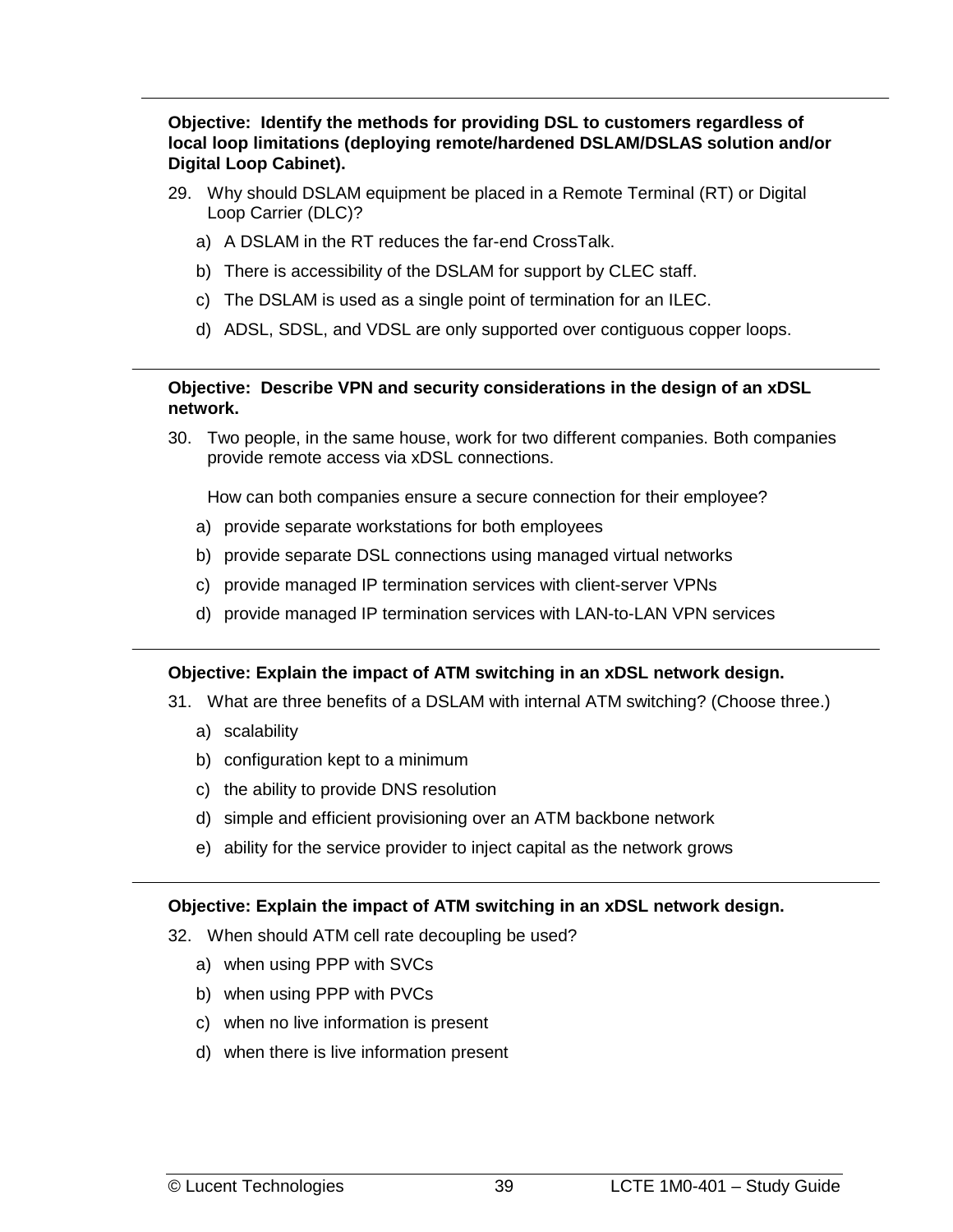**Objective: Identify the methods for providing DSL to customers regardless of local loop limitations (deploying remote/hardened DSLAM/DSLAS solution and/or Digital Loop Cabinet).** 

- 29. Why should DSLAM equipment be placed in a Remote Terminal (RT) or Digital Loop Carrier (DLC)?
	- a) A DSLAM in the RT reduces the far-end CrossTalk.
	- b) There is accessibility of the DSLAM for support by CLEC staff.
	- c) The DSLAM is used as a single point of termination for an ILEC.
	- d) ADSL, SDSL, and VDSL are only supported over contiguous copper loops.

#### **Objective: Describe VPN and security considerations in the design of an xDSL network.**

30. Two people, in the same house, work for two different companies. Both companies provide remote access via xDSL connections.

How can both companies ensure a secure connection for their employee?

- a) provide separate workstations for both employees
- b) provide separate DSL connections using managed virtual networks
- c) provide managed IP termination services with client-server VPNs
- d) provide managed IP termination services with LAN-to-LAN VPN services

#### **Objective: Explain the impact of ATM switching in an xDSL network design.**

- 31. What are three benefits of a DSLAM with internal ATM switching? (Choose three.)
	- a) scalability
	- b) configuration kept to a minimum
	- c) the ability to provide DNS resolution
	- d) simple and efficient provisioning over an ATM backbone network
	- e) ability for the service provider to inject capital as the network grows

#### **Objective: Explain the impact of ATM switching in an xDSL network design.**

- 32. When should ATM cell rate decoupling be used?
	- a) when using PPP with SVCs
	- b) when using PPP with PVCs
	- c) when no live information is present
	- d) when there is live information present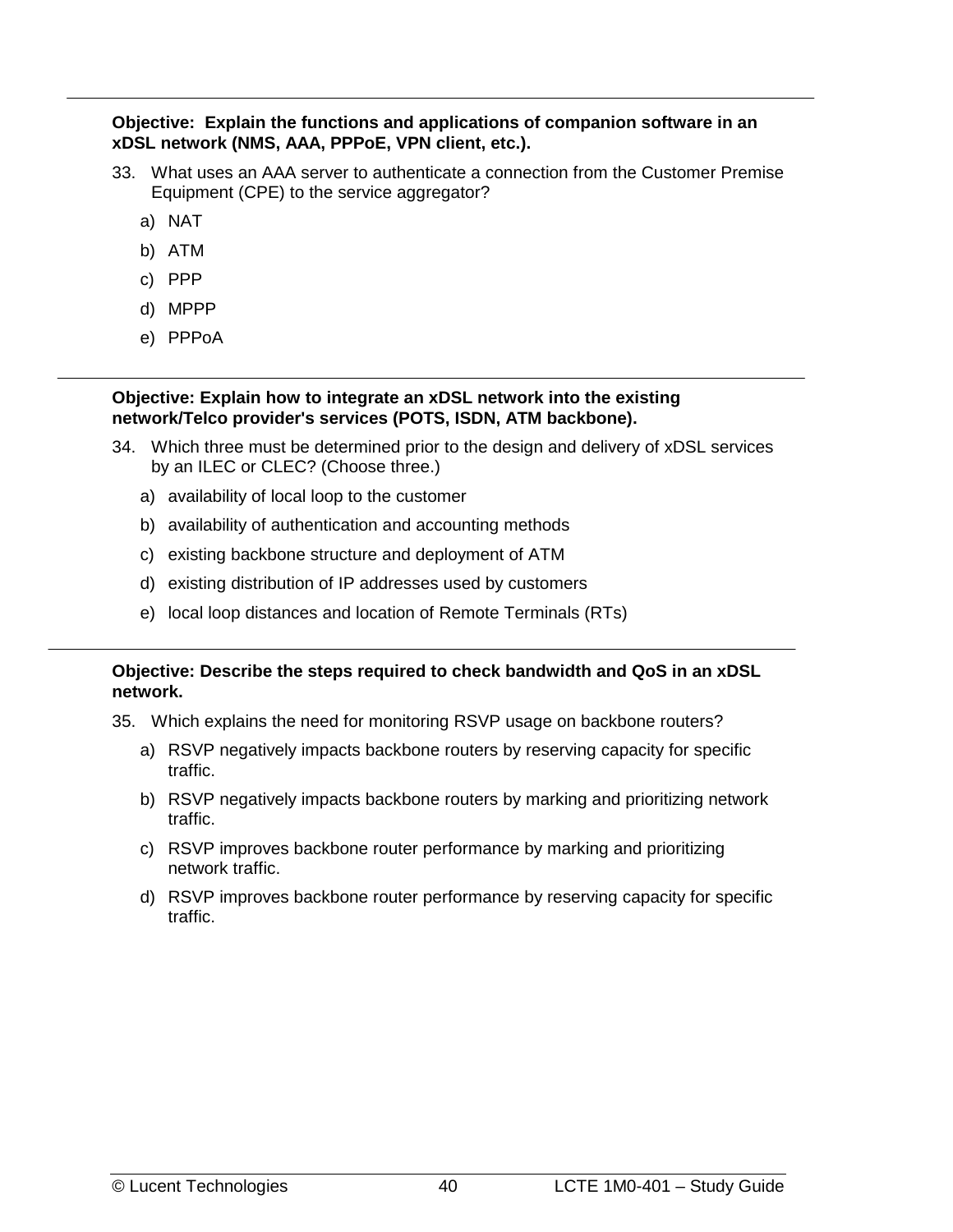#### **Objective: Explain the functions and applications of companion software in an xDSL network (NMS, AAA, PPPoE, VPN client, etc.).**

- 33. What uses an AAA server to authenticate a connection from the Customer Premise Equipment (CPE) to the service aggregator?
	- a) NAT
	- b) ATM
	- c) PPP
	- d) MPPP
	- e) PPPoA

#### **Objective: Explain how to integrate an xDSL network into the existing network/Telco provider's services (POTS, ISDN, ATM backbone).**

- 34. Which three must be determined prior to the design and delivery of xDSL services by an ILEC or CLEC? (Choose three.)
	- a) availability of local loop to the customer
	- b) availability of authentication and accounting methods
	- c) existing backbone structure and deployment of ATM
	- d) existing distribution of IP addresses used by customers
	- e) local loop distances and location of Remote Terminals (RTs)

#### **Objective: Describe the steps required to check bandwidth and QoS in an xDSL network.**

- 35. Which explains the need for monitoring RSVP usage on backbone routers?
	- a) RSVP negatively impacts backbone routers by reserving capacity for specific traffic.
	- b) RSVP negatively impacts backbone routers by marking and prioritizing network traffic.
	- c) RSVP improves backbone router performance by marking and prioritizing network traffic.
	- d) RSVP improves backbone router performance by reserving capacity for specific traffic.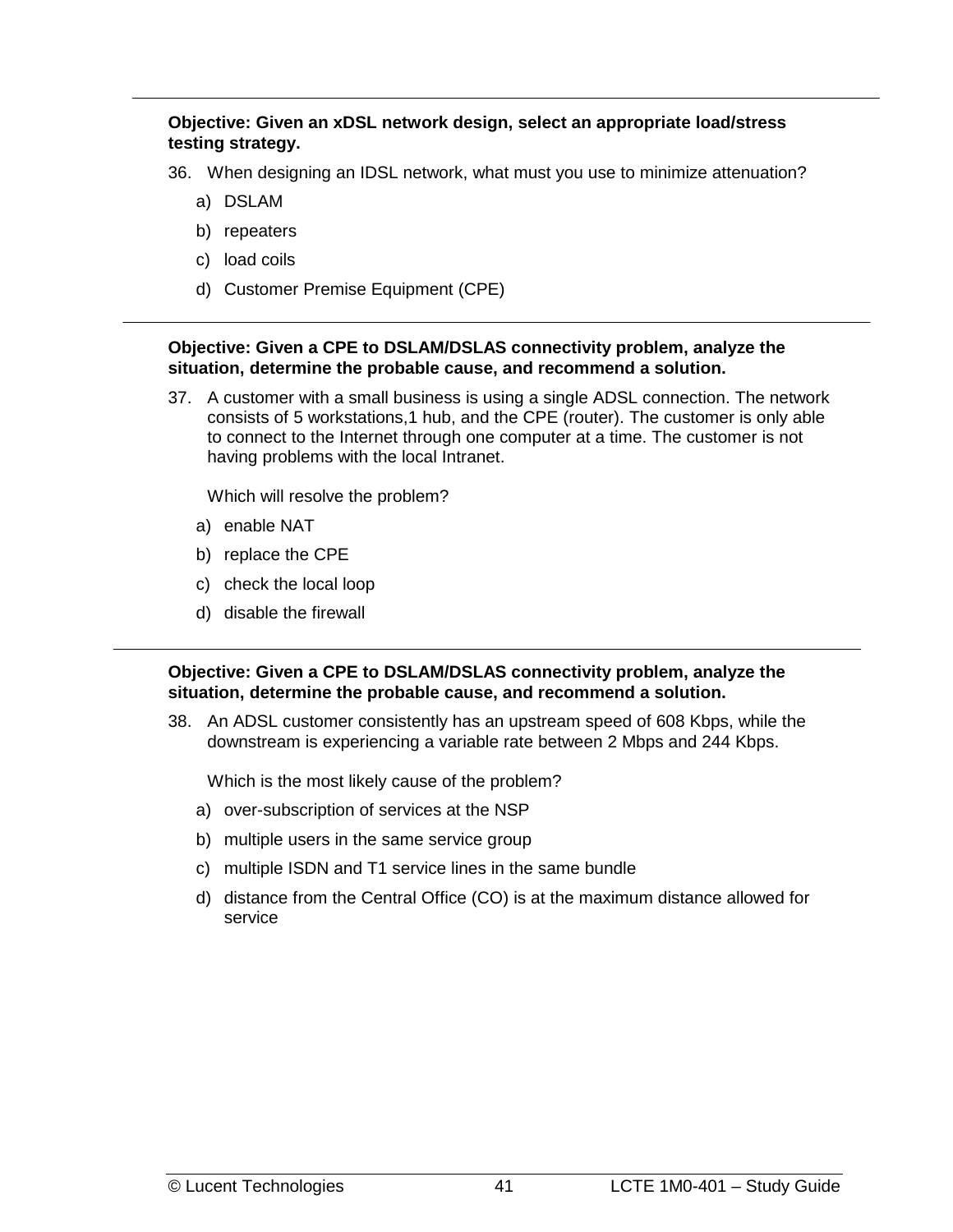#### **Objective: Given an xDSL network design, select an appropriate load/stress testing strategy.**

36. When designing an IDSL network, what must you use to minimize attenuation?

- a) DSLAM
- b) repeaters
- c) load coils
- d) Customer Premise Equipment (CPE)

#### **Objective: Given a CPE to DSLAM/DSLAS connectivity problem, analyze the situation, determine the probable cause, and recommend a solution.**

37. A customer with a small business is using a single ADSL connection. The network consists of 5 workstations,1 hub, and the CPE (router). The customer is only able to connect to the Internet through one computer at a time. The customer is not having problems with the local Intranet.

Which will resolve the problem?

- a) enable NAT
- b) replace the CPE
- c) check the local loop
- d) disable the firewall

**Objective: Given a CPE to DSLAM/DSLAS connectivity problem, analyze the situation, determine the probable cause, and recommend a solution.** 

38. An ADSL customer consistently has an upstream speed of 608 Kbps, while the downstream is experiencing a variable rate between 2 Mbps and 244 Kbps.

Which is the most likely cause of the problem?

- a) over-subscription of services at the NSP
- b) multiple users in the same service group
- c) multiple ISDN and T1 service lines in the same bundle
- d) distance from the Central Office (CO) is at the maximum distance allowed for service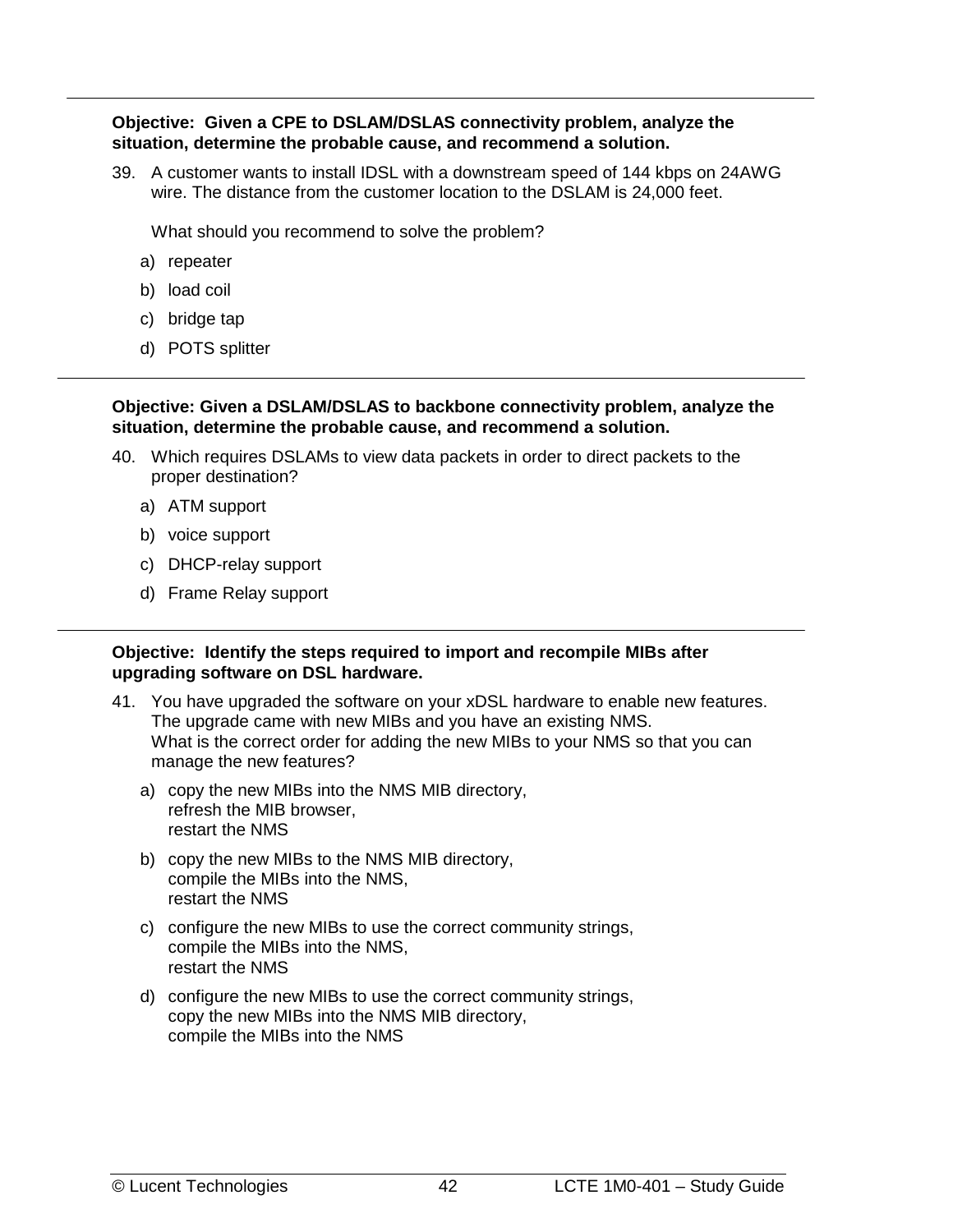#### **Objective: Given a CPE to DSLAM/DSLAS connectivity problem, analyze the situation, determine the probable cause, and recommend a solution.**

39. A customer wants to install IDSL with a downstream speed of 144 kbps on 24AWG wire. The distance from the customer location to the DSLAM is 24,000 feet.

What should you recommend to solve the problem?

- a) repeater
- b) load coil
- c) bridge tap
- d) POTS splitter

#### **Objective: Given a DSLAM/DSLAS to backbone connectivity problem, analyze the situation, determine the probable cause, and recommend a solution.**

- 40. Which requires DSLAMs to view data packets in order to direct packets to the proper destination?
	- a) ATM support
	- b) voice support
	- c) DHCP-relay support
	- d) Frame Relay support

#### **Objective: Identify the steps required to import and recompile MIBs after upgrading software on DSL hardware.**

- 41. You have upgraded the software on your xDSL hardware to enable new features. The upgrade came with new MIBs and you have an existing NMS. What is the correct order for adding the new MIBs to your NMS so that you can manage the new features?
	- a) copy the new MIBs into the NMS MIB directory, refresh the MIB browser, restart the NMS
	- b) copy the new MIBs to the NMS MIB directory, compile the MIBs into the NMS, restart the NMS
	- c) configure the new MIBs to use the correct community strings, compile the MIBs into the NMS, restart the NMS
	- d) configure the new MIBs to use the correct community strings, copy the new MIBs into the NMS MIB directory, compile the MIBs into the NMS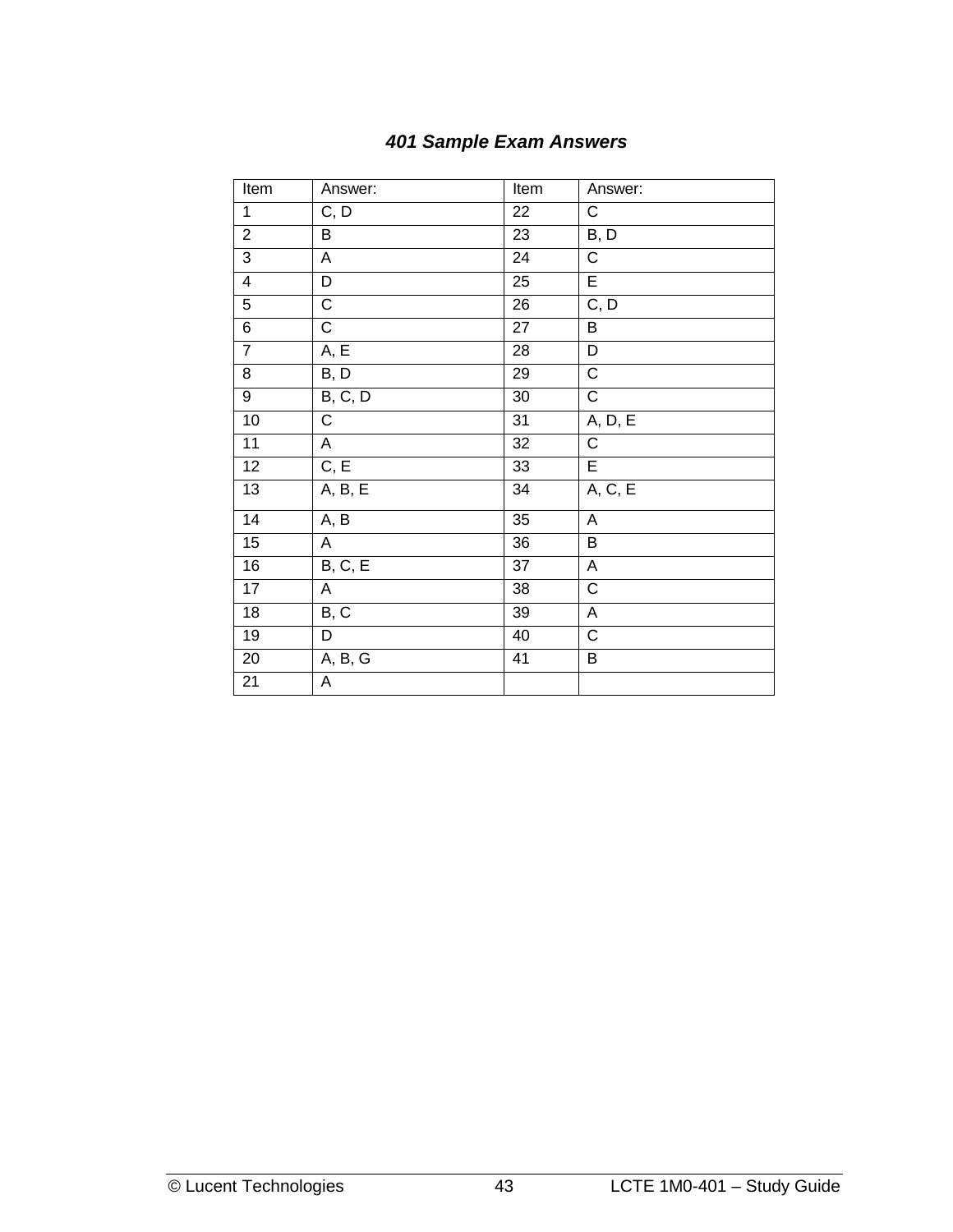<span id="page-50-0"></span>

| Item            | Answer:           | Item            | Answer:                   |
|-----------------|-------------------|-----------------|---------------------------|
| $\overline{1}$  | C, D              | 22              | С                         |
| $\overline{2}$  | B                 | 23              | B, D                      |
| $\overline{3}$  | A                 | 24              | $\overline{C}$            |
| $\overline{4}$  | D                 | 25              | $\overline{E}$            |
| $\overline{5}$  | $\overline{C}$    | 26              | C, D                      |
| $\overline{6}$  | $\overline{C}$    | $\overline{27}$ | $\overline{B}$            |
| $\overline{7}$  | A, E              | 28              | D                         |
| $\overline{8}$  | B, D              | 29              | $\overline{\text{C}}$     |
| $\overline{9}$  | B, C, D           | $\overline{30}$ | $\overline{C}$            |
| 10              | С                 | 31              | A, D, E                   |
| $\overline{11}$ | $\overline{A}$    | 32              | $\overline{C}$            |
| $\overline{12}$ | C, E              | 33              | $\overline{E}$            |
| 13              | A, B, E           | 34              | A, C, E                   |
| $\overline{14}$ | A, B              | $\overline{35}$ | $\overline{A}$            |
| 15              | A                 | 36              | B                         |
| 16              | B, C, E           | 37              | $\boldsymbol{\mathsf{A}}$ |
| 17              | A                 | 38              | $\overline{C}$            |
| 18              | $B, \overline{C}$ | 39              | A                         |
| 19              | D                 | 40              | $\mathsf C$               |
| 20              | A, B, G           | 41              | $\overline{B}$            |
| 21              | A                 |                 |                           |

## *401 Sample Exam Answers*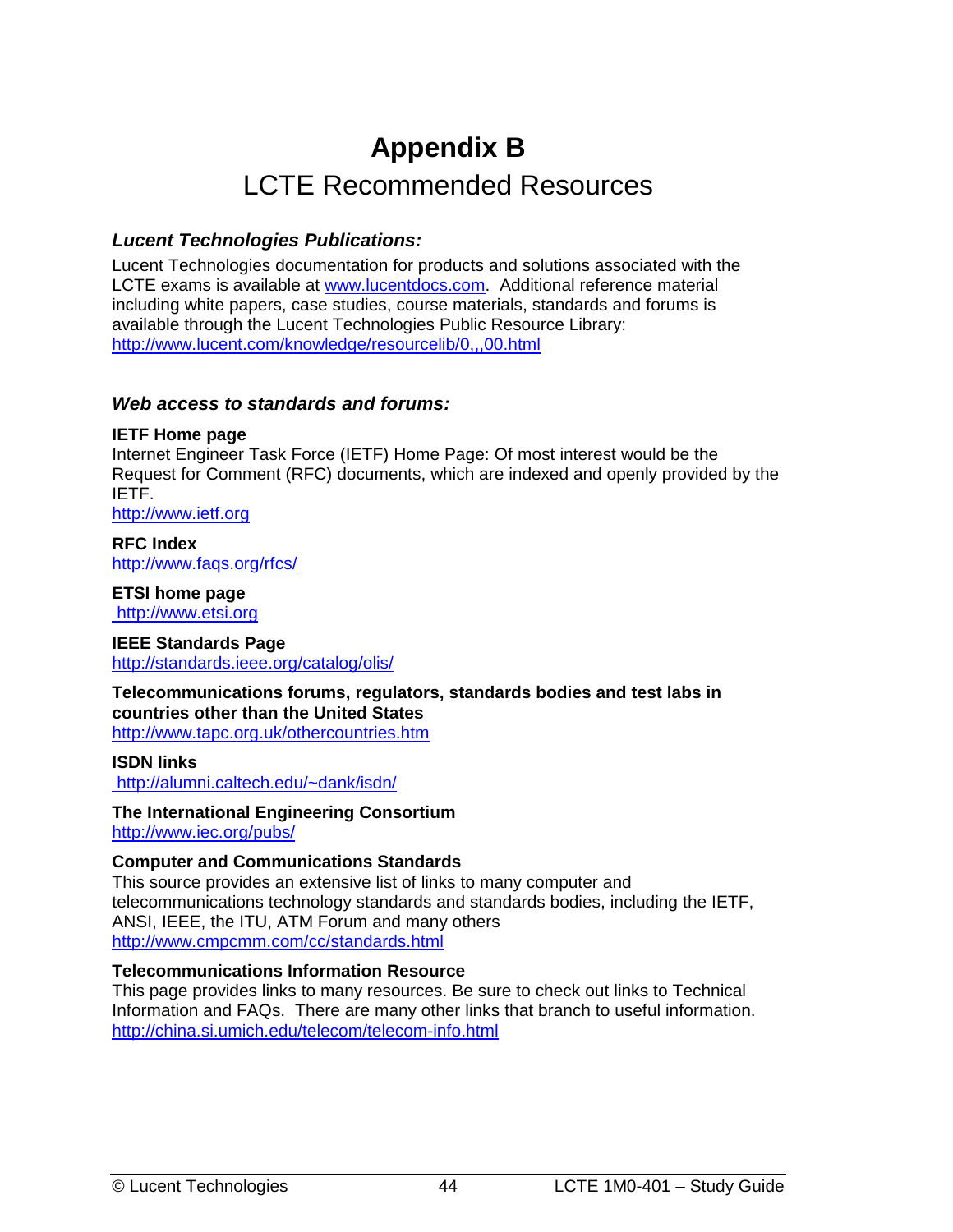# **Appendix B**  LCTE Recommended Resources

#### <span id="page-51-0"></span>*Lucent Technologies Publications:*

Lucent Technologies documentation for products and solutions associated with the LCTE exams is available at [www.lucentdocs.com.](http://www.lucentdocs.com/) Additional reference material including white papers, case studies, course materials, standards and forums is available through the Lucent Technologies Public Resource Library: <http://www.lucent.com/knowledge/resourcelib/0,,,00.html>

#### *Web access to standards and forums:*

#### **IETF Home page**

Internet Engineer Task Force (IETF) Home Page: Of most interest would be the Request for Comment (RFC) documents, which are indexed and openly provided by the IETF.

[http://www.ietf.org](http://ietf.cnri.reston.va.us/home.html)

**RFC Index**  <http://www.faqs.org/rfcs/>

**ETSI home page**   [http://www.etsi.org](http://www.etsi.org/)

**IEEE Standards Page**  <http://standards.ieee.org/catalog/olis/>

**Telecommunications forums, regulators, standards bodies and test labs in countries other than the United States**  <http://www.tapc.org.uk/othercountries.htm>

**ISDN links** 

<http://alumni.caltech.edu/~dank/isdn/>

**The International Engineering Consortium**

<http://www.iec.org/>pubs/

#### **Computer and Communications Standards**

This source provides an extensive list of links to many computer and telecommunications technology standards and standards bodies, including the IETF, ANSI, IEEE, the ITU, ATM Forum and many others <http://www.cmpcmm.com/cc/standards.html>

#### **Telecommunications Information Resource**

This page provides links to many resources. Be sure to check out links to Technical Information and FAQs. There are many other links that branch to useful information. <http://china.si.umich.edu/telecom/telecom-info.html>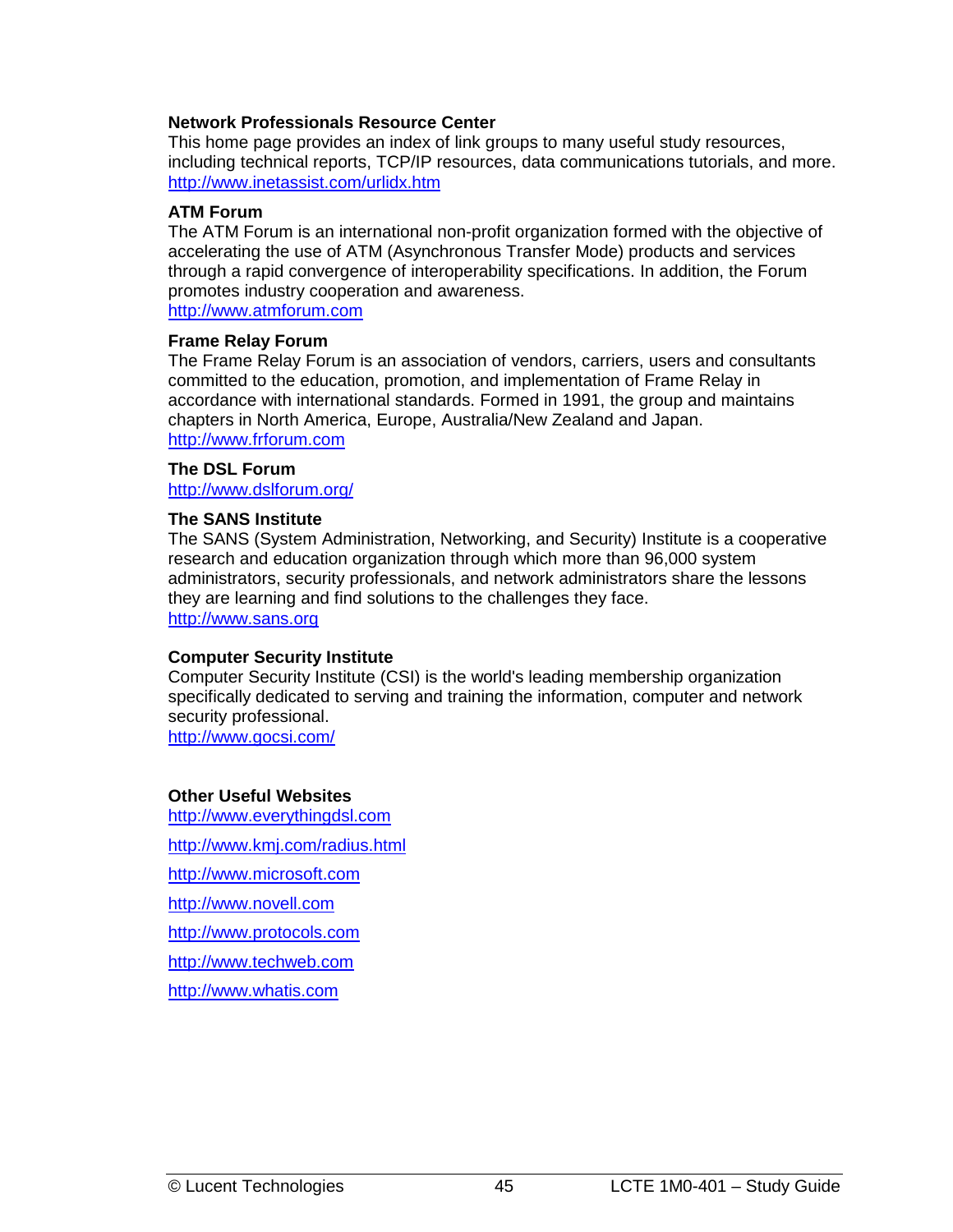#### **Network Professionals Resource Center**

This home page provides an index of link groups to many useful study resources, including technical reports, TCP/IP resources, data communications tutorials, and more. <http://www.inetassist.com/urlidx.htm>

#### **ATM Forum**

The ATM Forum is an international non-profit organization formed with the objective of accelerating the use of ATM (Asynchronous Transfer Mode) products and services through a rapid convergence of interoperability specifications. In addition, the Forum promotes industry cooperation and awareness. [http://www.atmforum.com](http://www.atmforum.com/)

#### **Frame Relay Forum**

The Frame Relay Forum is an association of vendors, carriers, users and consultants committed to the education, promotion, and implementation of Frame Relay in accordance with international standards. Formed in 1991, the group and maintains chapters in North America, Europe, Australia/New Zealand and Japan. [http://www.frforum.com](http://www.frforum.com/) 

#### **The DSL Forum**  <http://www.dslforum.org/>

#### **The SANS Institute**

The SANS (System Administration, Networking, and Security) Institute is a cooperative research and education organization through which more than 96,000 system administrators, security professionals, and network administrators share the lessons they are learning and find solutions to the challenges they face. [http://www.sans.org](http://www.sans.org/) 

#### **Computer Security Institute**

Computer Security Institute (CSI) is the world's leading membership organization specifically dedicated to serving and training the information, computer and network security professional.

<http://www.gocsi.com/>

#### **Other Useful Websites**

http://www.everythingdsl.com http:/[/www.kmj.com/radius.html](http://www.kmj.com/radius.html) [http://www.microsoft.com](http://www.microsoft.com/)  [http://www.novell.com](http://www.novell.com/)  [http://www.protocols.com](http://www.protocols.com/) http:/[/www.techweb.com](http://www.techweb.com/)  http:/[/www.whatis.com](http://www.whatis.com/)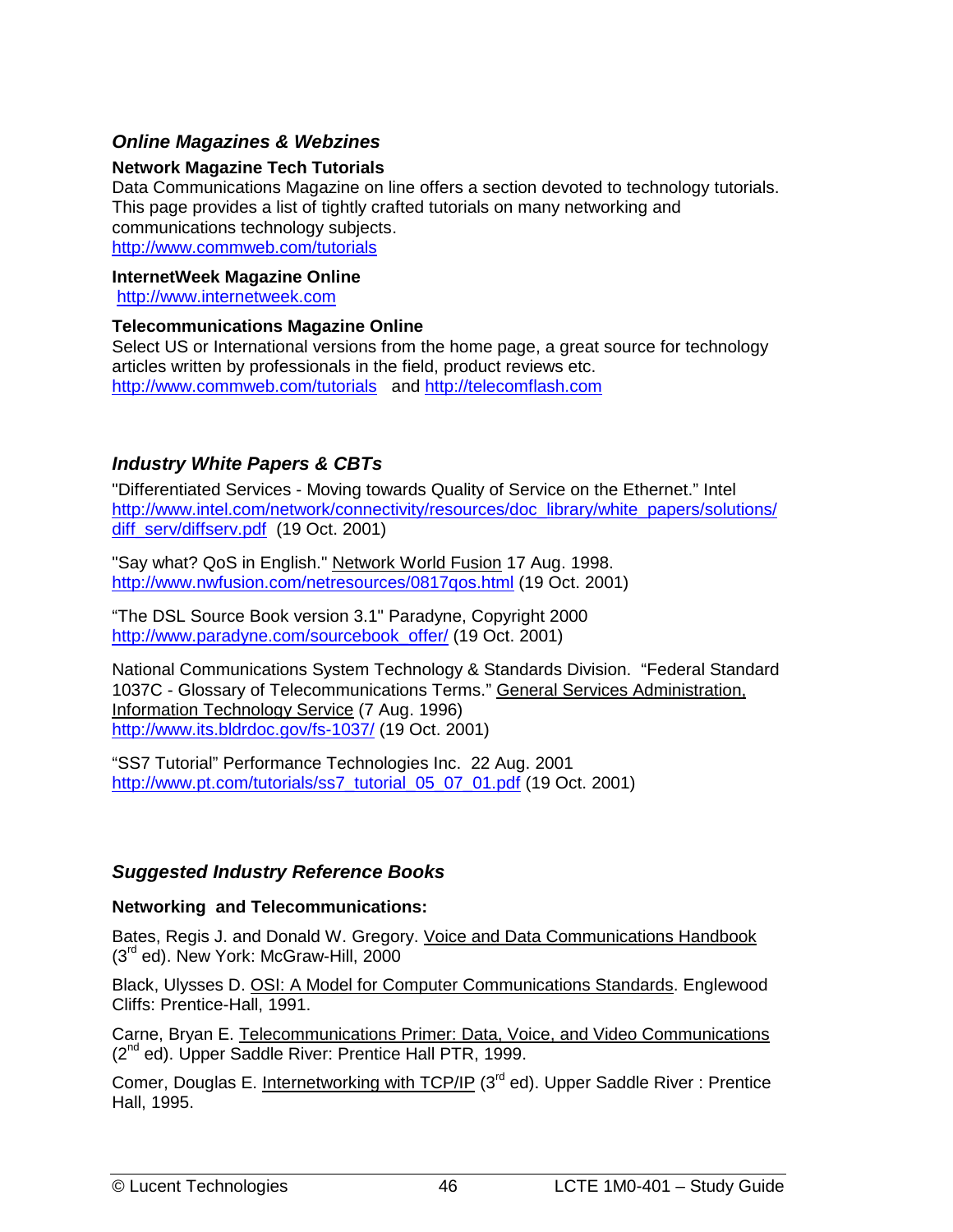#### <span id="page-53-0"></span>*Online Magazines & Webzines*

#### **Network Magazine Tech Tutorials**

Data Communications Magazine on line offers a section devoted to technology tutorials. This page provides a list of tightly crafted tutorials on many networking and communications technology subjects . <http://www.commweb.com/tutorials>

#### **InternetWeek Magazine Online**

[http://www.internetweek.com](http://www.internetweek.com/)

#### **Telecommunications Magazine Online**

Select US or International versions from the home page, a great source for technology articles written by professionals in the field, product reviews etc. <http://www.commweb.com/tutorials>and [http://telecomflash.com](http://telecomflash.com/) 

#### *Industry White Papers & CBTs*

"Differentiated Services - Moving towards Quality of Service on the Ethernet." Intel [http://www.intel.com/network/connectivity/resources/doc\\_library/white\\_papers/solutions/](http://www.intel.com/network/connectivity/resources/doc_library/white_papers/solutions/diff_serv/diffserv.pdf) [diff\\_serv/diffserv.pdf](http://www.intel.com/network/connectivity/resources/doc_library/white_papers/solutions/diff_serv/diffserv.pdf) (19 Oct. 2001)

"Say what? QoS in English." Network World Fusion 17 Aug. 1998. <http://www.nwfusion.com/netresources/0817qos.html>(19 Oct. 2001)

"The DSL Source Book version 3.1" Paradyne, Copyright 2000 [http://www.paradyne.com/sourcebook\\_offer/](http://www.paradyne.com/sourcebook_offer/) (19 Oct. 2001)

National Communications System Technology & Standards Division. "Federal Standard 1037C - Glossary of Telecommunications Terms." General Services Administration, Information Technology Service (7 Aug. 1996) <http://www.its.bldrdoc.gov/fs-1037/>(19 Oct. 2001)

"SS7 Tutorial" Performance Technologies Inc. 22 Aug. 2001 [http://www.pt.com/tutorials/ss7\\_tutorial\\_05\\_07\\_01.pdf](http://www.pt.com/tutorials/ss7_tutorial_05_07_01.pdf) (19 Oct. 2001)

#### *Suggested Industry Reference Books*

#### **Networking and Telecommunications:**

Bates, Regis J. and Donald W. Gregory. Voice and Data Communications Handbook (3<sup>rd</sup> ed). New York: McGraw-Hill, 2000

Black, Ulysses D. OSI: A Model for Computer Communications Standards. Englewood Cliffs: Prentice-Hall, 1991.

Carne, Bryan E. Telecommunications Primer: Data, Voice, and Video Communications (2<sup>nd</sup> ed). Upper Saddle River: Prentice Hall PTR, 1999.

Comer, Douglas E. Internetworking with TCP/IP  $(3<sup>rd</sup> ed)$ . Upper Saddle River : Prentice Hall, 1995.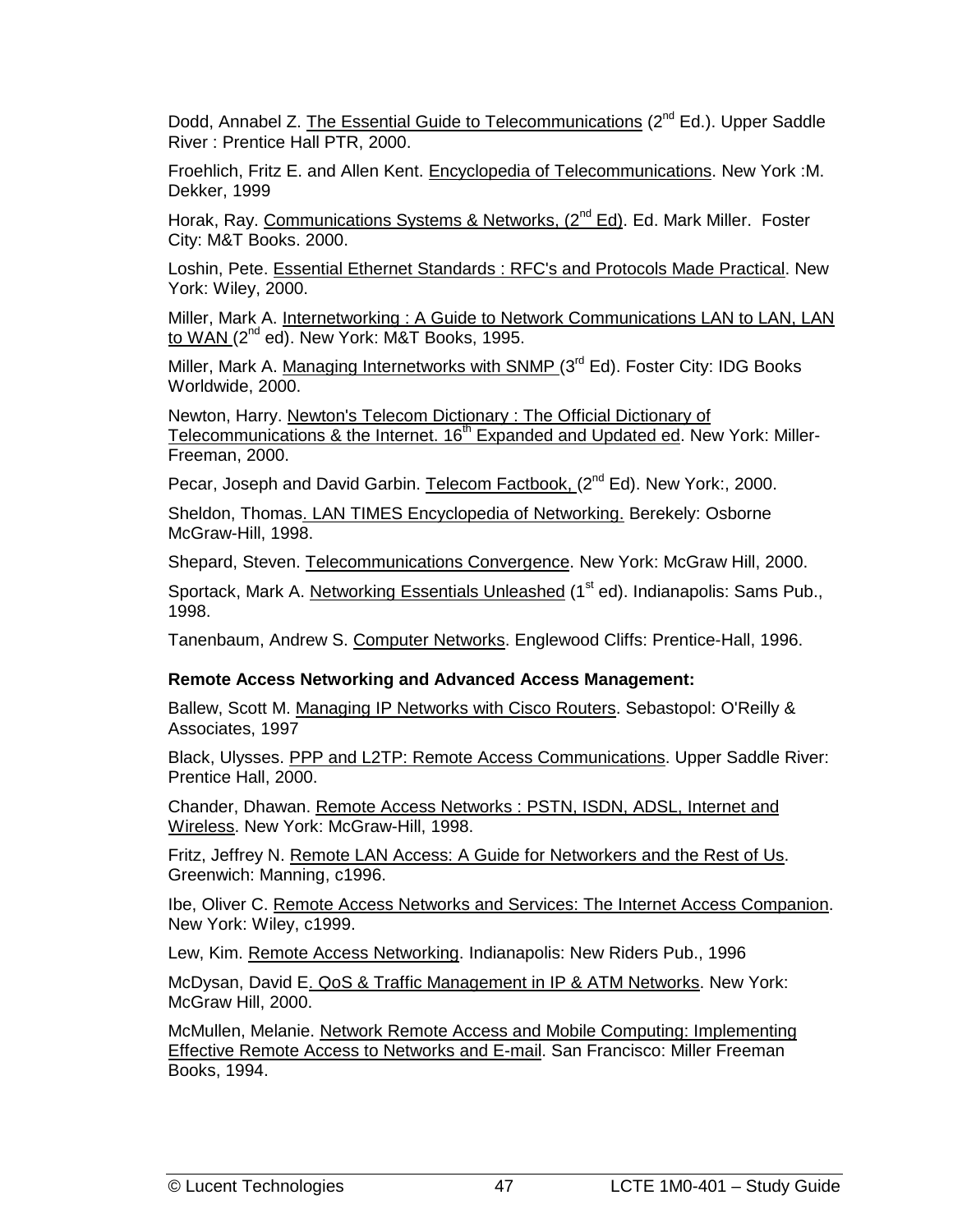Dodd, Annabel Z. The Essential Guide to Telecommunications (2<sup>nd</sup> Ed.). Upper Saddle River : Prentice Hall PTR, 2000.

Froehlich, Fritz E. and Allen Kent. Encyclopedia of Telecommunications. New York :M. Dekker, 1999

Horak, Ray. Communications Systems & Networks, (2<sup>nd</sup> Ed). Ed. Mark Miller. Foster City: M&T Books. 2000.

Loshin, Pete. Essential Ethernet Standards : RFC's and Protocols Made Practical. New York: Wiley, 2000.

Miller, Mark A. Internetworking : A Guide to Network Communications LAN to LAN, LAN to WAN (2<sup>nd</sup> ed). New York: M&T Books, 1995.

Miller, Mark A. Managing Internetworks with SNMP (3<sup>rd</sup> Ed). Foster City: IDG Books Worldwide, 2000.

Newton, Harry. Newton's Telecom Dictionary : The Official Dictionary of Telecommunications & the Internet. 16<sup>th</sup> Expanded and Updated ed. New York: Miller-Freeman, 2000.

Pecar, Joseph and David Garbin. Telecom Factbook, (2<sup>nd</sup> Ed). New York:, 2000.

Sheldon, Thomas. LAN TIMES Encyclopedia of Networking. Berekely: Osborne McGraw-Hill, 1998.

Shepard, Steven. Telecommunications Convergence. New York: McGraw Hill, 2000.

Sportack, Mark A. Networking Essentials Unleashed (1<sup>st</sup> ed). Indianapolis: Sams Pub., 1998.

Tanenbaum, Andrew S. Computer Networks. Englewood Cliffs: Prentice-Hall, 1996.

#### **Remote Access Networking and Advanced Access Management:**

Ballew, Scott M. Managing IP Networks with Cisco Routers. Sebastopol: O'Reilly & Associates, 1997

Black, Ulysses. PPP and L2TP: Remote Access Communications. Upper Saddle River: Prentice Hall, 2000.

Chander, Dhawan. Remote Access Networks : PSTN, ISDN, ADSL, Internet and Wireless. New York: McGraw-Hill, 1998.

Fritz, Jeffrey N. Remote LAN Access: A Guide for Networkers and the Rest of Us. Greenwich: Manning, c1996.

Ibe, Oliver C. Remote Access Networks and Services: The Internet Access Companion. New York: Wiley, c1999.

Lew, Kim. Remote Access Networking. Indianapolis: New Riders Pub., 1996

McDysan, David E. QoS & Traffic Management in IP & ATM Networks. New York: McGraw Hill, 2000.

McMullen, Melanie. Network Remote Access and Mobile Computing: Implementing Effective Remote Access to Networks and E-mail. San Francisco: Miller Freeman Books, 1994.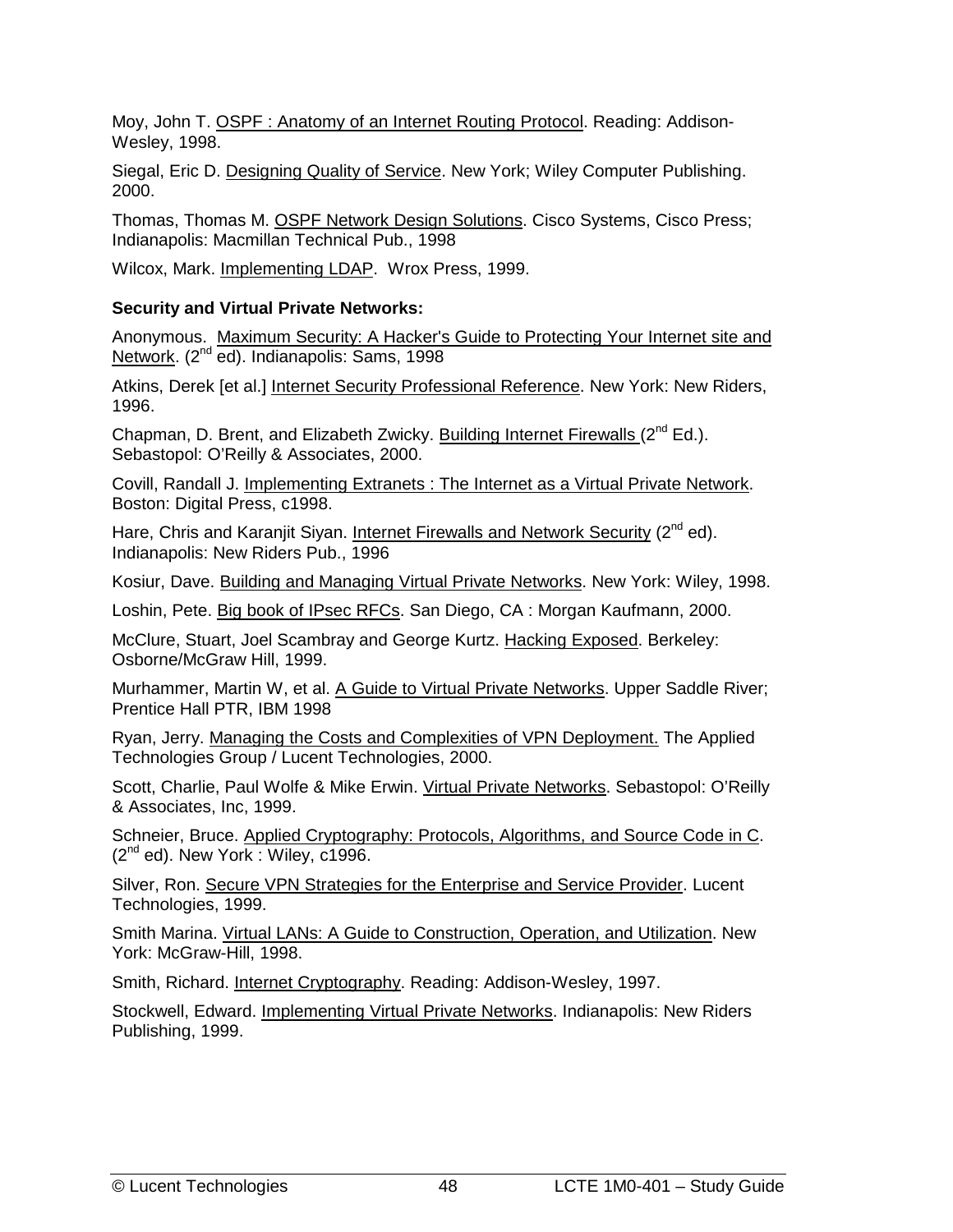Moy, John T. OSPF : Anatomy of an Internet Routing Protocol. Reading: Addison-Wesley, 1998.

Siegal, Eric D. Designing Quality of Service. New York; Wiley Computer Publishing. 2000.

Thomas, Thomas M. OSPF Network Design Solutions. Cisco Systems, Cisco Press; Indianapolis: Macmillan Technical Pub., 1998

Wilcox, Mark. Implementing LDAP. Wrox Press, 1999.

#### **Security and Virtual Private Networks:**

Anonymous. Maximum Security: A Hacker's Guide to Protecting Your Internet site and Network. (2<sup>nd</sup> ed). Indianapolis: Sams, 1998

Atkins, Derek [et al.] Internet Security Professional Reference. New York: New Riders, 1996.

Chapman, D. Brent, and Elizabeth Zwicky. Building Internet Firewalls  $(2^{nd} Ed.)$ . Sebastopol: O'Reilly & Associates, 2000.

Covill, Randall J. Implementing Extranets : The Internet as a Virtual Private Network. Boston: Digital Press, c1998.

Hare, Chris and Karanjit Siyan. Internet Firewalls and Network Security (2<sup>nd</sup> ed). Indianapolis: New Riders Pub., 1996

Kosiur, Dave. Building and Managing Virtual Private Networks. New York: Wiley, 1998.

Loshin, Pete. Big book of IPsec RFCs. San Diego, CA : Morgan Kaufmann, 2000.

McClure, Stuart, Joel Scambray and George Kurtz. Hacking Exposed. Berkeley: Osborne/McGraw Hill, 1999.

Murhammer, Martin W, et al. A Guide to Virtual Private Networks. Upper Saddle River; Prentice Hall PTR, IBM 1998

Ryan, Jerry. Managing the Costs and Complexities of VPN Deployment. The Applied Technologies Group / Lucent Technologies, 2000.

Scott, Charlie, Paul Wolfe & Mike Erwin. Virtual Private Networks. Sebastopol: O'Reilly & Associates, Inc, 1999.

Schneier, Bruce. Applied Cryptography: Protocols, Algorithms, and Source Code in C.  $(2^{nd}$  ed). New York : Wiley, c1996.

Silver, Ron. Secure VPN Strategies for the Enterprise and Service Provider. Lucent Technologies, 1999.

Smith Marina. Virtual LANs: A Guide to Construction, Operation, and Utilization. New York: McGraw-Hill, 1998.

Smith, Richard. Internet Cryptography. Reading: Addison-Wesley, 1997.

Stockwell, Edward. Implementing Virtual Private Networks. Indianapolis: New Riders Publishing, 1999.